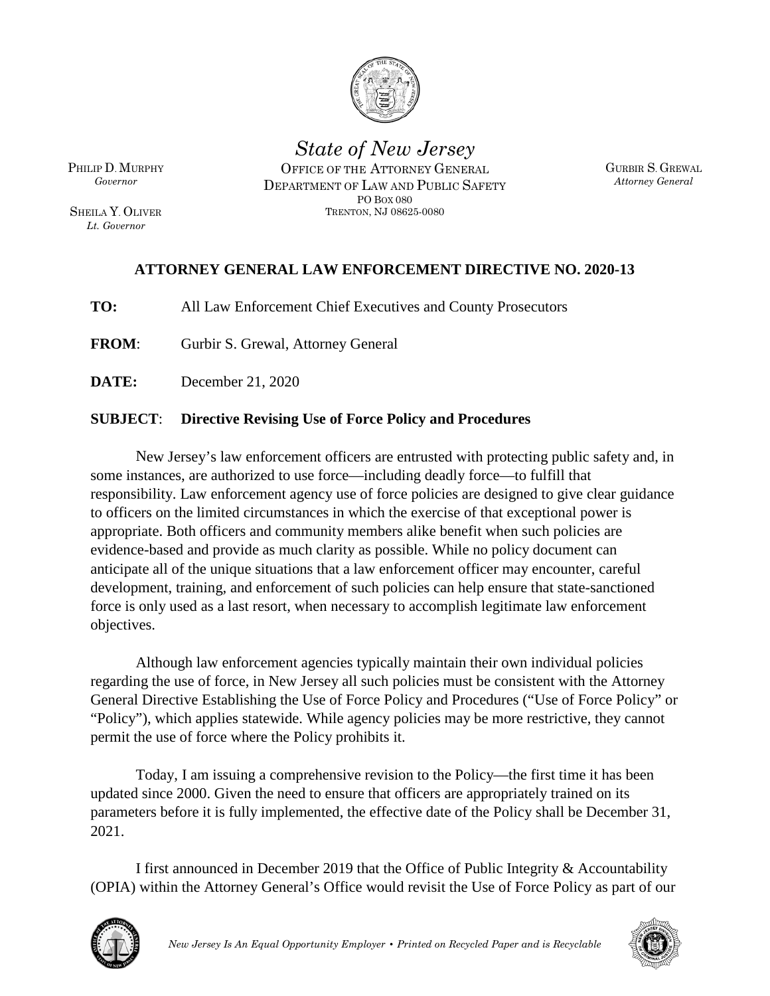

*State of New Jersey*  OFFICE OF THE ATTORNEY GENERAL DEPARTMENT OF LAW AND PUBLIC SAFETY PO BOX 080

TRENTON, NJ 08625-0080

GURBIR S. GREWAL *Attorney General*

#### **ATTORNEY GENERAL LAW ENFORCEMENT DIRECTIVE NO. 2020-13**

**TO:** All Law Enforcement Chief Executives and County Prosecutors

**FROM**: Gurbir S. Grewal, Attorney General

**DATE:** December 21, 2020

#### **SUBJECT**: **Directive Revising Use of Force Policy and Procedures**

New Jersey's law enforcement officers are entrusted with protecting public safety and, in some instances, are authorized to use force—including deadly force—to fulfill that responsibility. Law enforcement agency use of force policies are designed to give clear guidance to officers on the limited circumstances in which the exercise of that exceptional power is appropriate. Both officers and community members alike benefit when such policies are evidence-based and provide as much clarity as possible. While no policy document can anticipate all of the unique situations that a law enforcement officer may encounter, careful development, training, and enforcement of such policies can help ensure that state-sanctioned force is only used as a last resort, when necessary to accomplish legitimate law enforcement objectives.

Although law enforcement agencies typically maintain their own individual policies regarding the use of force, in New Jersey all such policies must be consistent with the Attorney General Directive Establishing the Use of Force Policy and Procedures ("Use of Force Policy" or "Policy"), which applies statewide. While agency policies may be more restrictive, they cannot permit the use of force where the Policy prohibits it.

Today, I am issuing a comprehensive revision to the Policy—the first time it has been updated since 2000. Given the need to ensure that officers are appropriately trained on its parameters before it is fully implemented, the effective date of the Policy shall be December 31, 2021.

I first announced in December 2019 that the Office of Public Integrity & Accountability (OPIA) within the Attorney General's Office would revisit the Use of Force Policy as part of our





PHILIP D. MURPHY *Governor*

SHEILA Y. OLIVER *Lt. Governor*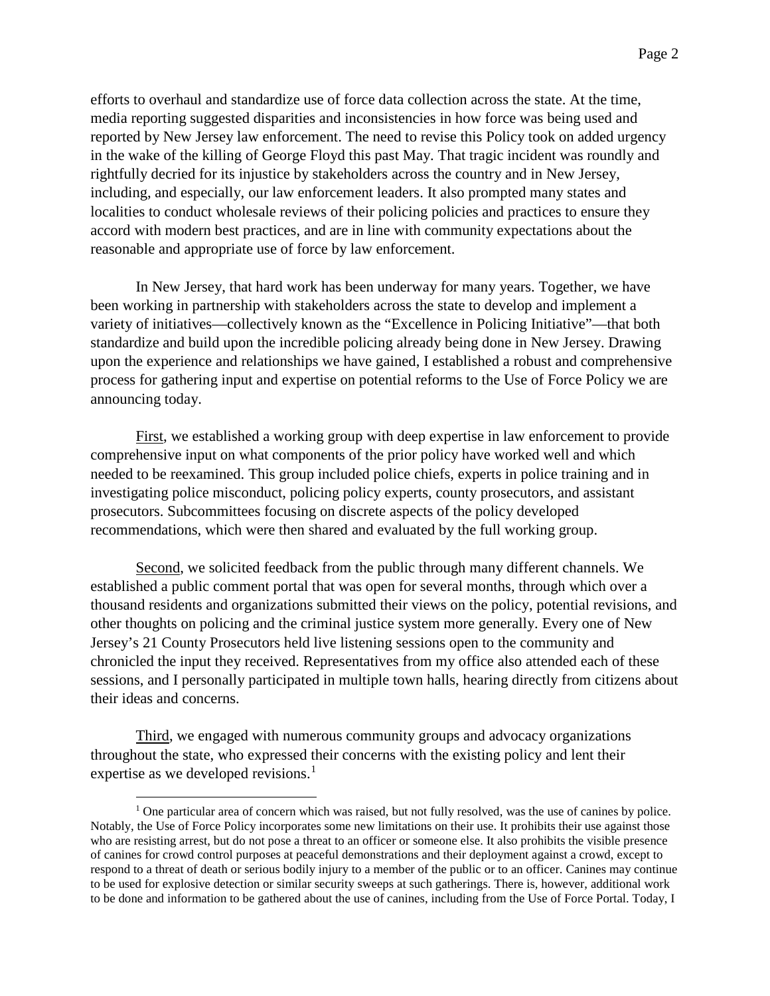efforts to overhaul and standardize use of force data collection across the state. At the time, media reporting suggested disparities and inconsistencies in how force was being used and reported by New Jersey law enforcement. The need to revise this Policy took on added urgency in the wake of the killing of George Floyd this past May. That tragic incident was roundly and rightfully decried for its injustice by stakeholders across the country and in New Jersey, including, and especially, our law enforcement leaders. It also prompted many states and localities to conduct wholesale reviews of their policing policies and practices to ensure they accord with modern best practices, and are in line with community expectations about the reasonable and appropriate use of force by law enforcement.

In New Jersey, that hard work has been underway for many years. Together, we have been working in partnership with stakeholders across the state to develop and implement a variety of initiatives—collectively known as the "Excellence in Policing Initiative"—that both standardize and build upon the incredible policing already being done in New Jersey. Drawing upon the experience and relationships we have gained, I established a robust and comprehensive process for gathering input and expertise on potential reforms to the Use of Force Policy we are announcing today.

First, we established a working group with deep expertise in law enforcement to provide comprehensive input on what components of the prior policy have worked well and which needed to be reexamined. This group included police chiefs, experts in police training and in investigating police misconduct, policing policy experts, county prosecutors, and assistant prosecutors. Subcommittees focusing on discrete aspects of the policy developed recommendations, which were then shared and evaluated by the full working group.

Second, we solicited feedback from the public through many different channels. We established a public comment portal that was open for several months, through which over a thousand residents and organizations submitted their views on the policy, potential revisions, and other thoughts on policing and the criminal justice system more generally. Every one of New Jersey's 21 County Prosecutors held live listening sessions open to the community and chronicled the input they received. Representatives from my office also attended each of these sessions, and I personally participated in multiple town halls, hearing directly from citizens about their ideas and concerns.

Third, we engaged with numerous community groups and advocacy organizations throughout the state, who expressed their concerns with the existing policy and lent their expertise as we developed revisions. $<sup>1</sup>$  $<sup>1</sup>$  $<sup>1</sup>$ </sup>

<span id="page-1-0"></span> $<sup>1</sup>$  One particular area of concern which was raised, but not fully resolved, was the use of canines by police.</sup> Notably, the Use of Force Policy incorporates some new limitations on their use. It prohibits their use against those who are resisting arrest, but do not pose a threat to an officer or someone else. It also prohibits the visible presence of canines for crowd control purposes at peaceful demonstrations and their deployment against a crowd, except to respond to a threat of death or serious bodily injury to a member of the public or to an officer. Canines may continue to be used for explosive detection or similar security sweeps at such gatherings. There is, however, additional work to be done and information to be gathered about the use of canines, including from the Use of Force Portal. Today, I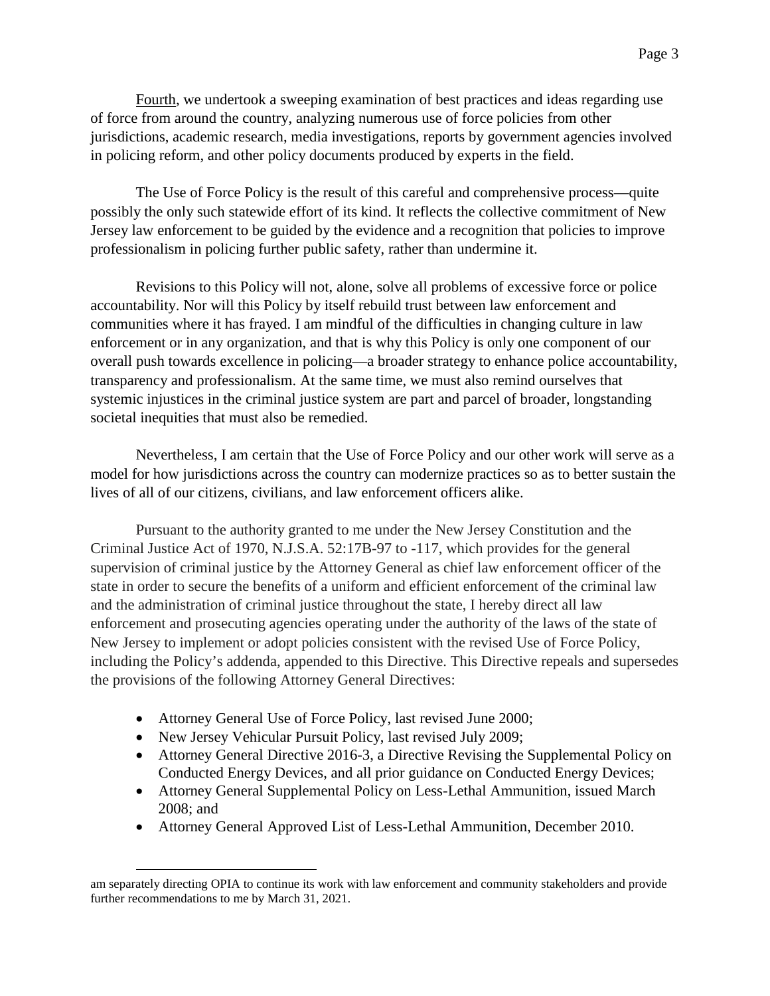Fourth, we undertook a sweeping examination of best practices and ideas regarding use of force from around the country, analyzing numerous use of force policies from other jurisdictions, academic research, media investigations, reports by government agencies involved in policing reform, and other policy documents produced by experts in the field.

The Use of Force Policy is the result of this careful and comprehensive process—quite possibly the only such statewide effort of its kind. It reflects the collective commitment of New Jersey law enforcement to be guided by the evidence and a recognition that policies to improve professionalism in policing further public safety, rather than undermine it.

Revisions to this Policy will not, alone, solve all problems of excessive force or police accountability. Nor will this Policy by itself rebuild trust between law enforcement and communities where it has frayed. I am mindful of the difficulties in changing culture in law enforcement or in any organization, and that is why this Policy is only one component of our overall push towards excellence in policing—a broader strategy to enhance police accountability, transparency and professionalism. At the same time, we must also remind ourselves that systemic injustices in the criminal justice system are part and parcel of broader, longstanding societal inequities that must also be remedied.

Nevertheless, I am certain that the Use of Force Policy and our other work will serve as a model for how jurisdictions across the country can modernize practices so as to better sustain the lives of all of our citizens, civilians, and law enforcement officers alike.

Pursuant to the authority granted to me under the New Jersey Constitution and the Criminal Justice Act of 1970, N.J.S.A. 52:17B-97 to -117, which provides for the general supervision of criminal justice by the Attorney General as chief law enforcement officer of the state in order to secure the benefits of a uniform and efficient enforcement of the criminal law and the administration of criminal justice throughout the state, I hereby direct all law enforcement and prosecuting agencies operating under the authority of the laws of the state of New Jersey to implement or adopt policies consistent with the revised Use of Force Policy, including the Policy's addenda, appended to this Directive. This Directive repeals and supersedes the provisions of the following Attorney General Directives:

- Attorney General Use of Force Policy, last revised June 2000;
- New Jersey Vehicular Pursuit Policy, last revised July 2009;
- Attorney General Directive 2016-3, a Directive Revising the Supplemental Policy on Conducted Energy Devices, and all prior guidance on Conducted Energy Devices;
- Attorney General Supplemental Policy on Less-Lethal Ammunition, issued March 2008; and
- Attorney General Approved List of Less-Lethal Ammunition, December 2010.

am separately directing OPIA to continue its work with law enforcement and community stakeholders and provide further recommendations to me by March 31, 2021.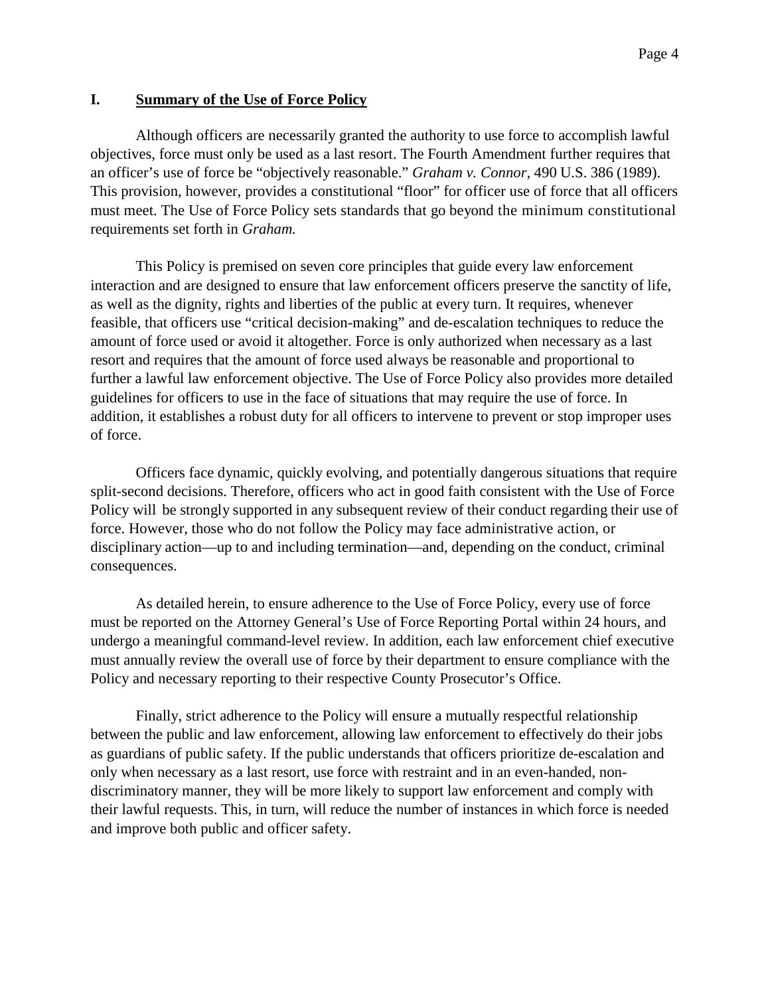#### **I. Summary of the Use of Force Policy**

Although officers are necessarily granted the authority to use force to accomplish lawful objectives, force must only be used as a last resort. The Fourth Amendment further requires that an officer's use of force be "objectively reasonable." *Graham v. Connor*, 490 U.S. 386 (1989). This provision, however, provides a constitutional "floor" for officer use of force that all officers must meet. The Use of Force Policy sets standards that go beyond the minimum constitutional requirements set forth in *Graham.*

This Policy is premised on seven core principles that guide every law enforcement interaction and are designed to ensure that law enforcement officers preserve the sanctity of life, as well as the dignity, rights and liberties of the public at every turn. It requires, whenever feasible, that officers use "critical decision-making" and de-escalation techniques to reduce the amount of force used or avoid it altogether. Force is only authorized when necessary as a last resort and requires that the amount of force used always be reasonable and proportional to further a lawful law enforcement objective. The Use of Force Policy also provides more detailed guidelines for officers to use in the face of situations that may require the use of force. In addition, it establishes a robust duty for all officers to intervene to prevent or stop improper uses of force.

Officers face dynamic, quickly evolving, and potentially dangerous situations that require split-second decisions. Therefore, officers who act in good faith consistent with the Use of Force Policy will be strongly supported in any subsequent review of their conduct regarding their use of force. However, those who do not follow the Policy may face administrative action, or disciplinary action—up to and including termination—and, depending on the conduct, criminal consequences.

As detailed herein, to ensure adherence to the Use of Force Policy, every use of force must be reported on the Attorney General's Use of Force Reporting Portal within 24 hours, and undergo a meaningful command-level review. In addition, each law enforcement chief executive must annually review the overall use of force by their department to ensure compliance with the Policy and necessary reporting to their respective County Prosecutor's Office.

Finally, strict adherence to the Policy will ensure a mutually respectful relationship between the public and law enforcement, allowing law enforcement to effectively do their jobs as guardians of public safety. If the public understands that officers prioritize de-escalation and only when necessary as a last resort, use force with restraint and in an even-handed, nondiscriminatory manner, they will be more likely to support law enforcement and comply with their lawful requests. This, in turn, will reduce the number of instances in which force is needed and improve both public and officer safety.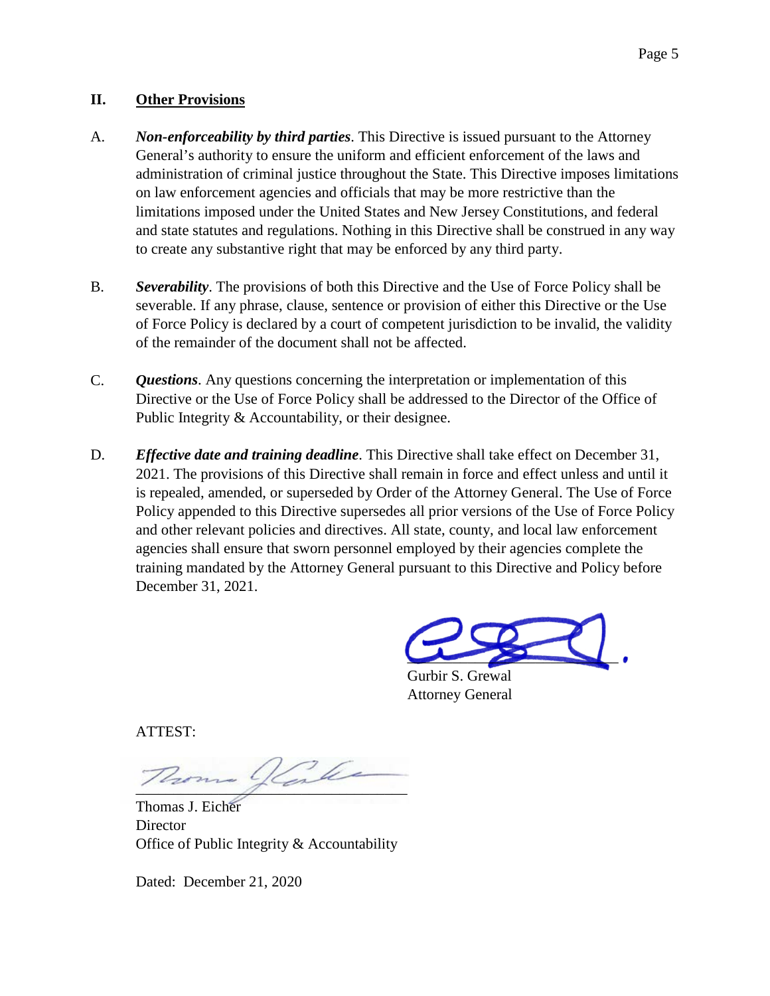#### **II. Other Provisions**

- A. *Non-enforceability by third parties*. This Directive is issued pursuant to the Attorney General's authority to ensure the uniform and efficient enforcement of the laws and administration of criminal justice throughout the State. This Directive imposes limitations on law enforcement agencies and officials that may be more restrictive than the limitations imposed under the United States and New Jersey Constitutions, and federal and state statutes and regulations. Nothing in this Directive shall be construed in any way to create any substantive right that may be enforced by any third party.
- B. *Severability*. The provisions of both this Directive and the Use of Force Policy shall be severable. If any phrase, clause, sentence or provision of either this Directive or the Use of Force Policy is declared by a court of competent jurisdiction to be invalid, the validity of the remainder of the document shall not be affected.
- C. *Questions*. Any questions concerning the interpretation or implementation of this Directive or the Use of Force Policy shall be addressed to the Director of the Office of Public Integrity & Accountability, or their designee.
- D. *Effective date and training deadline*. This Directive shall take effect on December 31, 2021. The provisions of this Directive shall remain in force and effect unless and until it is repealed, amended, or superseded by Order of the Attorney General. The Use of Force Policy appended to this Directive supersedes all prior versions of the Use of Force Policy and other relevant policies and directives. All state, county, and local law enforcement agencies shall ensure that sworn personnel employed by their agencies complete the training mandated by the Attorney General pursuant to this Directive and Policy before December 31, 2021.

 $\overline{\phantom{a}}$ 

Gurbir S. Grewal Attorney General

ATTEST:

 $\overline{\phantom{a}}$ 

Thomas J. Eicher **Director** Office of Public Integrity & Accountability

Dated: December 21, 2020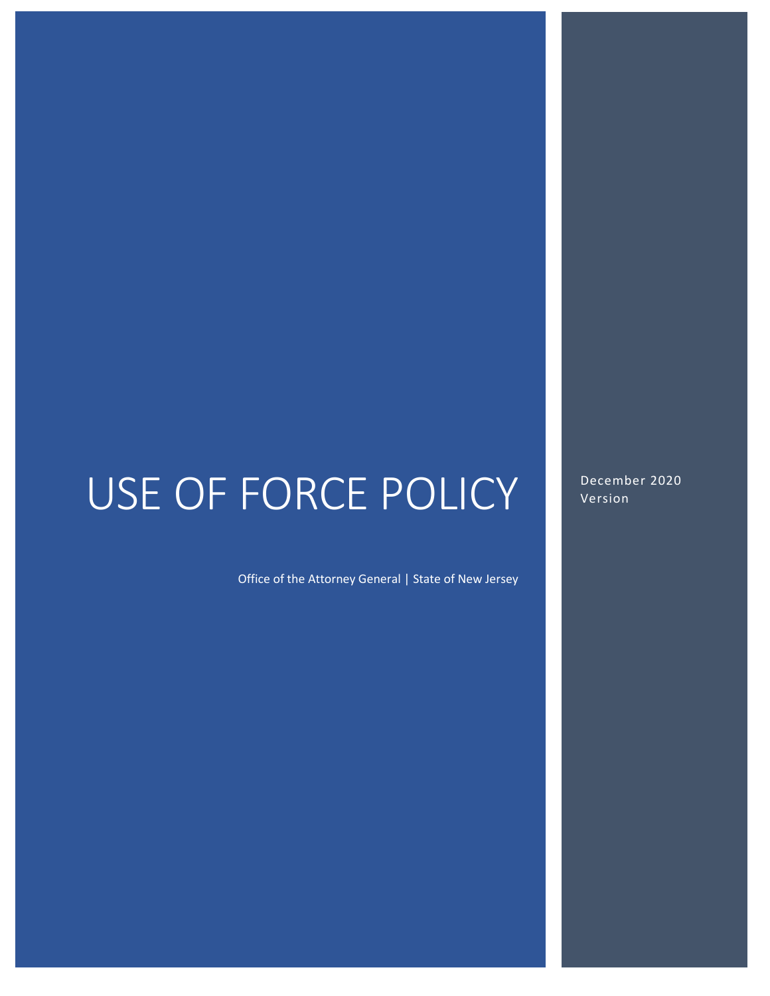# USE OF FORCE POLICY

Office of the Attorney General | State of New Jersey

December 2020 Version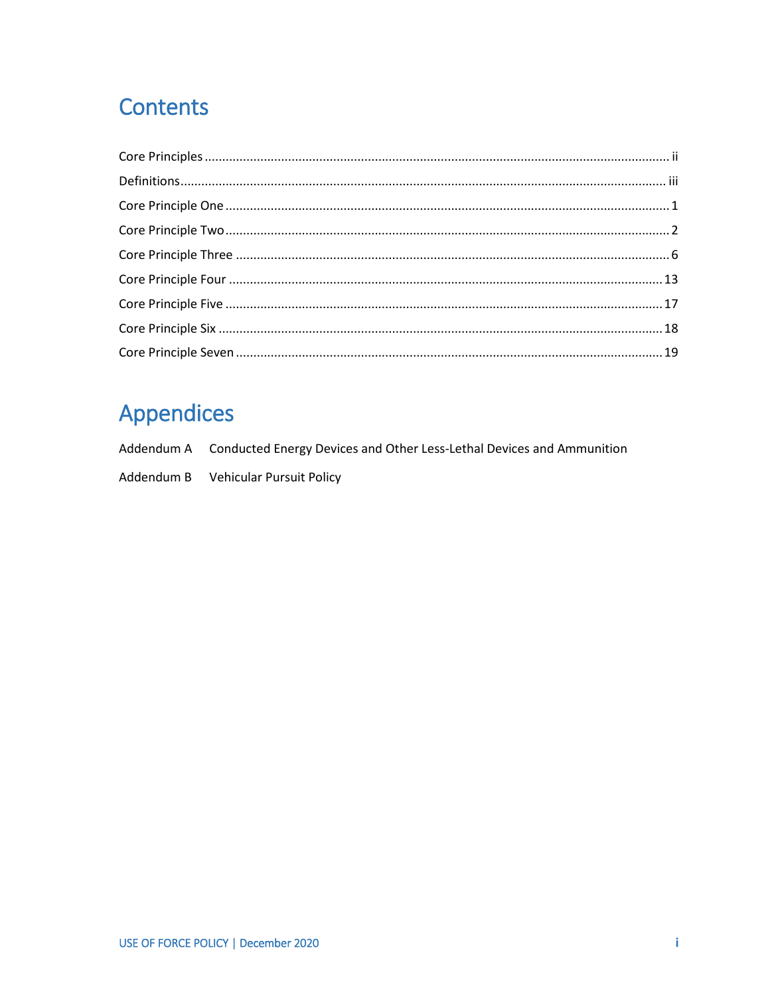### Contents

# **Appendices**

| Addendum A Conducted Energy Devices and Other Less-Lethal Devices and Ammunition |
|----------------------------------------------------------------------------------|
| Addendum B Vehicular Pursuit Policy                                              |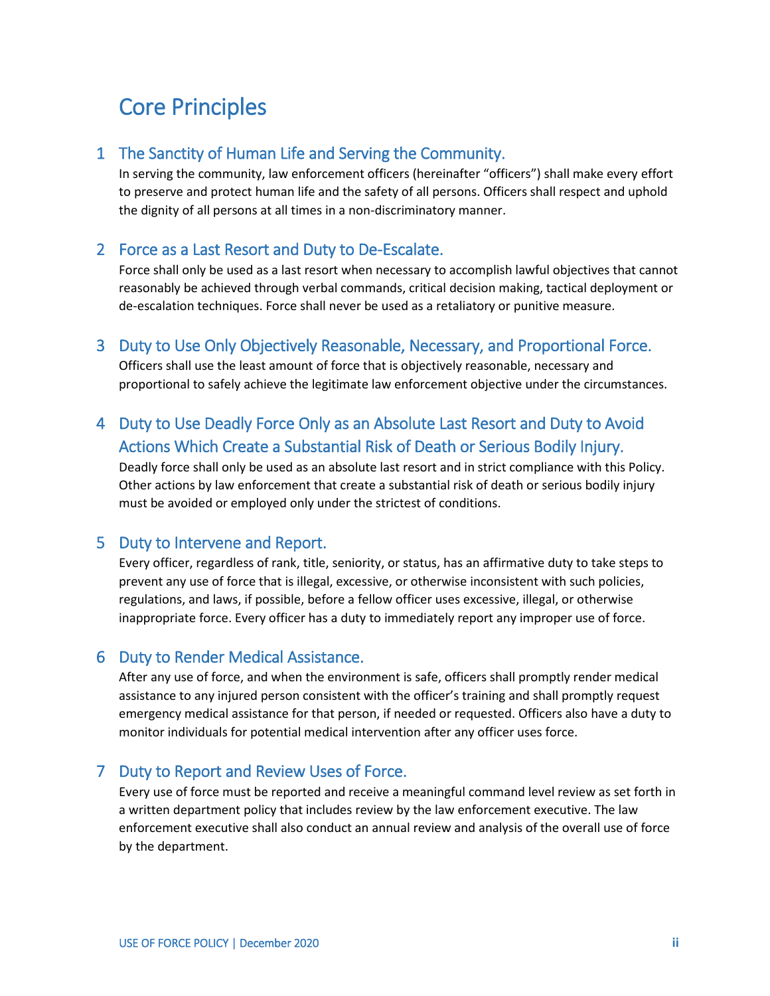#### <span id="page-7-0"></span>Core Principles

#### 1 The Sanctity of Human Life and Serving the Community.

In serving the community, law enforcement officers (hereinafter "officers") shall make every effort to preserve and protect human life and the safety of all persons. Officers shall respect and uphold the dignity of all persons at all times in a non-discriminatory manner.

#### 2 Force as a Last Resort and Duty to De-Escalate.

Force shall only be used as a last resort when necessary to accomplish lawful objectives that cannot reasonably be achieved through verbal commands, critical decision making, tactical deployment or de-escalation techniques. Force shall never be used as a retaliatory or punitive measure.

#### 3 Duty to Use Only Objectively Reasonable, Necessary, and Proportional Force.

Officers shall use the least amount of force that is objectively reasonable, necessary and proportional to safely achieve the legitimate law enforcement objective under the circumstances.

#### 4 Duty to Use Deadly Force Only as an Absolute Last Resort and Duty to Avoid Actions Which Create a Substantial Risk of Death or Serious Bodily Injury.

Deadly force shall only be used as an absolute last resort and in strict compliance with this Policy. Other actions by law enforcement that create a substantial risk of death or serious bodily injury must be avoided or employed only under the strictest of conditions.

#### 5 Duty to Intervene and Report.

Every officer, regardless of rank, title, seniority, or status, has an affirmative duty to take steps to prevent any use of force that is illegal, excessive, or otherwise inconsistent with such policies, regulations, and laws, if possible, before a fellow officer uses excessive, illegal, or otherwise inappropriate force. Every officer has a duty to immediately report any improper use of force.

#### 6 Duty to Render Medical Assistance.

After any use of force, and when the environment is safe, officers shall promptly render medical assistance to any injured person consistent with the officer's training and shall promptly request emergency medical assistance for that person, if needed or requested. Officers also have a duty to monitor individuals for potential medical intervention after any officer uses force.

#### 7 Duty to Report and Review Uses of Force.

Every use of force must be reported and receive a meaningful command level review as set forth in a written department policy that includes review by the law enforcement executive. The law enforcement executive shall also conduct an annual review and analysis of the overall use of force by the department.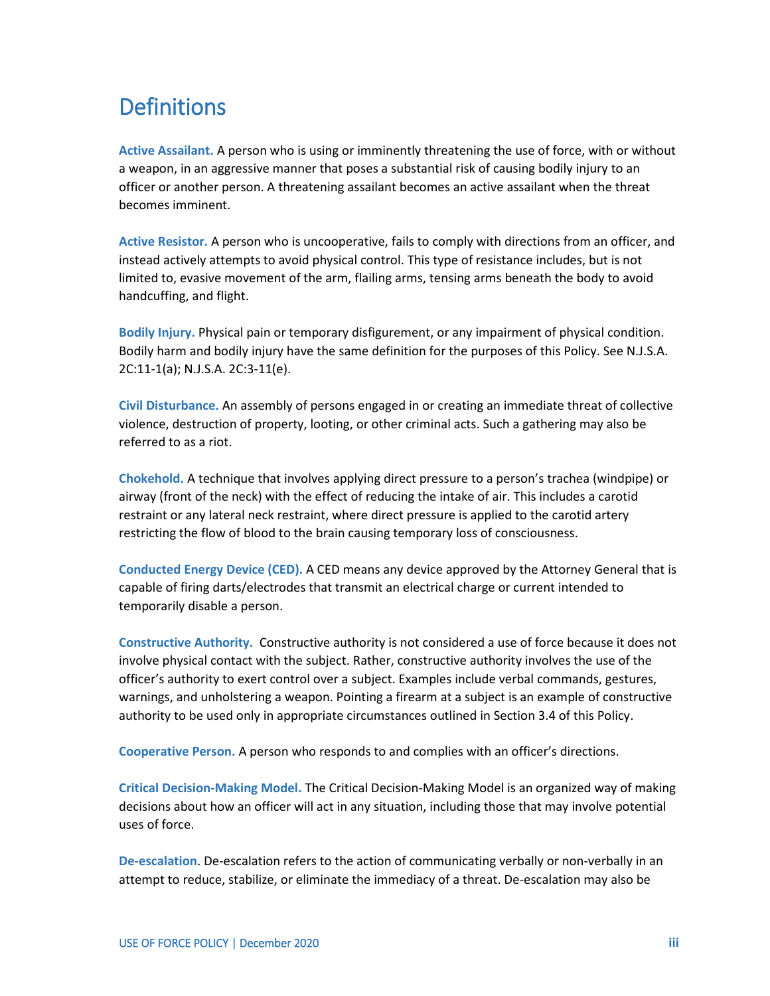#### <span id="page-8-0"></span>**Definitions**

**Active Assailant.** A person who is using or imminently threatening the use of force, with or without a weapon, in an aggressive manner that poses a substantial risk of causing bodily injury to an officer or another person. A threatening assailant becomes an active assailant when the threat becomes imminent.

**Active Resistor.** A person who is uncooperative, fails to comply with directions from an officer, and instead actively attempts to avoid physical control. This type of resistance includes, but is not limited to, evasive movement of the arm, flailing arms, tensing arms beneath the body to avoid handcuffing, and flight.

**Bodily Injury.** Physical pain or temporary disfigurement, or any impairment of physical condition. Bodily harm and bodily injury have the same definition for the purposes of this Policy. See N.J.S.A. 2C:11-1(a); N.J.S.A. 2C:3-11(e).

**Civil Disturbance.** An assembly of persons engaged in or creating an immediate threat of collective violence, destruction of property, looting, or other criminal acts. Such a gathering may also be referred to as a riot.

**Chokehold.** A technique that involves applying direct pressure to a person's trachea (windpipe) or airway (front of the neck) with the effect of reducing the intake of air. This includes a carotid restraint or any lateral neck restraint, where direct pressure is applied to the carotid artery restricting the flow of blood to the brain causing temporary loss of consciousness.

**Conducted Energy Device (CED).** A CED means any device approved by the Attorney General that is capable of firing darts/electrodes that transmit an electrical charge or current intended to temporarily disable a person.

**Constructive Authority.** Constructive authority is not considered a use of force because it does not involve physical contact with the subject. Rather, constructive authority involves the use of the officer's authority to exert control over a subject. Examples include verbal commands, gestures, warnings, and unholstering a weapon. Pointing a firearm at a subject is an example of constructive authority to be used only in appropriate circumstances outlined in Section 3.4 of this Policy.

**Cooperative Person.** A person who responds to and complies with an officer's directions.

**Critical Decision-Making Model.** The Critical Decision-Making Model is an organized way of making decisions about how an officer will act in any situation, including those that may involve potential uses of force.

**De-escalation**. De-escalation refers to the action of communicating verbally or non-verbally in an attempt to reduce, stabilize, or eliminate the immediacy of a threat. De-escalation may also be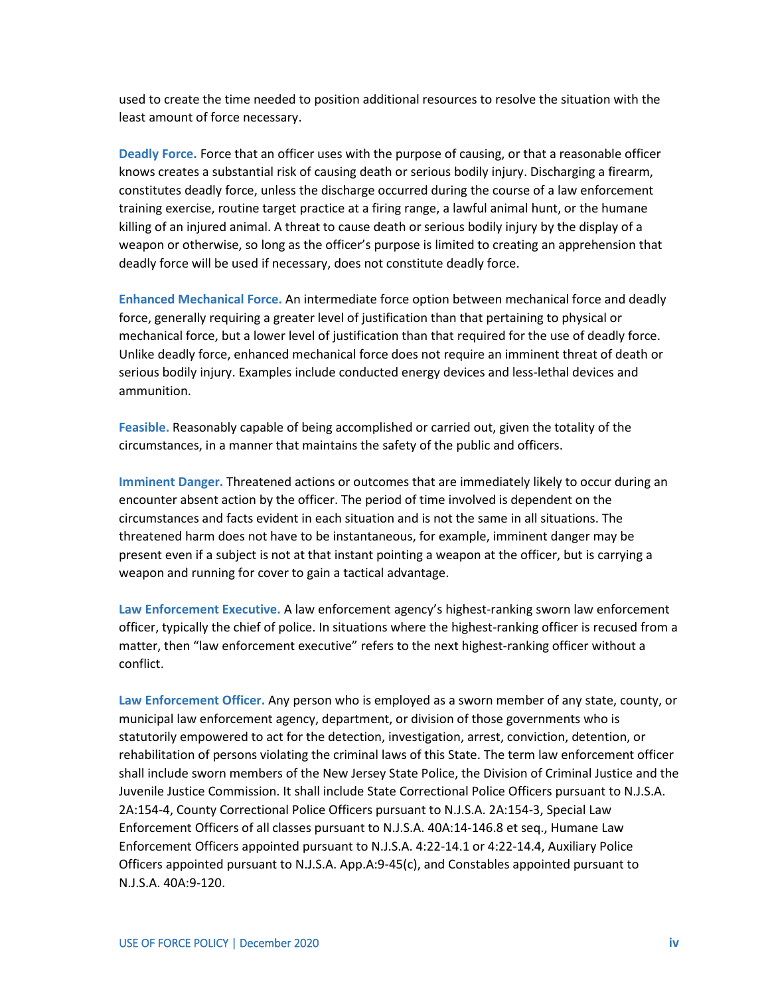used to create the time needed to position additional resources to resolve the situation with the least amount of force necessary.

**Deadly Force.** Force that an officer uses with the purpose of causing, or that a reasonable officer knows creates a substantial risk of causing death or serious bodily injury. Discharging a firearm, constitutes deadly force, unless the discharge occurred during the course of a law enforcement training exercise, routine target practice at a firing range, a lawful animal hunt, or the humane killing of an injured animal. A threat to cause death or serious bodily injury by the display of a weapon or otherwise, so long as the officer's purpose is limited to creating an apprehension that deadly force will be used if necessary, does not constitute deadly force.

**Enhanced Mechanical Force.** An intermediate force option between mechanical force and deadly force, generally requiring a greater level of justification than that pertaining to physical or mechanical force, but a lower level of justification than that required for the use of deadly force. Unlike deadly force, enhanced mechanical force does not require an imminent threat of death or serious bodily injury. Examples include conducted energy devices and less-lethal devices and ammunition.

**Feasible.** Reasonably capable of being accomplished or carried out, given the totality of the circumstances, in a manner that maintains the safety of the public and officers.

**Imminent Danger.** Threatened actions or outcomes that are immediately likely to occur during an encounter absent action by the officer. The period of time involved is dependent on the circumstances and facts evident in each situation and is not the same in all situations. The threatened harm does not have to be instantaneous, for example, imminent danger may be present even if a subject is not at that instant pointing a weapon at the officer, but is carrying a weapon and running for cover to gain a tactical advantage.

**Law Enforcement Executive.** A law enforcement agency's highest-ranking sworn law enforcement officer, typically the chief of police. In situations where the highest-ranking officer is recused from a matter, then "law enforcement executive" refers to the next highest-ranking officer without a conflict.

**Law Enforcement Officer.** Any person who is employed as a sworn member of any state, county, or municipal law enforcement agency, department, or division of those governments who is statutorily empowered to act for the detection, investigation, arrest, conviction, detention, or rehabilitation of persons violating the criminal laws of this State. The term law enforcement officer shall include sworn members of the New Jersey State Police, the Division of Criminal Justice and the Juvenile Justice Commission. It shall include State Correctional Police Officers pursuant to N.J.S.A. 2A:154-4, County Correctional Police Officers pursuant to N.J.S.A. 2A:154-3, Special Law Enforcement Officers of all classes pursuant to N.J.S.A. 40A:14-146.8 et seq., Humane Law Enforcement Officers appointed pursuant to N.J.S.A. 4:22-14.1 or 4:22-14.4, Auxiliary Police Officers appointed pursuant to N.J.S.A. App.A:9-45(c), and Constables appointed pursuant to N.J.S.A. 40A:9-120.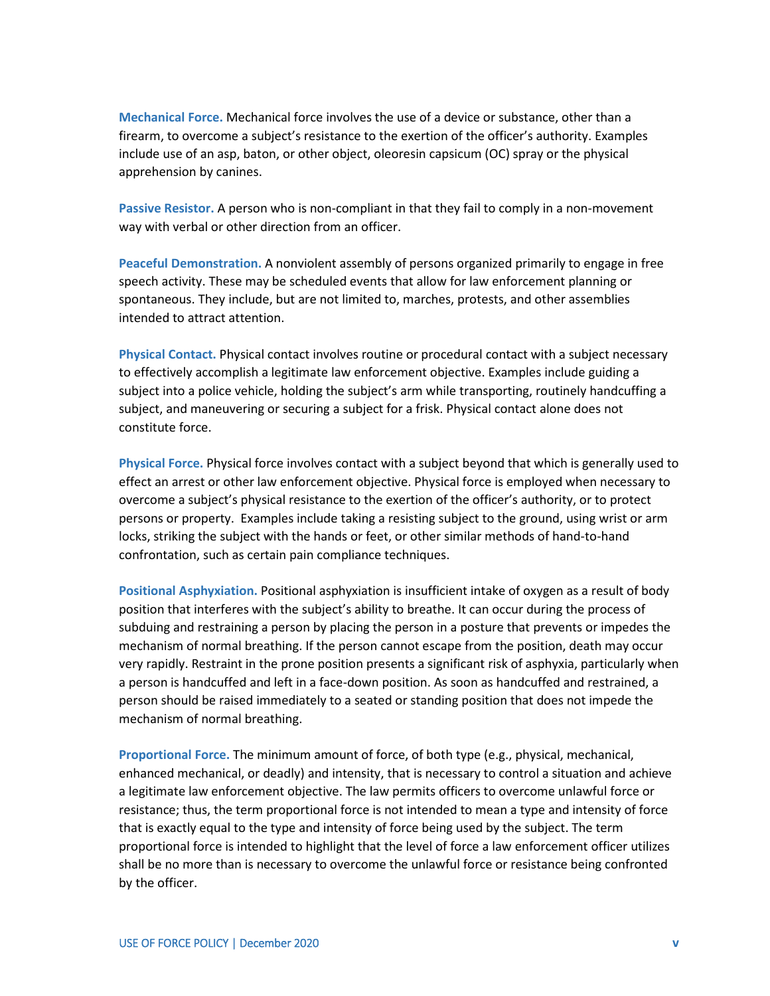**Mechanical Force.** Mechanical force involves the use of a device or substance, other than a firearm, to overcome a subject's resistance to the exertion of the officer's authority. Examples include use of an asp, baton, or other object, oleoresin capsicum (OC) spray or the physical apprehension by canines.

**Passive Resistor.** A person who is non-compliant in that they fail to comply in a non-movement way with verbal or other direction from an officer.

**Peaceful Demonstration.** A nonviolent assembly of persons organized primarily to engage in free speech activity. These may be scheduled events that allow for law enforcement planning or spontaneous. They include, but are not limited to, marches, protests, and other assemblies intended to attract attention.

**Physical Contact.** Physical contact involves routine or procedural contact with a subject necessary to effectively accomplish a legitimate law enforcement objective. Examples include guiding a subject into a police vehicle, holding the subject's arm while transporting, routinely handcuffing a subject, and maneuvering or securing a subject for a frisk. Physical contact alone does not constitute force.

**Physical Force.** Physical force involves contact with a subject beyond that which is generally used to effect an arrest or other law enforcement objective. Physical force is employed when necessary to overcome a subject's physical resistance to the exertion of the officer's authority, or to protect persons or property. Examples include taking a resisting subject to the ground, using wrist or arm locks, striking the subject with the hands or feet, or other similar methods of hand-to-hand confrontation, such as certain pain compliance techniques.

**Positional Asphyxiation.** Positional asphyxiation is insufficient intake of oxygen as a result of body position that interferes with the subject's ability to breathe. It can occur during the process of subduing and restraining a person by placing the person in a posture that prevents or impedes the mechanism of normal breathing. If the person cannot escape from the position, death may occur very rapidly. Restraint in the prone position presents a significant risk of asphyxia, particularly when a person is handcuffed and left in a face-down position. As soon as handcuffed and restrained, a person should be raised immediately to a seated or standing position that does not impede the mechanism of normal breathing.

**Proportional Force.** The minimum amount of force, of both type (e.g., physical, mechanical, enhanced mechanical, or deadly) and intensity, that is necessary to control a situation and achieve a legitimate law enforcement objective. The law permits officers to overcome unlawful force or resistance; thus, the term proportional force is not intended to mean a type and intensity of force that is exactly equal to the type and intensity of force being used by the subject. The term proportional force is intended to highlight that the level of force a law enforcement officer utilizes shall be no more than is necessary to overcome the unlawful force or resistance being confronted by the officer.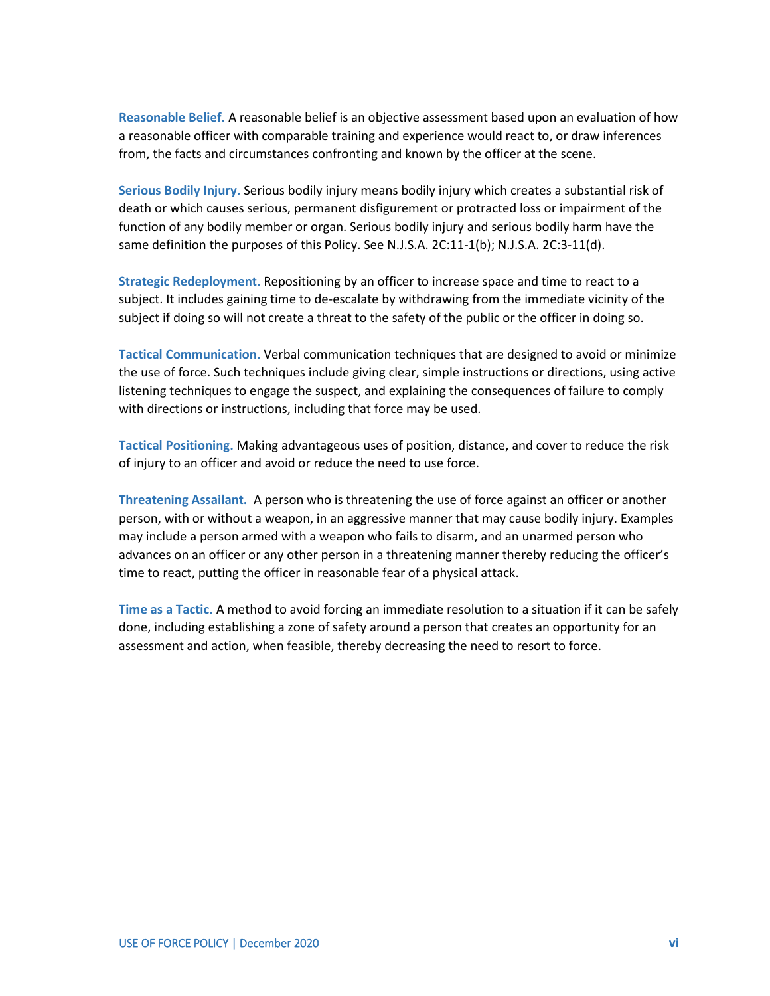**Reasonable Belief.** A reasonable belief is an objective assessment based upon an evaluation of how a reasonable officer with comparable training and experience would react to, or draw inferences from, the facts and circumstances confronting and known by the officer at the scene.

**Serious Bodily Injury.** Serious bodily injury means bodily injury which creates a substantial risk of death or which causes serious, permanent disfigurement or protracted loss or impairment of the function of any bodily member or organ. Serious bodily injury and serious bodily harm have the same definition the purposes of this Policy. See N.J.S.A. 2C:11-1(b); N.J.S.A. 2C:3-11(d).

**Strategic Redeployment.** Repositioning by an officer to increase space and time to react to a subject. It includes gaining time to de-escalate by withdrawing from the immediate vicinity of the subject if doing so will not create a threat to the safety of the public or the officer in doing so.

**Tactical Communication.** Verbal communication techniques that are designed to avoid or minimize the use of force. Such techniques include giving clear, simple instructions or directions, using active listening techniques to engage the suspect, and explaining the consequences of failure to comply with directions or instructions, including that force may be used.

**Tactical Positioning.** Making advantageous uses of position, distance, and cover to reduce the risk of injury to an officer and avoid or reduce the need to use force.

**Threatening Assailant.** A person who is threatening the use of force against an officer or another person, with or without a weapon, in an aggressive manner that may cause bodily injury. Examples may include a person armed with a weapon who fails to disarm, and an unarmed person who advances on an officer or any other person in a threatening manner thereby reducing the officer's time to react, putting the officer in reasonable fear of a physical attack.

<span id="page-11-0"></span>**Time as a Tactic.** A method to avoid forcing an immediate resolution to a situation if it can be safely done, including establishing a zone of safety around a person that creates an opportunity for an assessment and action, when feasible, thereby decreasing the need to resort to force.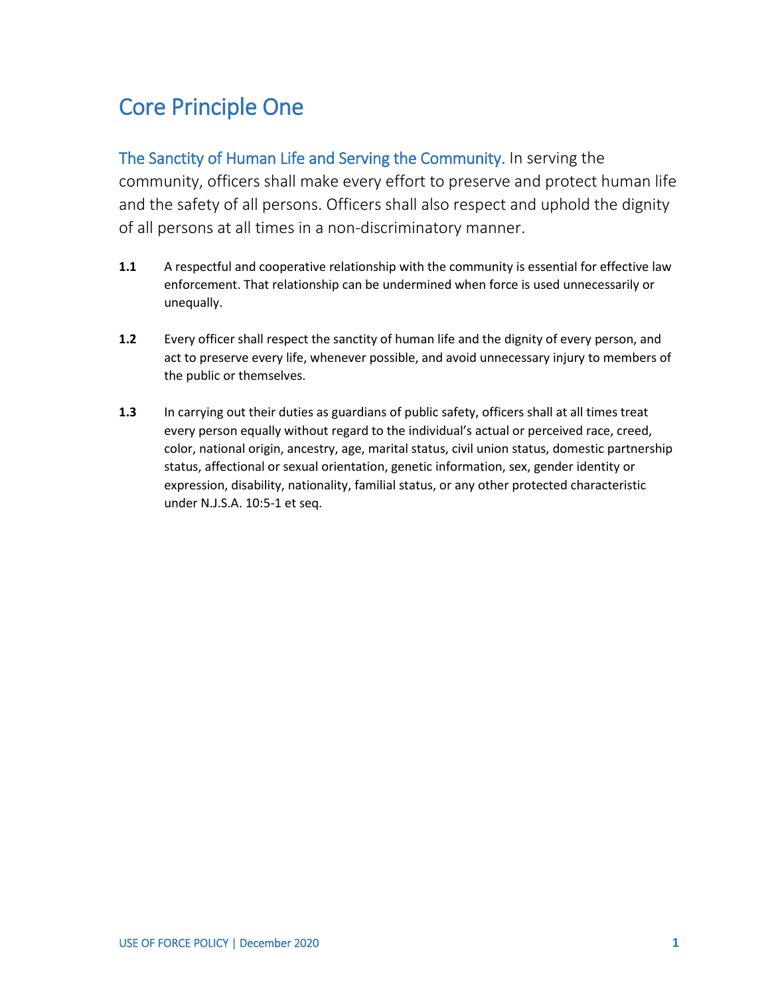### Core Principle One

The Sanctity of Human Life and Serving the Community. In serving the community, officers shall make every effort to preserve and protect human life and the safety of all persons. Officers shall also respect and uphold the dignity of all persons at all times in a non-discriminatory manner.

- **1.1** A respectful and cooperative relationship with the community is essential for effective law enforcement. That relationship can be undermined when force is used unnecessarily or unequally.
- **1.2** Every officer shall respect the sanctity of human life and the dignity of every person, and act to preserve every life, whenever possible, and avoid unnecessary injury to members of the public or themselves.
- **1.3** In carrying out their duties as guardians of public safety, officers shall at all times treat every person equally without regard to the individual's actual or perceived race, creed, color, national origin, ancestry, age, marital status, civil union status, domestic partnership status, affectional or sexual orientation, genetic information, sex, gender identity or expression, disability, nationality, familial status, or any other protected characteristic under N.J.S.A. 10:5-1 et seq.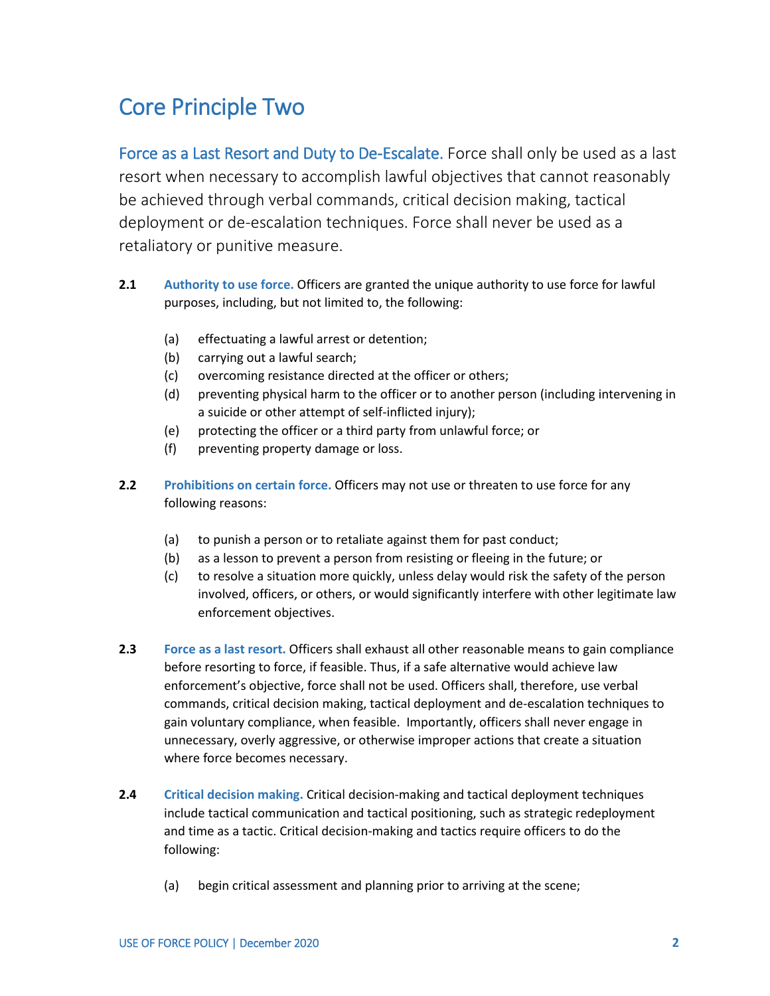#### <span id="page-13-0"></span>Core Principle Two

Force as a Last Resort and Duty to De-Escalate. Force shall only be used as a last resort when necessary to accomplish lawful objectives that cannot reasonably be achieved through verbal commands, critical decision making, tactical deployment or de-escalation techniques. Force shall never be used as a retaliatory or punitive measure.

- **2.1 Authority to use force.** Officers are granted the unique authority to use force for lawful purposes, including, but not limited to, the following:
	- (a) effectuating a lawful arrest or detention;
	- (b) carrying out a lawful search;
	- (c) overcoming resistance directed at the officer or others;
	- (d) preventing physical harm to the officer or to another person (including intervening in a suicide or other attempt of self-inflicted injury);
	- (e) protecting the officer or a third party from unlawful force; or
	- (f) preventing property damage or loss.
- **2.2 Prohibitions on certain force.** Officers may not use or threaten to use force for any following reasons:
	- (a) to punish a person or to retaliate against them for past conduct;
	- (b) as a lesson to prevent a person from resisting or fleeing in the future; or
	- (c) to resolve a situation more quickly, unless delay would risk the safety of the person involved, officers, or others, or would significantly interfere with other legitimate law enforcement objectives.
- **2.3 Force as a last resort.** Officers shall exhaust all other reasonable means to gain compliance before resorting to force, if feasible. Thus, if a safe alternative would achieve law enforcement's objective, force shall not be used. Officers shall, therefore, use verbal commands, critical decision making, tactical deployment and de-escalation techniques to gain voluntary compliance, when feasible. Importantly, officers shall never engage in unnecessary, overly aggressive, or otherwise improper actions that create a situation where force becomes necessary.
- **2.4 Critical decision making.** Critical decision-making and tactical deployment techniques include tactical communication and tactical positioning, such as strategic redeployment and time as a tactic. Critical decision-making and tactics require officers to do the following:
	- (a) begin critical assessment and planning prior to arriving at the scene;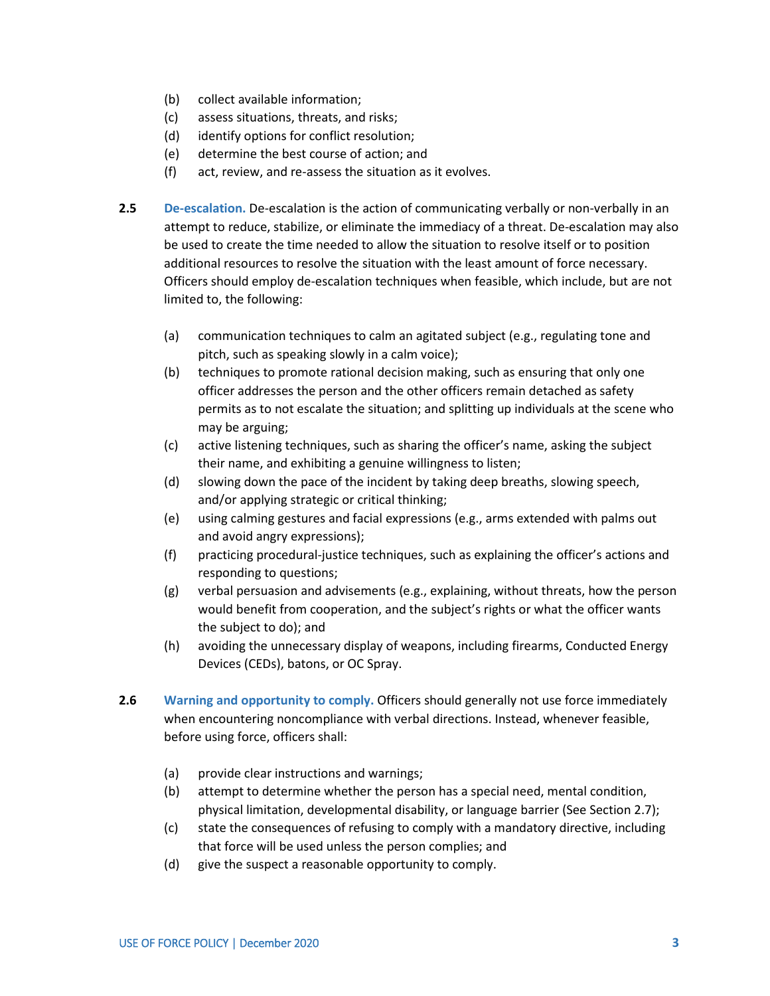- (b) collect available information;
- (c) assess situations, threats, and risks;
- (d) identify options for conflict resolution;
- (e) determine the best course of action; and
- (f) act, review, and re-assess the situation as it evolves.
- **2.5 De-escalation.** De-escalation is the action of communicating verbally or non-verbally in an attempt to reduce, stabilize, or eliminate the immediacy of a threat. De-escalation may also be used to create the time needed to allow the situation to resolve itself or to position additional resources to resolve the situation with the least amount of force necessary. Officers should employ de-escalation techniques when feasible, which include, but are not limited to, the following:
	- (a) communication techniques to calm an agitated subject (e.g., regulating tone and pitch, such as speaking slowly in a calm voice);
	- (b) techniques to promote rational decision making, such as ensuring that only one officer addresses the person and the other officers remain detached as safety permits as to not escalate the situation; and splitting up individuals at the scene who may be arguing;
	- (c) active listening techniques, such as sharing the officer's name, asking the subject their name, and exhibiting a genuine willingness to listen;
	- (d) slowing down the pace of the incident by taking deep breaths, slowing speech, and/or applying strategic or critical thinking;
	- (e) using calming gestures and facial expressions (e.g., arms extended with palms out and avoid angry expressions);
	- (f) practicing procedural-justice techniques, such as explaining the officer's actions and responding to questions;
	- (g) verbal persuasion and advisements (e.g., explaining, without threats, how the person would benefit from cooperation, and the subject's rights or what the officer wants the subject to do); and
	- (h) avoiding the unnecessary display of weapons, including firearms, Conducted Energy Devices (CEDs), batons, or OC Spray.
- **2.6 Warning and opportunity to comply.** Officers should generally not use force immediately when encountering noncompliance with verbal directions. Instead, whenever feasible, before using force, officers shall:
	- (a) provide clear instructions and warnings;
	- (b) attempt to determine whether the person has a special need, mental condition, physical limitation, developmental disability, or language barrier (See Section 2.7);
	- (c) state the consequences of refusing to comply with a mandatory directive, including that force will be used unless the person complies; and
	- (d) give the suspect a reasonable opportunity to comply.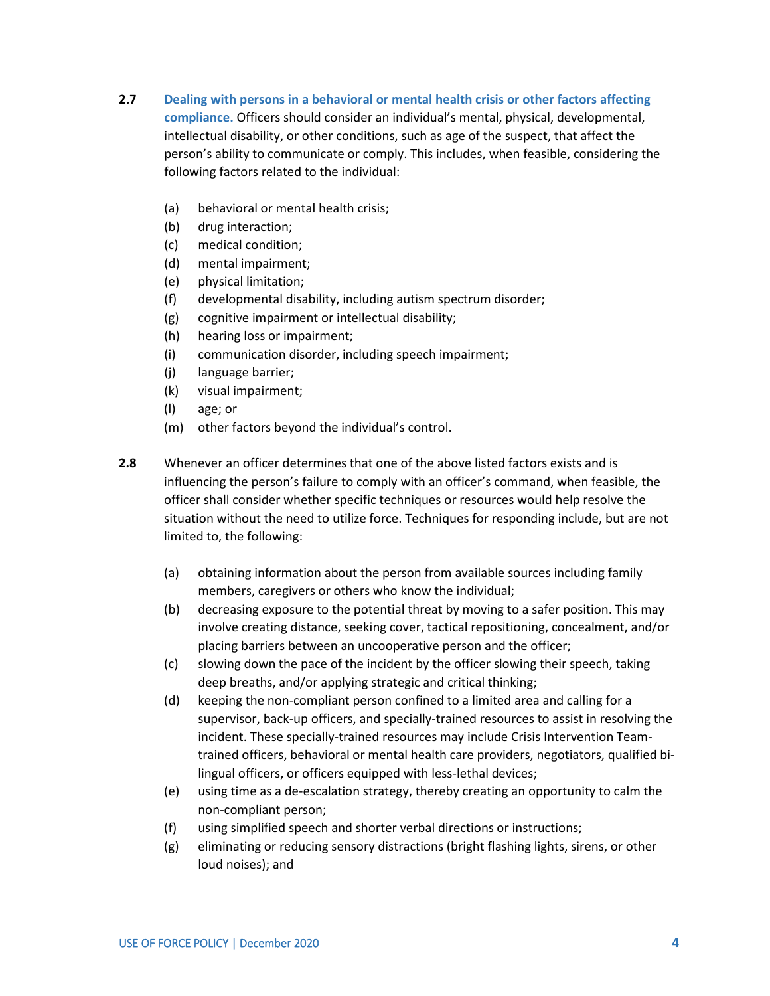- **2.7 Dealing with persons in a behavioral or mental health crisis or other factors affecting compliance.** Officers should consider an individual's mental, physical, developmental, intellectual disability, or other conditions, such as age of the suspect, that affect the person's ability to communicate or comply. This includes, when feasible, considering the following factors related to the individual:
	- (a) behavioral or mental health crisis;
	- (b) drug interaction;
	- (c) medical condition;
	- (d) mental impairment;
	- (e) physical limitation;
	- (f) developmental disability, including autism spectrum disorder;
	- (g) cognitive impairment or intellectual disability;
	- (h) hearing loss or impairment;
	- (i) communication disorder, including speech impairment;
	- (j) language barrier;
	- (k) visual impairment;
	- (l) age; or
	- (m) other factors beyond the individual's control.
- **2.8** Whenever an officer determines that one of the above listed factors exists and is influencing the person's failure to comply with an officer's command, when feasible, the officer shall consider whether specific techniques or resources would help resolve the situation without the need to utilize force. Techniques for responding include, but are not limited to, the following:
	- (a) obtaining information about the person from available sources including family members, caregivers or others who know the individual;
	- (b) decreasing exposure to the potential threat by moving to a safer position. This may involve creating distance, seeking cover, tactical repositioning, concealment, and/or placing barriers between an uncooperative person and the officer;
	- (c) slowing down the pace of the incident by the officer slowing their speech, taking deep breaths, and/or applying strategic and critical thinking;
	- (d) keeping the non-compliant person confined to a limited area and calling for a supervisor, back-up officers, and specially-trained resources to assist in resolving the incident. These specially-trained resources may include Crisis Intervention Teamtrained officers, behavioral or mental health care providers, negotiators, qualified bilingual officers, or officers equipped with less-lethal devices;
	- (e) using time as a de-escalation strategy, thereby creating an opportunity to calm the non-compliant person;
	- (f) using simplified speech and shorter verbal directions or instructions;
	- (g) eliminating or reducing sensory distractions (bright flashing lights, sirens, or other loud noises); and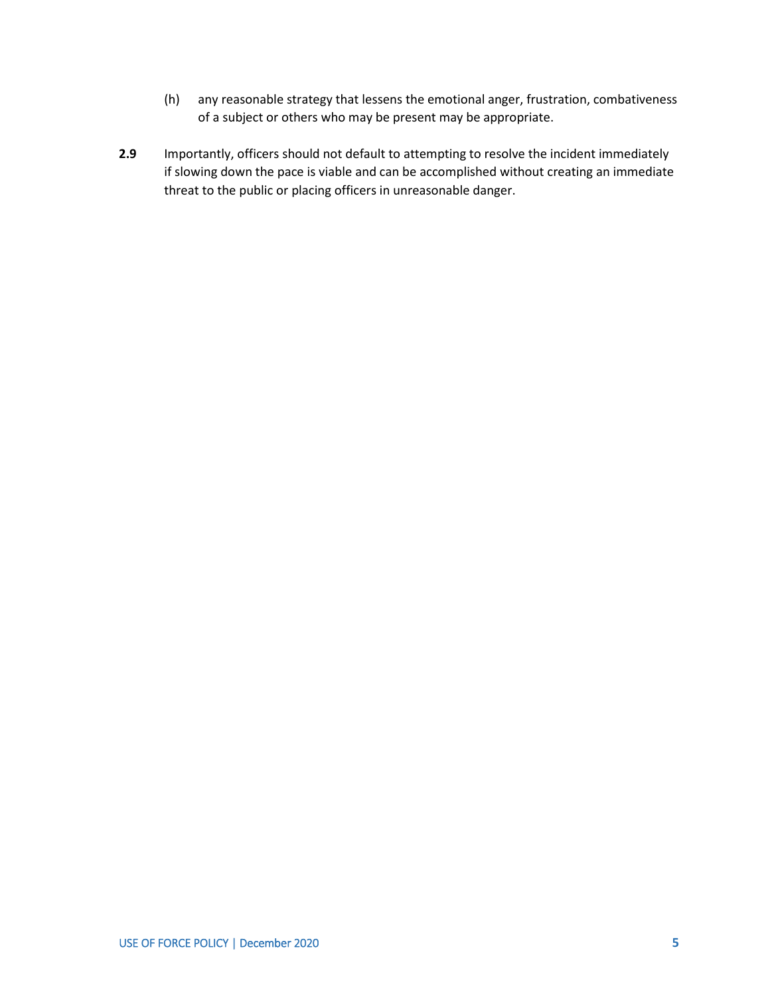- (h) any reasonable strategy that lessens the emotional anger, frustration, combativeness of a subject or others who may be present may be appropriate.
- **2.9** Importantly, officers should not default to attempting to resolve the incident immediately if slowing down the pace is viable and can be accomplished without creating an immediate threat to the public or placing officers in unreasonable danger.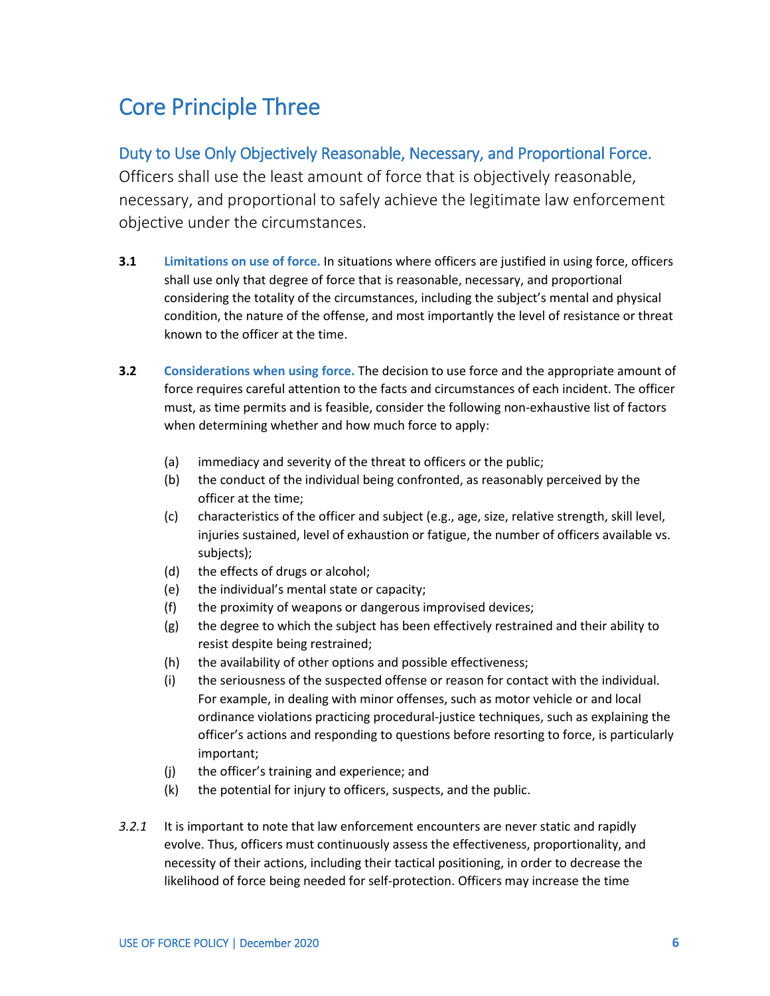#### <span id="page-17-0"></span>Core Principle Three

#### Duty to Use Only Objectively Reasonable, Necessary, and Proportional Force.

Officers shall use the least amount of force that is objectively reasonable, necessary, and proportional to safely achieve the legitimate law enforcement objective under the circumstances.

- **3.1 Limitations on use of force.** In situations where officers are justified in using force, officers shall use only that degree of force that is reasonable, necessary, and proportional considering the totality of the circumstances, including the subject's mental and physical condition, the nature of the offense, and most importantly the level of resistance or threat known to the officer at the time.
- **3.2 Considerations when using force.** The decision to use force and the appropriate amount of force requires careful attention to the facts and circumstances of each incident. The officer must, as time permits and is feasible, consider the following non-exhaustive list of factors when determining whether and how much force to apply:
	- (a) immediacy and severity of the threat to officers or the public;
	- (b) the conduct of the individual being confronted, as reasonably perceived by the officer at the time;
	- (c) characteristics of the officer and subject (e.g., age, size, relative strength, skill level, injuries sustained, level of exhaustion or fatigue, the number of officers available vs. subjects);
	- (d) the effects of drugs or alcohol;
	- (e) the individual's mental state or capacity;
	- (f) the proximity of weapons or dangerous improvised devices;
	- (g) the degree to which the subject has been effectively restrained and their ability to resist despite being restrained;
	- (h) the availability of other options and possible effectiveness;
	- (i) the seriousness of the suspected offense or reason for contact with the individual. For example, in dealing with minor offenses, such as motor vehicle or and local ordinance violations practicing procedural-justice techniques, such as explaining the officer's actions and responding to questions before resorting to force, is particularly important;
	- (j) the officer's training and experience; and
	- $(k)$  the potential for injury to officers, suspects, and the public.
- *3.2.1* It is important to note that law enforcement encounters are never static and rapidly evolve. Thus, officers must continuously assess the effectiveness, proportionality, and necessity of their actions, including their tactical positioning, in order to decrease the likelihood of force being needed for self-protection. Officers may increase the time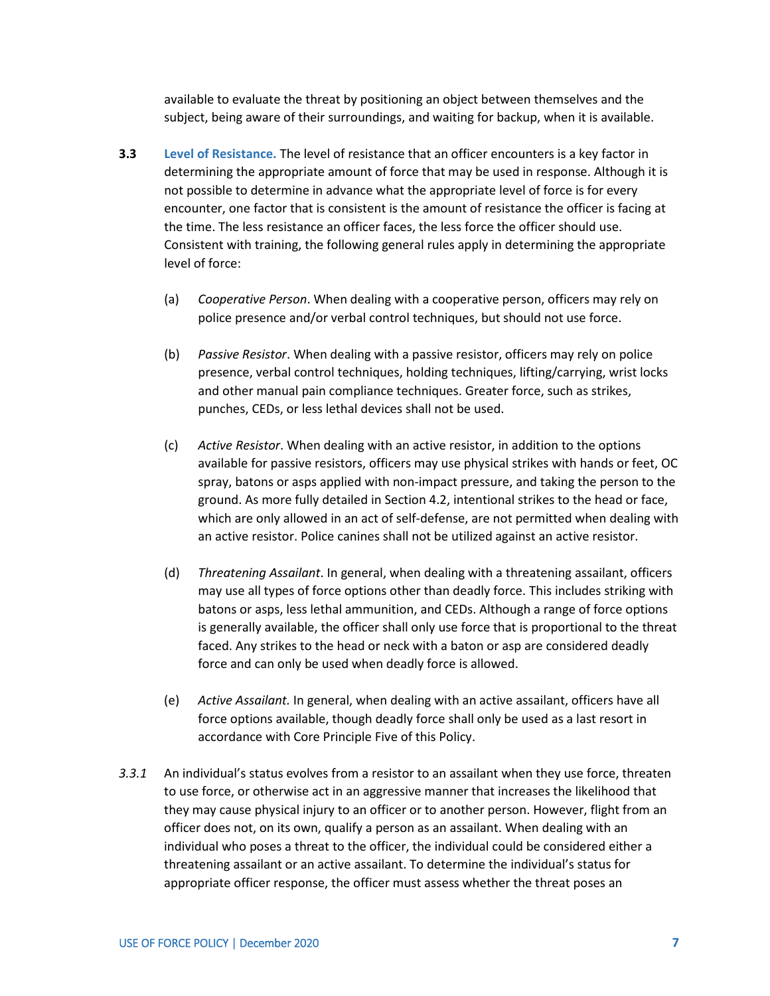available to evaluate the threat by positioning an object between themselves and the subject, being aware of their surroundings, and waiting for backup, when it is available.

- **3.3 Level of Resistance.** The level of resistance that an officer encounters is a key factor in determining the appropriate amount of force that may be used in response. Although it is not possible to determine in advance what the appropriate level of force is for every encounter, one factor that is consistent is the amount of resistance the officer is facing at the time. The less resistance an officer faces, the less force the officer should use. Consistent with training, the following general rules apply in determining the appropriate level of force:
	- (a) *Cooperative Person*. When dealing with a cooperative person, officers may rely on police presence and/or verbal control techniques, but should not use force.
	- (b) *Passive Resistor*. When dealing with a passive resistor, officers may rely on police presence, verbal control techniques, holding techniques, lifting/carrying, wrist locks and other manual pain compliance techniques. Greater force, such as strikes, punches, CEDs, or less lethal devices shall not be used.
	- (c) *Active Resistor*. When dealing with an active resistor, in addition to the options available for passive resistors, officers may use physical strikes with hands or feet, OC spray, batons or asps applied with non-impact pressure, and taking the person to the ground. As more fully detailed in Section 4.2, intentional strikes to the head or face, which are only allowed in an act of self-defense, are not permitted when dealing with an active resistor. Police canines shall not be utilized against an active resistor.
	- (d) *Threatening Assailant*. In general, when dealing with a threatening assailant, officers may use all types of force options other than deadly force. This includes striking with batons or asps, less lethal ammunition, and CEDs. Although a range of force options is generally available, the officer shall only use force that is proportional to the threat faced. Any strikes to the head or neck with a baton or asp are considered deadly force and can only be used when deadly force is allowed.
	- (e) *Active Assailant.* In general, when dealing with an active assailant, officers have all force options available, though deadly force shall only be used as a last resort in accordance with Core Principle Five of this Policy.
- *3.3.1* An individual's status evolves from a resistor to an assailant when they use force, threaten to use force, or otherwise act in an aggressive manner that increases the likelihood that they may cause physical injury to an officer or to another person. However, flight from an officer does not, on its own, qualify a person as an assailant. When dealing with an individual who poses a threat to the officer, the individual could be considered either a threatening assailant or an active assailant. To determine the individual's status for appropriate officer response, the officer must assess whether the threat poses an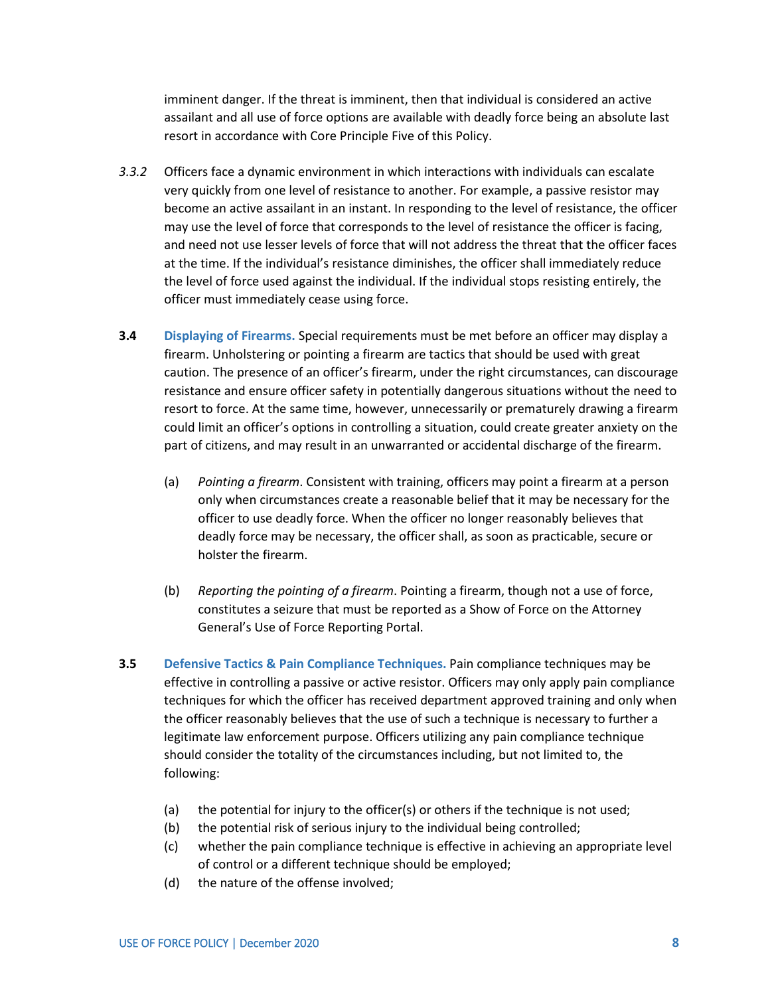imminent danger. If the threat is imminent, then that individual is considered an active assailant and all use of force options are available with deadly force being an absolute last resort in accordance with Core Principle Five of this Policy.

- *3.3.2* Officers face a dynamic environment in which interactions with individuals can escalate very quickly from one level of resistance to another. For example, a passive resistor may become an active assailant in an instant. In responding to the level of resistance, the officer may use the level of force that corresponds to the level of resistance the officer is facing, and need not use lesser levels of force that will not address the threat that the officer faces at the time. If the individual's resistance diminishes, the officer shall immediately reduce the level of force used against the individual. If the individual stops resisting entirely, the officer must immediately cease using force.
- **3.4 Displaying of Firearms.** Special requirements must be met before an officer may display a firearm. Unholstering or pointing a firearm are tactics that should be used with great caution. The presence of an officer's firearm, under the right circumstances, can discourage resistance and ensure officer safety in potentially dangerous situations without the need to resort to force. At the same time, however, unnecessarily or prematurely drawing a firearm could limit an officer's options in controlling a situation, could create greater anxiety on the part of citizens, and may result in an unwarranted or accidental discharge of the firearm.
	- (a) *Pointing a firearm*. Consistent with training, officers may point a firearm at a person only when circumstances create a reasonable belief that it may be necessary for the officer to use deadly force. When the officer no longer reasonably believes that deadly force may be necessary, the officer shall, as soon as practicable, secure or holster the firearm.
	- (b) *Reporting the pointing of a firearm*. Pointing a firearm, though not a use of force, constitutes a seizure that must be reported as a Show of Force on the Attorney General's Use of Force Reporting Portal.
- **3.5 Defensive Tactics & Pain Compliance Techniques.** Pain compliance techniques may be effective in controlling a passive or active resistor. Officers may only apply pain compliance techniques for which the officer has received department approved training and only when the officer reasonably believes that the use of such a technique is necessary to further a legitimate law enforcement purpose. Officers utilizing any pain compliance technique should consider the totality of the circumstances including, but not limited to, the following:
	- (a) the potential for injury to the officer(s) or others if the technique is not used;
	- (b) the potential risk of serious injury to the individual being controlled;
	- (c) whether the pain compliance technique is effective in achieving an appropriate level of control or a different technique should be employed;
	- (d) the nature of the offense involved;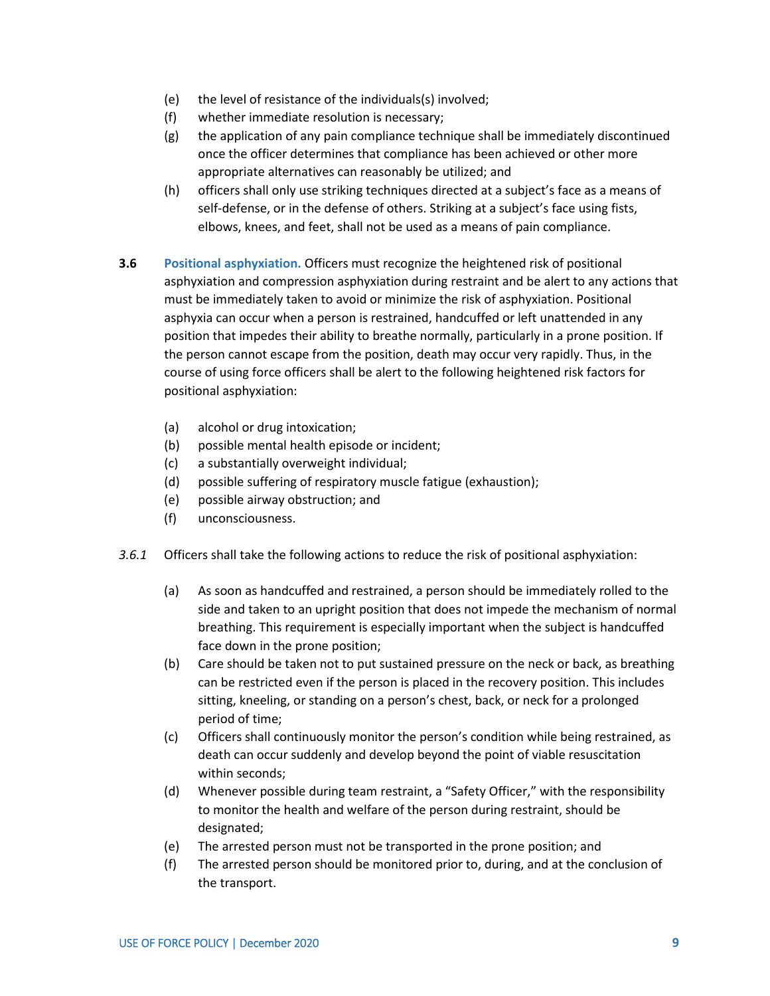- (e) the level of resistance of the individuals(s) involved;
- (f) whether immediate resolution is necessary;
- (g) the application of any pain compliance technique shall be immediately discontinued once the officer determines that compliance has been achieved or other more appropriate alternatives can reasonably be utilized; and
- (h) officers shall only use striking techniques directed at a subject's face as a means of self-defense, or in the defense of others. Striking at a subject's face using fists, elbows, knees, and feet, shall not be used as a means of pain compliance.
- **3.6 Positional asphyxiation.** Officers must recognize the heightened risk of positional asphyxiation and compression asphyxiation during restraint and be alert to any actions that must be immediately taken to avoid or minimize the risk of asphyxiation. Positional asphyxia can occur when a person is restrained, handcuffed or left unattended in any position that impedes their ability to breathe normally, particularly in a prone position. If the person cannot escape from the position, death may occur very rapidly. Thus, in the course of using force officers shall be alert to the following heightened risk factors for positional asphyxiation:
	- (a) alcohol or drug intoxication;
	- (b) possible mental health episode or incident;
	- (c) a substantially overweight individual;
	- (d) possible suffering of respiratory muscle fatigue (exhaustion);
	- (e) possible airway obstruction; and
	- (f) unconsciousness.
- *3.6.1* Officers shall take the following actions to reduce the risk of positional asphyxiation:
	- (a) As soon as handcuffed and restrained, a person should be immediately rolled to the side and taken to an upright position that does not impede the mechanism of normal breathing. This requirement is especially important when the subject is handcuffed face down in the prone position;
	- (b) Care should be taken not to put sustained pressure on the neck or back, as breathing can be restricted even if the person is placed in the recovery position. This includes sitting, kneeling, or standing on a person's chest, back, or neck for a prolonged period of time;
	- (c) Officers shall continuously monitor the person's condition while being restrained, as death can occur suddenly and develop beyond the point of viable resuscitation within seconds;
	- (d) Whenever possible during team restraint, a "Safety Officer," with the responsibility to monitor the health and welfare of the person during restraint, should be designated;
	- (e) The arrested person must not be transported in the prone position; and
	- (f) The arrested person should be monitored prior to, during, and at the conclusion of the transport.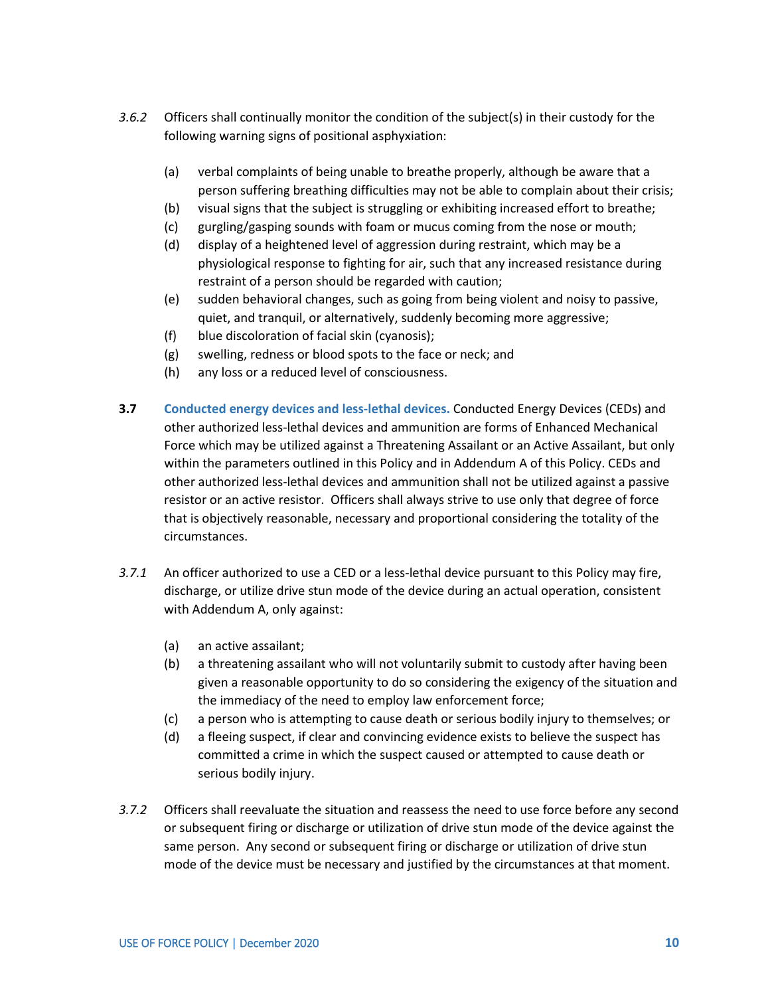- *3.6.2* Officers shall continually monitor the condition of the subject(s) in their custody for the following warning signs of positional asphyxiation:
	- (a) verbal complaints of being unable to breathe properly, although be aware that a person suffering breathing difficulties may not be able to complain about their crisis;
	- (b) visual signs that the subject is struggling or exhibiting increased effort to breathe;
	- (c) gurgling/gasping sounds with foam or mucus coming from the nose or mouth;
	- (d) display of a heightened level of aggression during restraint, which may be a physiological response to fighting for air, such that any increased resistance during restraint of a person should be regarded with caution;
	- (e) sudden behavioral changes, such as going from being violent and noisy to passive, quiet, and tranquil, or alternatively, suddenly becoming more aggressive;
	- (f) blue discoloration of facial skin (cyanosis);
	- (g) swelling, redness or blood spots to the face or neck; and
	- (h) any loss or a reduced level of consciousness.
- **3.7 Conducted energy devices and less-lethal devices.** Conducted Energy Devices (CEDs) and other authorized less-lethal devices and ammunition are forms of Enhanced Mechanical Force which may be utilized against a Threatening Assailant or an Active Assailant, but only within the parameters outlined in this Policy and in Addendum A of this Policy. CEDs and other authorized less-lethal devices and ammunition shall not be utilized against a passive resistor or an active resistor. Officers shall always strive to use only that degree of force that is objectively reasonable, necessary and proportional considering the totality of the circumstances.
- *3.7.1* An officer authorized to use a CED or a less-lethal device pursuant to this Policy may fire, discharge, or utilize drive stun mode of the device during an actual operation, consistent with Addendum A, only against:
	- (a) an active assailant;
	- (b) a threatening assailant who will not voluntarily submit to custody after having been given a reasonable opportunity to do so considering the exigency of the situation and the immediacy of the need to employ law enforcement force;
	- (c) a person who is attempting to cause death or serious bodily injury to themselves; or
	- (d) a fleeing suspect, if clear and convincing evidence exists to believe the suspect has committed a crime in which the suspect caused or attempted to cause death or serious bodily injury.
- *3.7.2* Officers shall reevaluate the situation and reassess the need to use force before any second or subsequent firing or discharge or utilization of drive stun mode of the device against the same person. Any second or subsequent firing or discharge or utilization of drive stun mode of the device must be necessary and justified by the circumstances at that moment.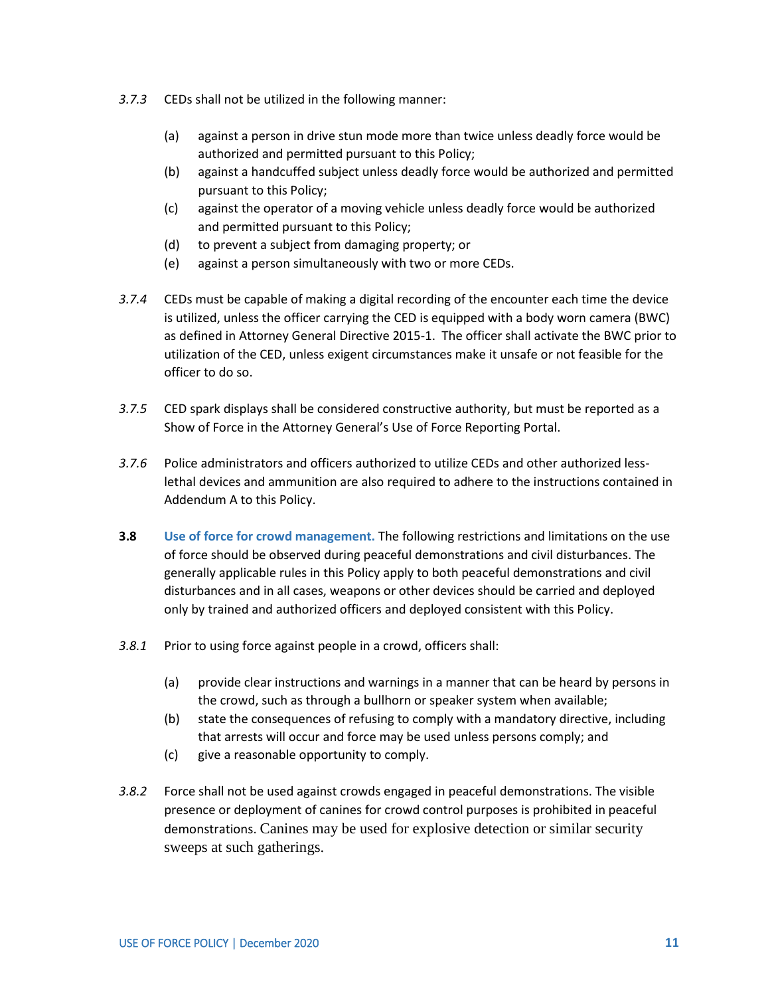- *3.7.3* CEDs shall not be utilized in the following manner:
	- (a) against a person in drive stun mode more than twice unless deadly force would be authorized and permitted pursuant to this Policy;
	- (b) against a handcuffed subject unless deadly force would be authorized and permitted pursuant to this Policy;
	- (c) against the operator of a moving vehicle unless deadly force would be authorized and permitted pursuant to this Policy;
	- (d) to prevent a subject from damaging property; or
	- (e) against a person simultaneously with two or more CEDs.
- *3.7.4* CEDs must be capable of making a digital recording of the encounter each time the device is utilized, unless the officer carrying the CED is equipped with a body worn camera (BWC) as defined in Attorney General Directive 2015-1. The officer shall activate the BWC prior to utilization of the CED, unless exigent circumstances make it unsafe or not feasible for the officer to do so.
- *3.7.5* CED spark displays shall be considered constructive authority, but must be reported as a Show of Force in the Attorney General's Use of Force Reporting Portal.
- *3.7.6* Police administrators and officers authorized to utilize CEDs and other authorized lesslethal devices and ammunition are also required to adhere to the instructions contained in Addendum A to this Policy.
- **3.8 Use of force for crowd management.** The following restrictions and limitations on the use of force should be observed during peaceful demonstrations and civil disturbances. The generally applicable rules in this Policy apply to both peaceful demonstrations and civil disturbances and in all cases, weapons or other devices should be carried and deployed only by trained and authorized officers and deployed consistent with this Policy.
- *3.8.1* Prior to using force against people in a crowd, officers shall:
	- (a) provide clear instructions and warnings in a manner that can be heard by persons in the crowd, such as through a bullhorn or speaker system when available;
	- (b) state the consequences of refusing to comply with a mandatory directive, including that arrests will occur and force may be used unless persons comply; and
	- (c) give a reasonable opportunity to comply.
- *3.8.2* Force shall not be used against crowds engaged in peaceful demonstrations. The visible presence or deployment of canines for crowd control purposes is prohibited in peaceful demonstrations. Canines may be used for explosive detection or similar security sweeps at such gatherings.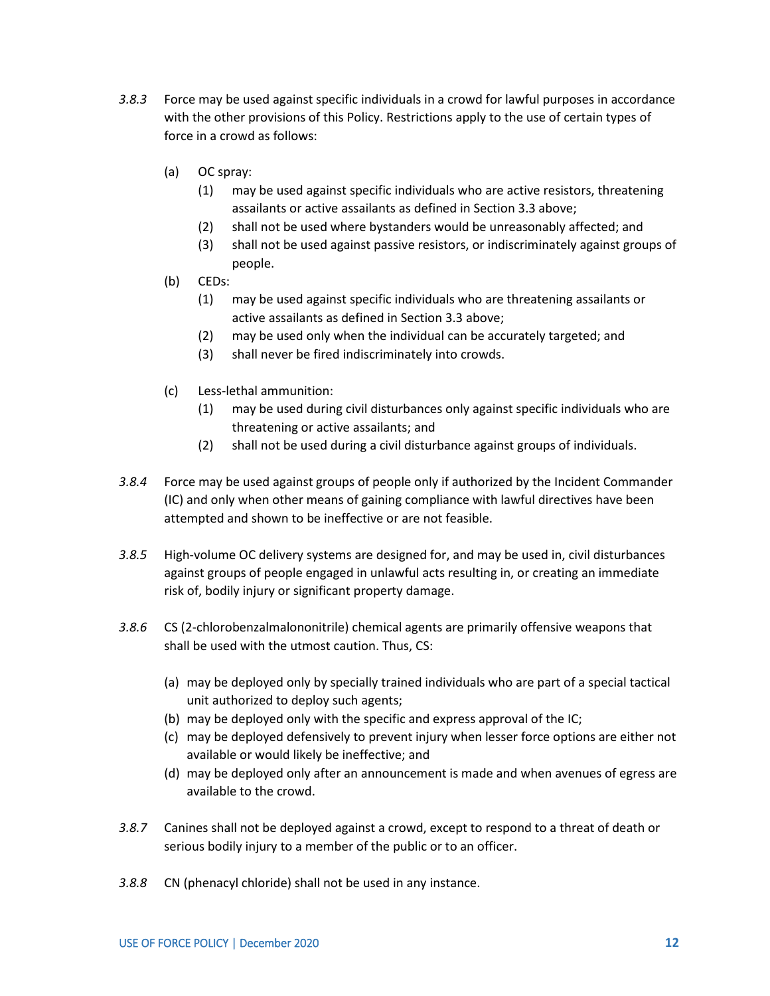- *3.8.3* Force may be used against specific individuals in a crowd for lawful purposes in accordance with the other provisions of this Policy. Restrictions apply to the use of certain types of force in a crowd as follows:
	- (a) OC spray:
		- (1) may be used against specific individuals who are active resistors, threatening assailants or active assailants as defined in Section 3.3 above;
		- (2) shall not be used where bystanders would be unreasonably affected; and
		- (3) shall not be used against passive resistors, or indiscriminately against groups of people.
	- (b) CEDs:
		- (1) may be used against specific individuals who are threatening assailants or active assailants as defined in Section 3.3 above;
		- (2) may be used only when the individual can be accurately targeted; and
		- (3) shall never be fired indiscriminately into crowds.
	- (c) Less-lethal ammunition:
		- (1) may be used during civil disturbances only against specific individuals who are threatening or active assailants; and
		- (2) shall not be used during a civil disturbance against groups of individuals.
- *3.8.4* Force may be used against groups of people only if authorized by the Incident Commander (IC) and only when other means of gaining compliance with lawful directives have been attempted and shown to be ineffective or are not feasible.
- *3.8.5* High-volume OC delivery systems are designed for, and may be used in, civil disturbances against groups of people engaged in unlawful acts resulting in, or creating an immediate risk of, bodily injury or significant property damage.
- *3.8.6* CS (2-chlorobenzalmalononitrile) chemical agents are primarily offensive weapons that shall be used with the utmost caution. Thus, CS:
	- (a) may be deployed only by specially trained individuals who are part of a special tactical unit authorized to deploy such agents;
	- (b) may be deployed only with the specific and express approval of the IC;
	- (c) may be deployed defensively to prevent injury when lesser force options are either not available or would likely be ineffective; and
	- (d) may be deployed only after an announcement is made and when avenues of egress are available to the crowd.
- *3.8.7* Canines shall not be deployed against a crowd, except to respond to a threat of death or serious bodily injury to a member of the public or to an officer.
- *3.8.8* CN (phenacyl chloride) shall not be used in any instance.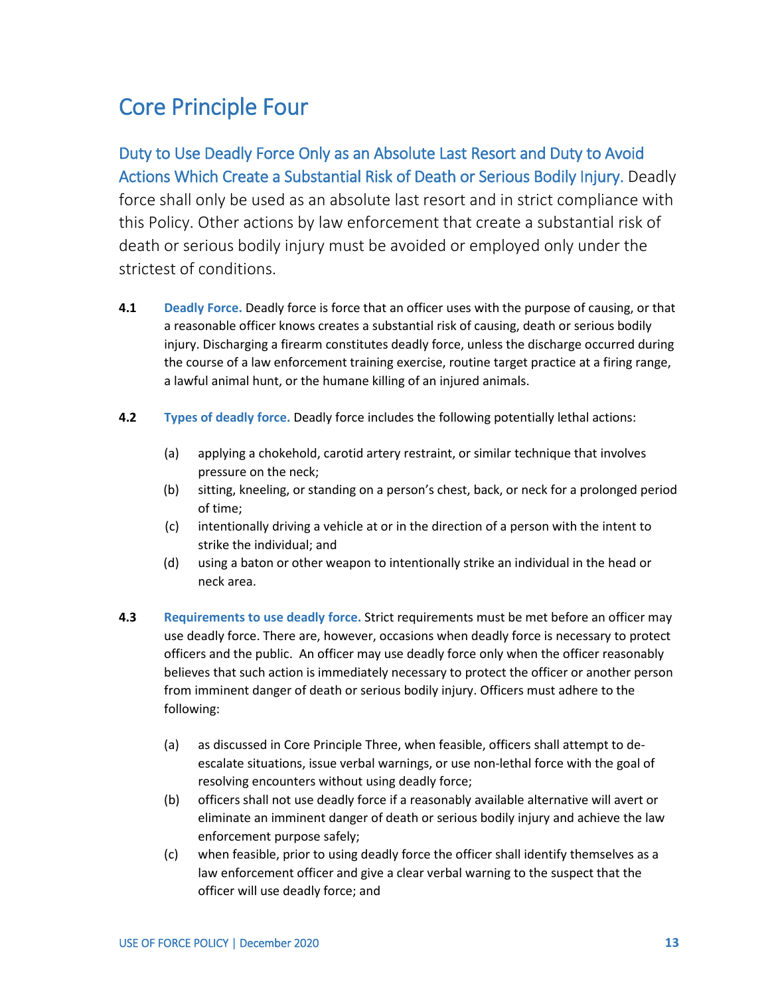#### <span id="page-24-0"></span>Core Principle Four

Duty to Use Deadly Force Only as an Absolute Last Resort and Duty to Avoid Actions Which Create a Substantial Risk of Death or Serious Bodily Injury. Deadly force shall only be used as an absolute last resort and in strict compliance with this Policy. Other actions by law enforcement that create a substantial risk of death or serious bodily injury must be avoided or employed only under the strictest of conditions.

- **4.1 Deadly Force.** Deadly force is force that an officer uses with the purpose of causing, or that a reasonable officer knows creates a substantial risk of causing, death or serious bodily injury. Discharging a firearm constitutes deadly force, unless the discharge occurred during the course of a law enforcement training exercise, routine target practice at a firing range, a lawful animal hunt, or the humane killing of an injured animals.
- **4.2 Types of deadly force.** Deadly force includes the following potentially lethal actions:
	- (a) applying a chokehold, carotid artery restraint, or similar technique that involves pressure on the neck;
	- (b) sitting, kneeling, or standing on a person's chest, back, or neck for a prolonged period of time;
	- (c) intentionally driving a vehicle at or in the direction of a person with the intent to strike the individual; and
	- (d) using a baton or other weapon to intentionally strike an individual in the head or neck area.
- **4.3 Requirements to use deadly force.** Strict requirements must be met before an officer may use deadly force. There are, however, occasions when deadly force is necessary to protect officers and the public. An officer may use deadly force only when the officer reasonably believes that such action is immediately necessary to protect the officer or another person from imminent danger of death or serious bodily injury. Officers must adhere to the following:
	- (a) as discussed in Core Principle Three, when feasible, officers shall attempt to deescalate situations, issue verbal warnings, or use non-lethal force with the goal of resolving encounters without using deadly force;
	- (b) officers shall not use deadly force if a reasonably available alternative will avert or eliminate an imminent danger of death or serious bodily injury and achieve the law enforcement purpose safely;
	- (c) when feasible, prior to using deadly force the officer shall identify themselves as a law enforcement officer and give a clear verbal warning to the suspect that the officer will use deadly force; and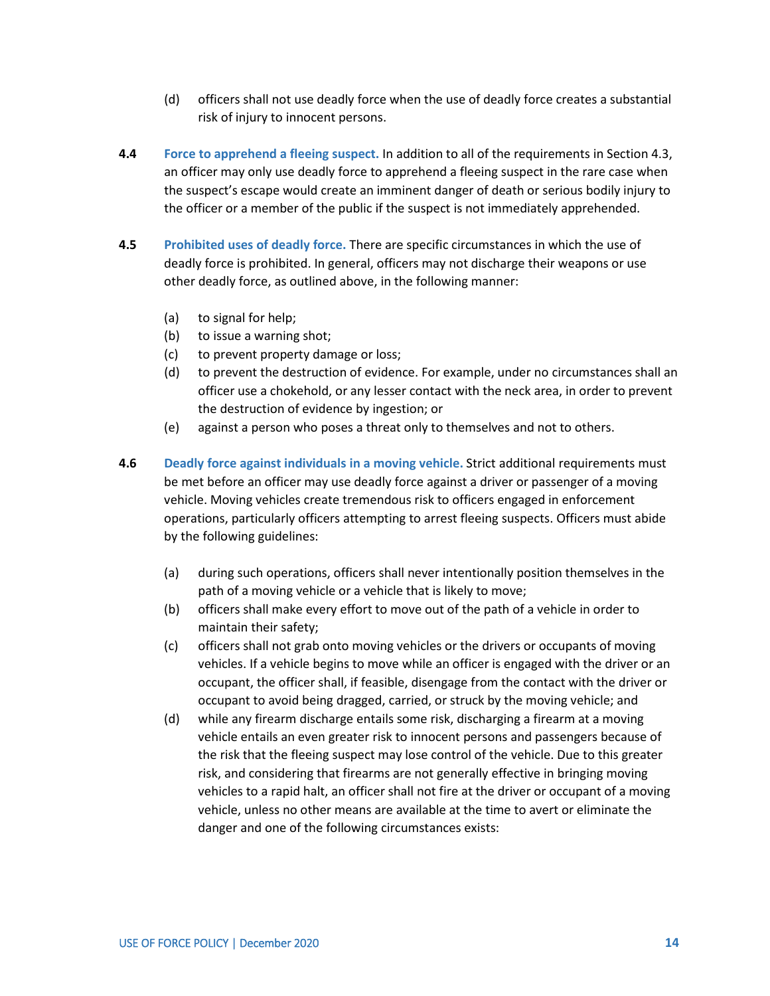- (d) officers shall not use deadly force when the use of deadly force creates a substantial risk of injury to innocent persons.
- **4.4 Force to apprehend a fleeing suspect.** In addition to all of the requirements in Section 4.3, an officer may only use deadly force to apprehend a fleeing suspect in the rare case when the suspect's escape would create an imminent danger of death or serious bodily injury to the officer or a member of the public if the suspect is not immediately apprehended.
- **4.5 Prohibited uses of deadly force.** There are specific circumstances in which the use of deadly force is prohibited. In general, officers may not discharge their weapons or use other deadly force, as outlined above, in the following manner:
	- (a) to signal for help;
	- (b) to issue a warning shot;
	- (c) to prevent property damage or loss;
	- (d) to prevent the destruction of evidence. For example, under no circumstances shall an officer use a chokehold, or any lesser contact with the neck area, in order to prevent the destruction of evidence by ingestion; or
	- (e) against a person who poses a threat only to themselves and not to others.
- **4.6 Deadly force against individuals in a moving vehicle.** Strict additional requirements must be met before an officer may use deadly force against a driver or passenger of a moving vehicle. Moving vehicles create tremendous risk to officers engaged in enforcement operations, particularly officers attempting to arrest fleeing suspects. Officers must abide by the following guidelines:
	- (a) during such operations, officers shall never intentionally position themselves in the path of a moving vehicle or a vehicle that is likely to move;
	- (b) officers shall make every effort to move out of the path of a vehicle in order to maintain their safety;
	- (c) officers shall not grab onto moving vehicles or the drivers or occupants of moving vehicles. If a vehicle begins to move while an officer is engaged with the driver or an occupant, the officer shall, if feasible, disengage from the contact with the driver or occupant to avoid being dragged, carried, or struck by the moving vehicle; and
	- (d) while any firearm discharge entails some risk, discharging a firearm at a moving vehicle entails an even greater risk to innocent persons and passengers because of the risk that the fleeing suspect may lose control of the vehicle. Due to this greater risk, and considering that firearms are not generally effective in bringing moving vehicles to a rapid halt, an officer shall not fire at the driver or occupant of a moving vehicle, unless no other means are available at the time to avert or eliminate the danger and one of the following circumstances exists: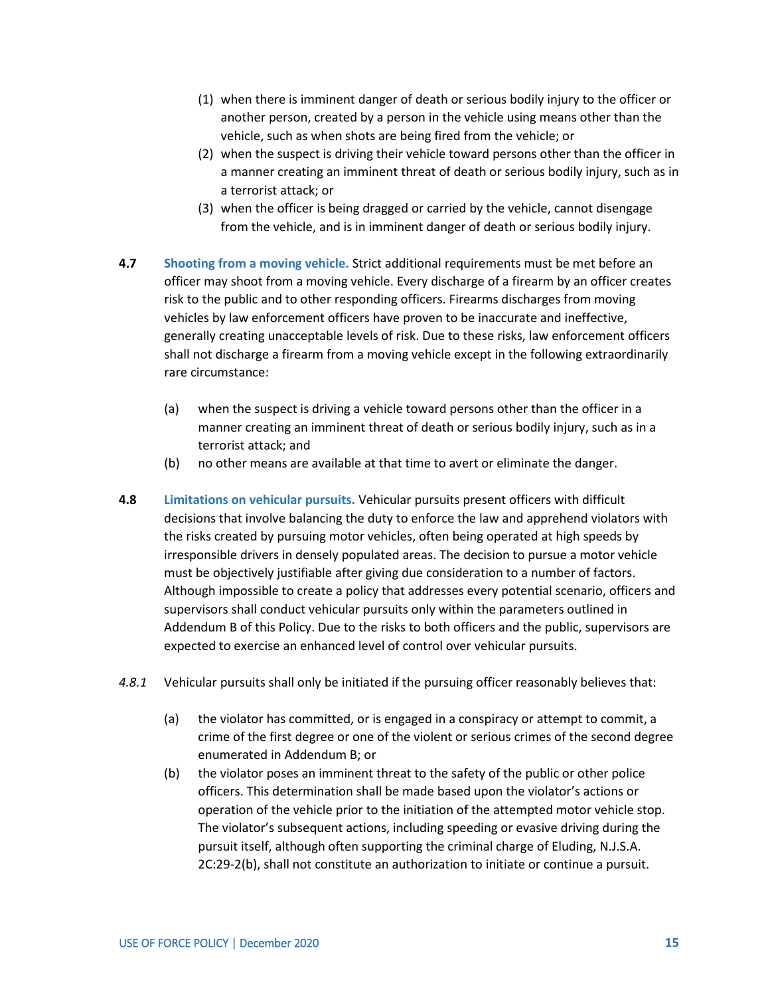- (1) when there is imminent danger of death or serious bodily injury to the officer or another person, created by a person in the vehicle using means other than the vehicle, such as when shots are being fired from the vehicle; or
- (2) when the suspect is driving their vehicle toward persons other than the officer in a manner creating an imminent threat of death or serious bodily injury, such as in a terrorist attack; or
- (3) when the officer is being dragged or carried by the vehicle, cannot disengage from the vehicle, and is in imminent danger of death or serious bodily injury.
- **4.7 Shooting from a moving vehicle.** Strict additional requirements must be met before an officer may shoot from a moving vehicle. Every discharge of a firearm by an officer creates risk to the public and to other responding officers. Firearms discharges from moving vehicles by law enforcement officers have proven to be inaccurate and ineffective, generally creating unacceptable levels of risk. Due to these risks, law enforcement officers shall not discharge a firearm from a moving vehicle except in the following extraordinarily rare circumstance:
	- (a) when the suspect is driving a vehicle toward persons other than the officer in a manner creating an imminent threat of death or serious bodily injury, such as in a terrorist attack; and
	- (b) no other means are available at that time to avert or eliminate the danger.
- **4.8 Limitations on vehicular pursuits.** Vehicular pursuits present officers with difficult decisions that involve balancing the duty to enforce the law and apprehend violators with the risks created by pursuing motor vehicles, often being operated at high speeds by irresponsible drivers in densely populated areas. The decision to pursue a motor vehicle must be objectively justifiable after giving due consideration to a number of factors. Although impossible to create a policy that addresses every potential scenario, officers and supervisors shall conduct vehicular pursuits only within the parameters outlined in Addendum B of this Policy. Due to the risks to both officers and the public, supervisors are expected to exercise an enhanced level of control over vehicular pursuits.
- *4.8.1* Vehicular pursuits shall only be initiated if the pursuing officer reasonably believes that:
	- (a) the violator has committed, or is engaged in a conspiracy or attempt to commit, a crime of the first degree or one of the violent or serious crimes of the second degree enumerated in Addendum B; or
	- (b) the violator poses an imminent threat to the safety of the public or other police officers. This determination shall be made based upon the violator's actions or operation of the vehicle prior to the initiation of the attempted motor vehicle stop. The violator's subsequent actions, including speeding or evasive driving during the pursuit itself, although often supporting the criminal charge of Eluding, N.J.S.A. 2C:29-2(b), shall not constitute an authorization to initiate or continue a pursuit.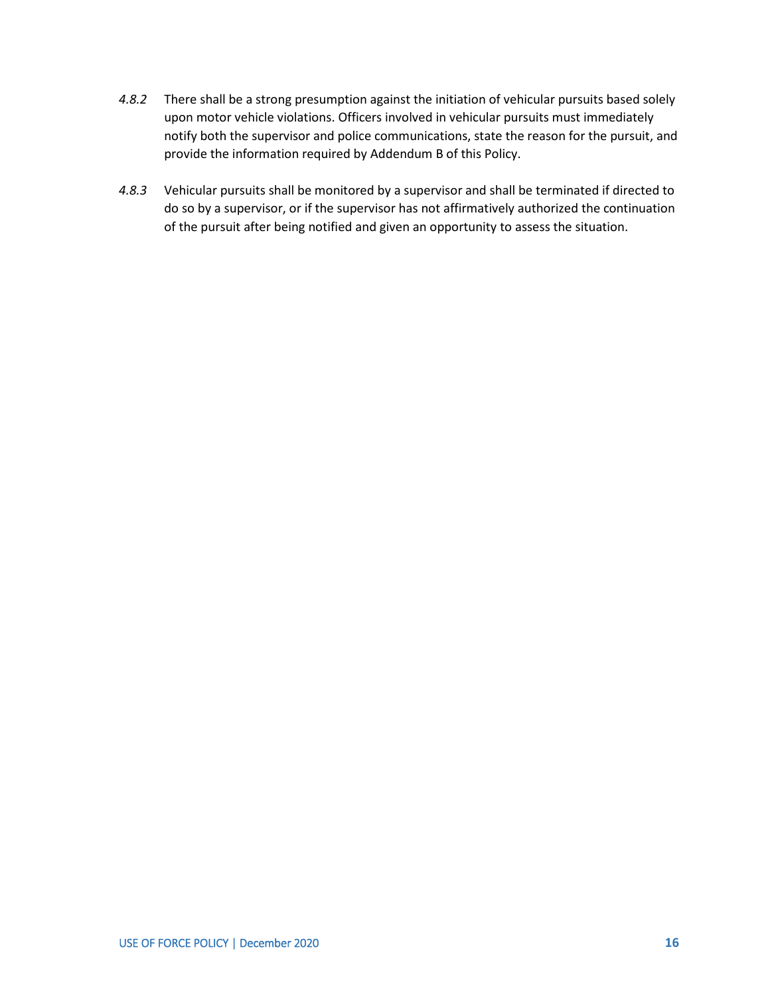- *4.8.2* There shall be a strong presumption against the initiation of vehicular pursuits based solely upon motor vehicle violations. Officers involved in vehicular pursuits must immediately notify both the supervisor and police communications, state the reason for the pursuit, and provide the information required by Addendum B of this Policy.
- *4.8.3* Vehicular pursuits shall be monitored by a supervisor and shall be terminated if directed to do so by a supervisor, or if the supervisor has not affirmatively authorized the continuation of the pursuit after being notified and given an opportunity to assess the situation.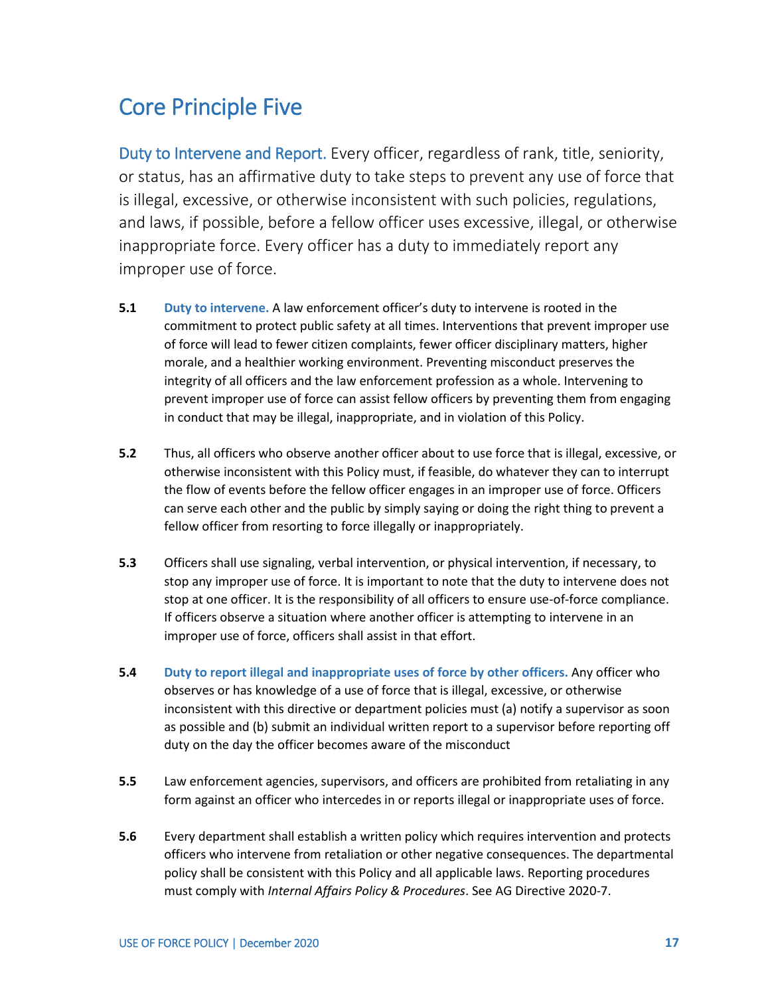#### <span id="page-28-0"></span>Core Principle Five

Duty to Intervene and Report. Every officer, regardless of rank, title, seniority, or status, has an affirmative duty to take steps to prevent any use of force that is illegal, excessive, or otherwise inconsistent with such policies, regulations, and laws, if possible, before a fellow officer uses excessive, illegal, or otherwise inappropriate force. Every officer has a duty to immediately report any improper use of force.

- **5.1 Duty to intervene.** A law enforcement officer's duty to intervene is rooted in the commitment to protect public safety at all times. Interventions that prevent improper use of force will lead to fewer citizen complaints, fewer officer disciplinary matters, higher morale, and a healthier working environment. Preventing misconduct preserves the integrity of all officers and the law enforcement profession as a whole. Intervening to prevent improper use of force can assist fellow officers by preventing them from engaging in conduct that may be illegal, inappropriate, and in violation of this Policy.
- **5.2** Thus, all officers who observe another officer about to use force that is illegal, excessive, or otherwise inconsistent with this Policy must, if feasible, do whatever they can to interrupt the flow of events before the fellow officer engages in an improper use of force. Officers can serve each other and the public by simply saying or doing the right thing to prevent a fellow officer from resorting to force illegally or inappropriately.
- **5.3** Officers shall use signaling, verbal intervention, or physical intervention, if necessary, to stop any improper use of force. It is important to note that the duty to intervene does not stop at one officer. It is the responsibility of all officers to ensure use-of-force compliance. If officers observe a situation where another officer is attempting to intervene in an improper use of force, officers shall assist in that effort.
- **5.4 Duty to report illegal and inappropriate uses of force by other officers.** Any officer who observes or has knowledge of a use of force that is illegal, excessive, or otherwise inconsistent with this directive or department policies must (a) notify a supervisor as soon as possible and (b) submit an individual written report to a supervisor before reporting off duty on the day the officer becomes aware of the misconduct
- **5.5** Law enforcement agencies, supervisors, and officers are prohibited from retaliating in any form against an officer who intercedes in or reports illegal or inappropriate uses of force.
- **5.6** Every department shall establish a written policy which requires intervention and protects officers who intervene from retaliation or other negative consequences. The departmental policy shall be consistent with this Policy and all applicable laws. Reporting procedures must comply with *Internal Affairs Policy & Procedures*. See AG Directive 2020-7.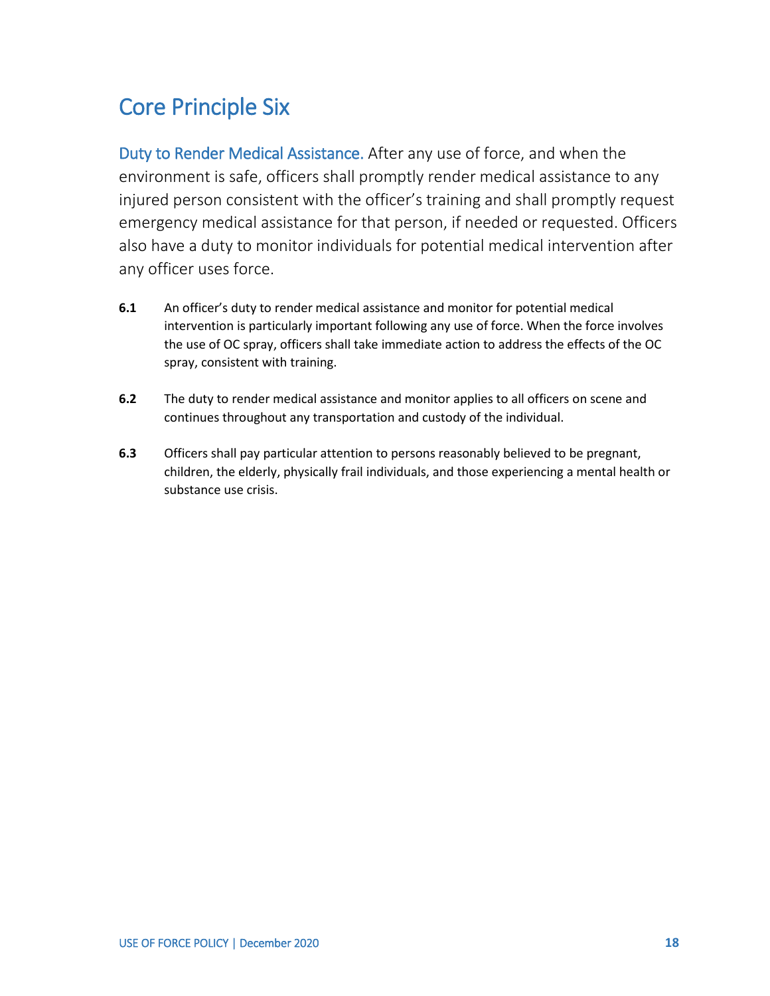### <span id="page-29-0"></span>Core Principle Six

Duty to Render Medical Assistance. After any use of force, and when the environment is safe, officers shall promptly render medical assistance to any injured person consistent with the officer's training and shall promptly request emergency medical assistance for that person, if needed or requested. Officers also have a duty to monitor individuals for potential medical intervention after any officer uses force.

- **6.1** An officer's duty to render medical assistance and monitor for potential medical intervention is particularly important following any use of force. When the force involves the use of OC spray, officers shall take immediate action to address the effects of the OC spray, consistent with training.
- **6.2** The duty to render medical assistance and monitor applies to all officers on scene and continues throughout any transportation and custody of the individual.
- **6.3** Officers shall pay particular attention to persons reasonably believed to be pregnant, children, the elderly, physically frail individuals, and those experiencing a mental health or substance use crisis.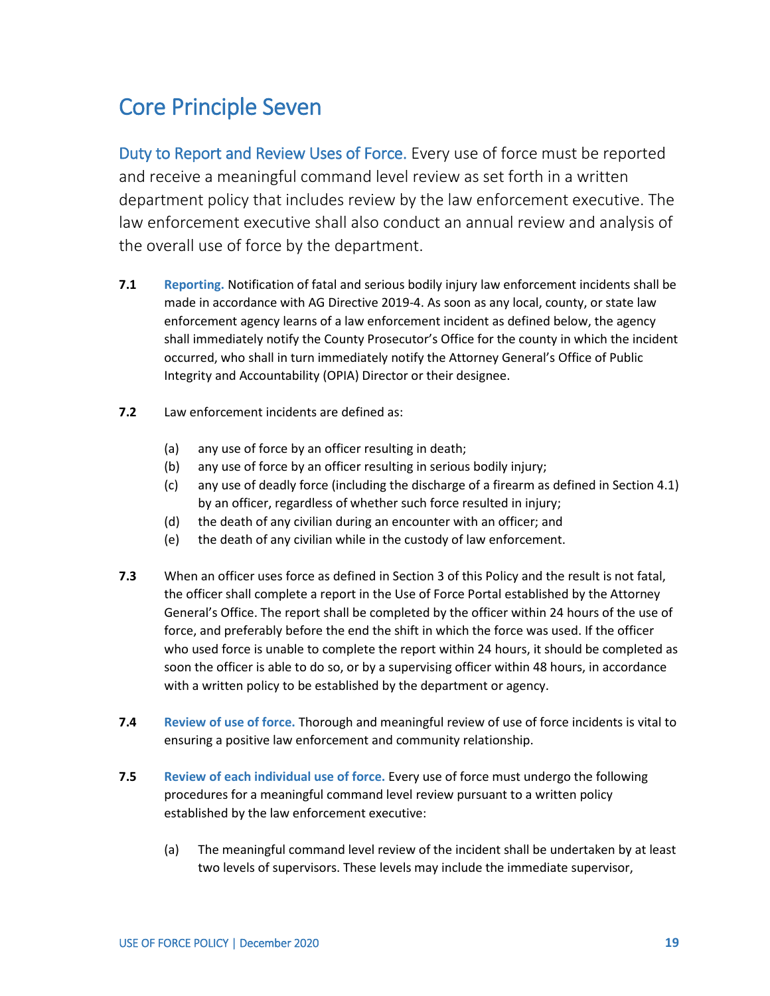#### <span id="page-30-0"></span>Core Principle Seven

Duty to Report and Review Uses of Force. Every use of force must be reported and receive a meaningful command level review as set forth in a written department policy that includes review by the law enforcement executive. The law enforcement executive shall also conduct an annual review and analysis of the overall use of force by the department.

- **7.1 Reporting.** Notification of fatal and serious bodily injury law enforcement incidents shall be made in accordance with AG Directive 2019-4. As soon as any local, county, or state law enforcement agency learns of a law enforcement incident as defined below, the agency shall immediately notify the County Prosecutor's Office for the county in which the incident occurred, who shall in turn immediately notify the Attorney General's Office of Public Integrity and Accountability (OPIA) Director or their designee.
- **7.2** Law enforcement incidents are defined as:
	- (a) any use of force by an officer resulting in death;
	- (b) any use of force by an officer resulting in serious bodily injury;
	- (c) any use of deadly force (including the discharge of a firearm as defined in Section 4.1) by an officer, regardless of whether such force resulted in injury;
	- (d) the death of any civilian during an encounter with an officer; and
	- (e) the death of any civilian while in the custody of law enforcement.
- **7.3** When an officer uses force as defined in Section 3 of this Policy and the result is not fatal, the officer shall complete a report in the Use of Force Portal established by the Attorney General's Office. The report shall be completed by the officer within 24 hours of the use of force, and preferably before the end the shift in which the force was used. If the officer who used force is unable to complete the report within 24 hours, it should be completed as soon the officer is able to do so, or by a supervising officer within 48 hours, in accordance with a written policy to be established by the department or agency.
- **7.4 Review of use of force.** Thorough and meaningful review of use of force incidents is vital to ensuring a positive law enforcement and community relationship.
- **7.5 Review of each individual use of force.** Every use of force must undergo the following procedures for a meaningful command level review pursuant to a written policy established by the law enforcement executive:
	- (a) The meaningful command level review of the incident shall be undertaken by at least two levels of supervisors. These levels may include the immediate supervisor,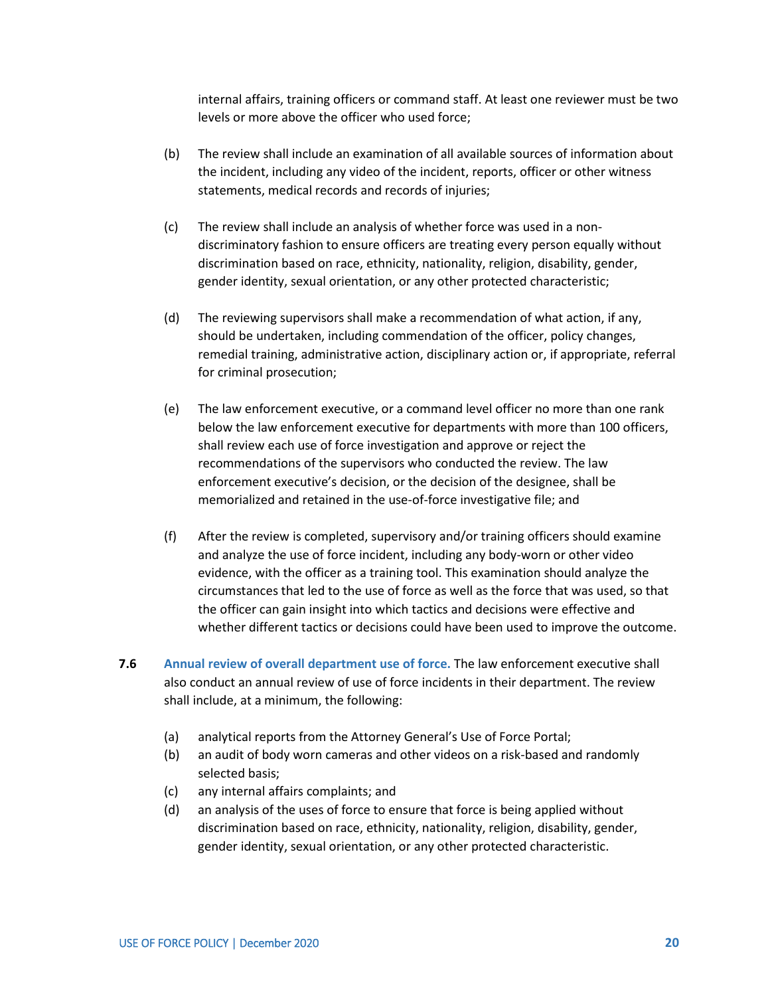internal affairs, training officers or command staff. At least one reviewer must be two levels or more above the officer who used force;

- (b) The review shall include an examination of all available sources of information about the incident, including any video of the incident, reports, officer or other witness statements, medical records and records of injuries;
- (c) The review shall include an analysis of whether force was used in a nondiscriminatory fashion to ensure officers are treating every person equally without discrimination based on race, ethnicity, nationality, religion, disability, gender, gender identity, sexual orientation, or any other protected characteristic;
- (d) The reviewing supervisors shall make a recommendation of what action, if any, should be undertaken, including commendation of the officer, policy changes, remedial training, administrative action, disciplinary action or, if appropriate, referral for criminal prosecution;
- (e) The law enforcement executive, or a command level officer no more than one rank below the law enforcement executive for departments with more than 100 officers, shall review each use of force investigation and approve or reject the recommendations of the supervisors who conducted the review. The law enforcement executive's decision, or the decision of the designee, shall be memorialized and retained in the use-of-force investigative file; and
- (f) After the review is completed, supervisory and/or training officers should examine and analyze the use of force incident, including any body-worn or other video evidence, with the officer as a training tool. This examination should analyze the circumstances that led to the use of force as well as the force that was used, so that the officer can gain insight into which tactics and decisions were effective and whether different tactics or decisions could have been used to improve the outcome.
- **7.6 Annual review of overall department use of force.** The law enforcement executive shall also conduct an annual review of use of force incidents in their department. The review shall include, at a minimum, the following:
	- (a) analytical reports from the Attorney General's Use of Force Portal;
	- (b) an audit of body worn cameras and other videos on a risk-based and randomly selected basis;
	- (c) any internal affairs complaints; and
	- (d) an analysis of the uses of force to ensure that force is being applied without discrimination based on race, ethnicity, nationality, religion, disability, gender, gender identity, sexual orientation, or any other protected characteristic.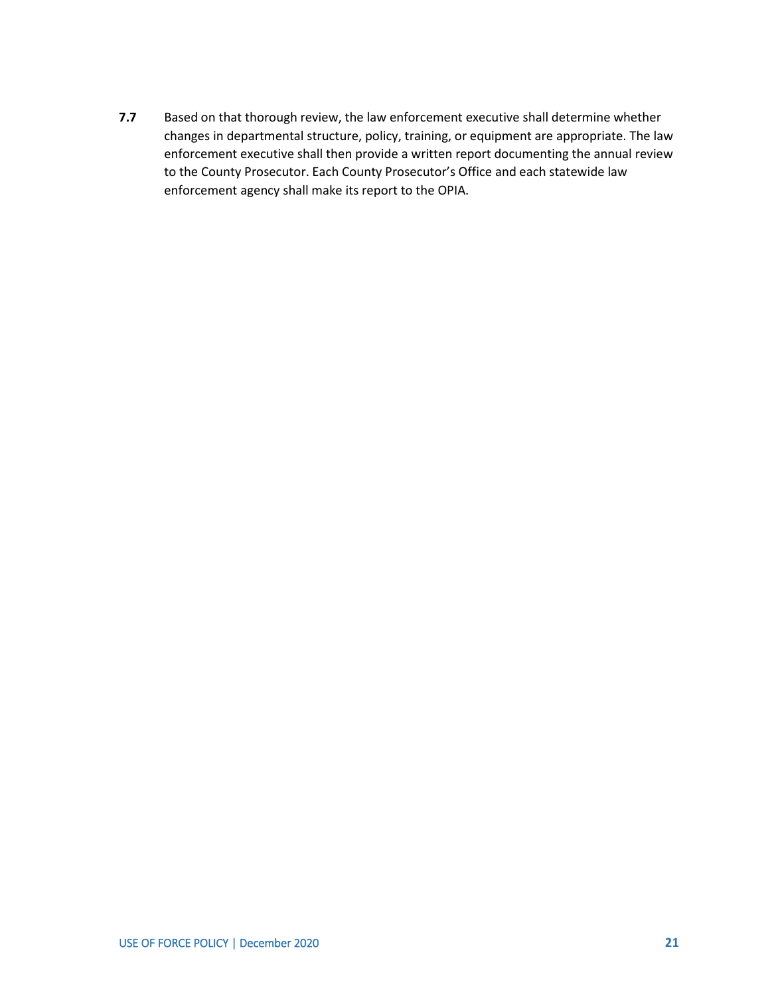**7.7** Based on that thorough review, the law enforcement executive shall determine whether changes in departmental structure, policy, training, or equipment are appropriate. The law enforcement executive shall then provide a written report documenting the annual review to the County Prosecutor. Each County Prosecutor's Office and each statewide law enforcement agency shall make its report to the OPIA.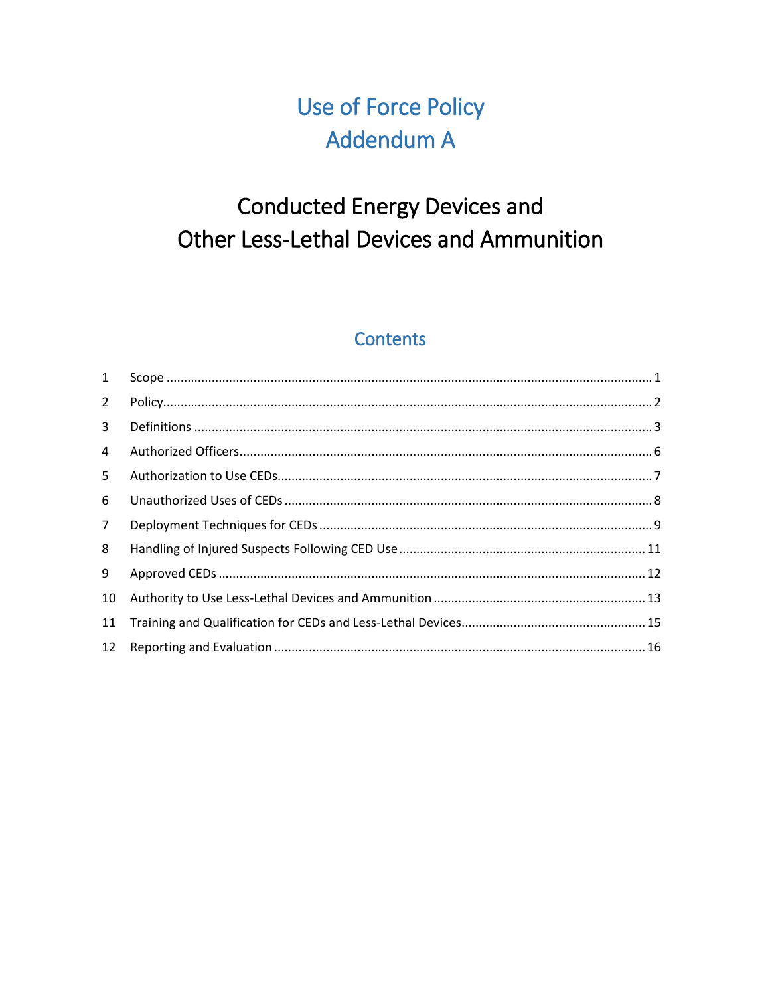## **Use of Force Policy** Addendum A

# **Conducted Energy Devices and** Other Less-Lethal Devices and Ammunition

#### **Contents**

<span id="page-33-0"></span>

| $\mathbf{1}$ |  |
|--------------|--|
| $2^{\circ}$  |  |
| $\mathbf{3}$ |  |
| 4            |  |
| 5.           |  |
| 6            |  |
| $7^{\circ}$  |  |
| 8            |  |
| 9            |  |
| 10           |  |
| 11           |  |
| 12           |  |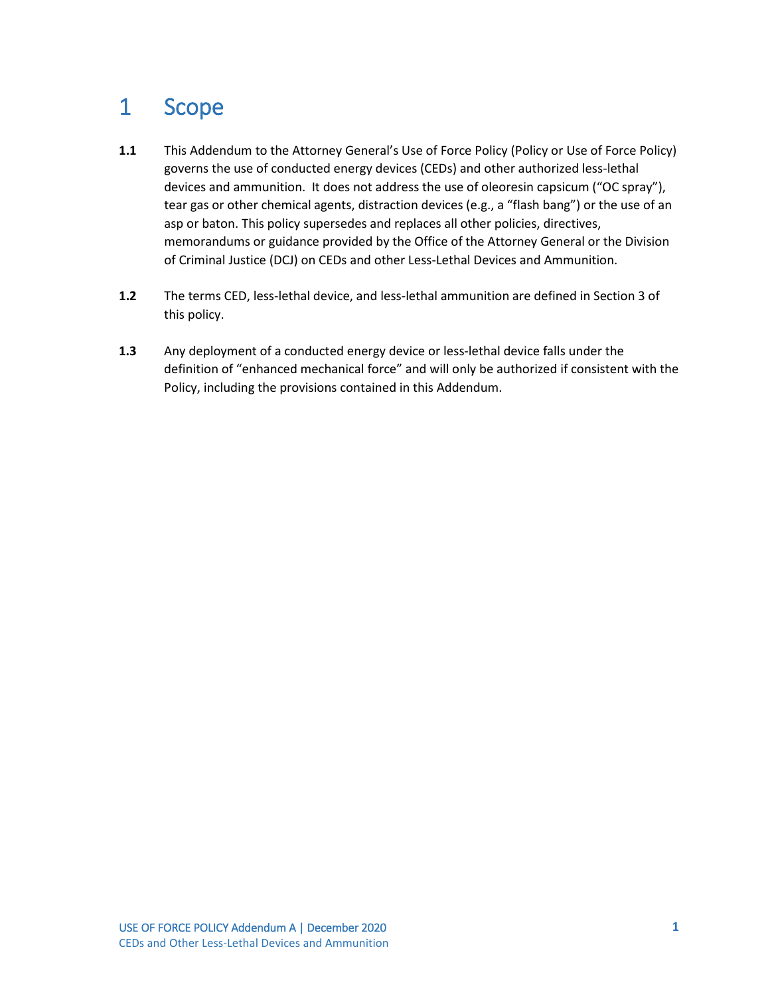### 1 Scope

- **1.1** This Addendum to the Attorney General's Use of Force Policy (Policy or Use of Force Policy) governs the use of conducted energy devices (CEDs) and other authorized less-lethal devices and ammunition. It does not address the use of oleoresin capsicum ("OC spray"), tear gas or other chemical agents, distraction devices (e.g., a "flash bang") or the use of an asp or baton. This policy supersedes and replaces all other policies, directives, memorandums or guidance provided by the Office of the Attorney General or the Division of Criminal Justice (DCJ) on CEDs and other Less-Lethal Devices and Ammunition.
- **1.2** The terms CED, less-lethal device, and less-lethal ammunition are defined in Section 3 of this policy.
- **1.3** Any deployment of a conducted energy device or less-lethal device falls under the definition of "enhanced mechanical force" and will only be authorized if consistent with the Policy, including the provisions contained in this Addendum.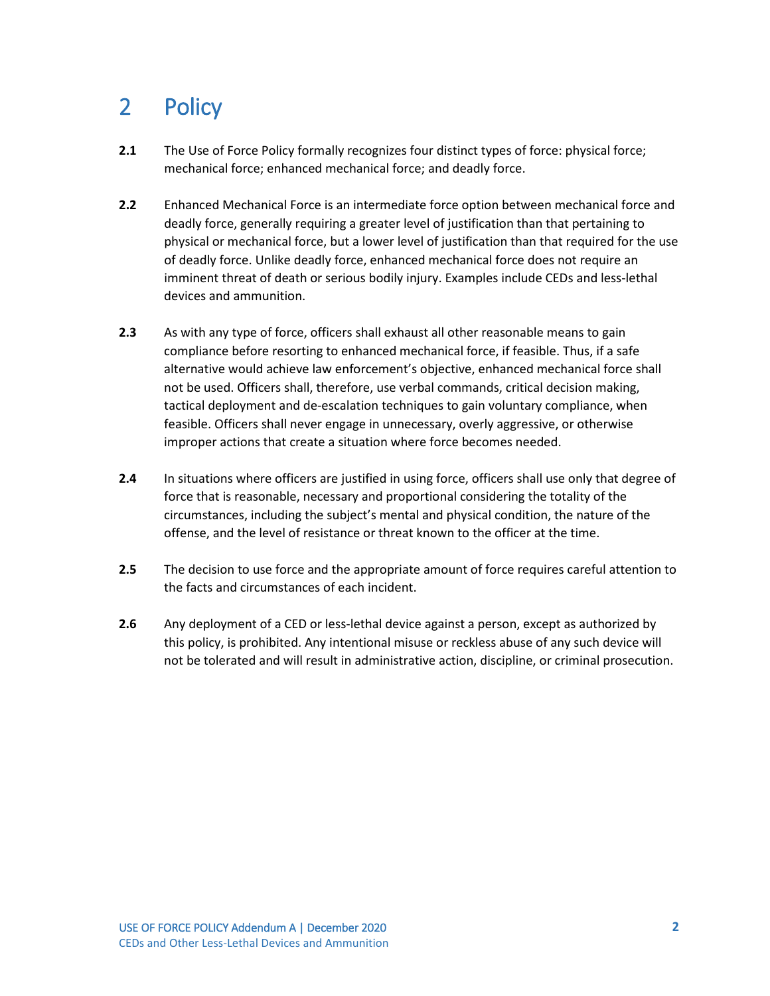### <span id="page-35-0"></span>2 Policy

- **2.1** The Use of Force Policy formally recognizes four distinct types of force: physical force; mechanical force; enhanced mechanical force; and deadly force.
- **2.2** Enhanced Mechanical Force is an intermediate force option between mechanical force and deadly force, generally requiring a greater level of justification than that pertaining to physical or mechanical force, but a lower level of justification than that required for the use of deadly force. Unlike deadly force, enhanced mechanical force does not require an imminent threat of death or serious bodily injury. Examples include CEDs and less-lethal devices and ammunition.
- **2.3** As with any type of force, officers shall exhaust all other reasonable means to gain compliance before resorting to enhanced mechanical force, if feasible. Thus, if a safe alternative would achieve law enforcement's objective, enhanced mechanical force shall not be used. Officers shall, therefore, use verbal commands, critical decision making, tactical deployment and de-escalation techniques to gain voluntary compliance, when feasible. Officers shall never engage in unnecessary, overly aggressive, or otherwise improper actions that create a situation where force becomes needed.
- **2.4** In situations where officers are justified in using force, officers shall use only that degree of force that is reasonable, necessary and proportional considering the totality of the circumstances, including the subject's mental and physical condition, the nature of the offense, and the level of resistance or threat known to the officer at the time.
- **2.5** The decision to use force and the appropriate amount of force requires careful attention to the facts and circumstances of each incident.
- **2.6** Any deployment of a CED or less-lethal device against a person, except as authorized by this policy, is prohibited. Any intentional misuse or reckless abuse of any such device will not be tolerated and will result in administrative action, discipline, or criminal prosecution.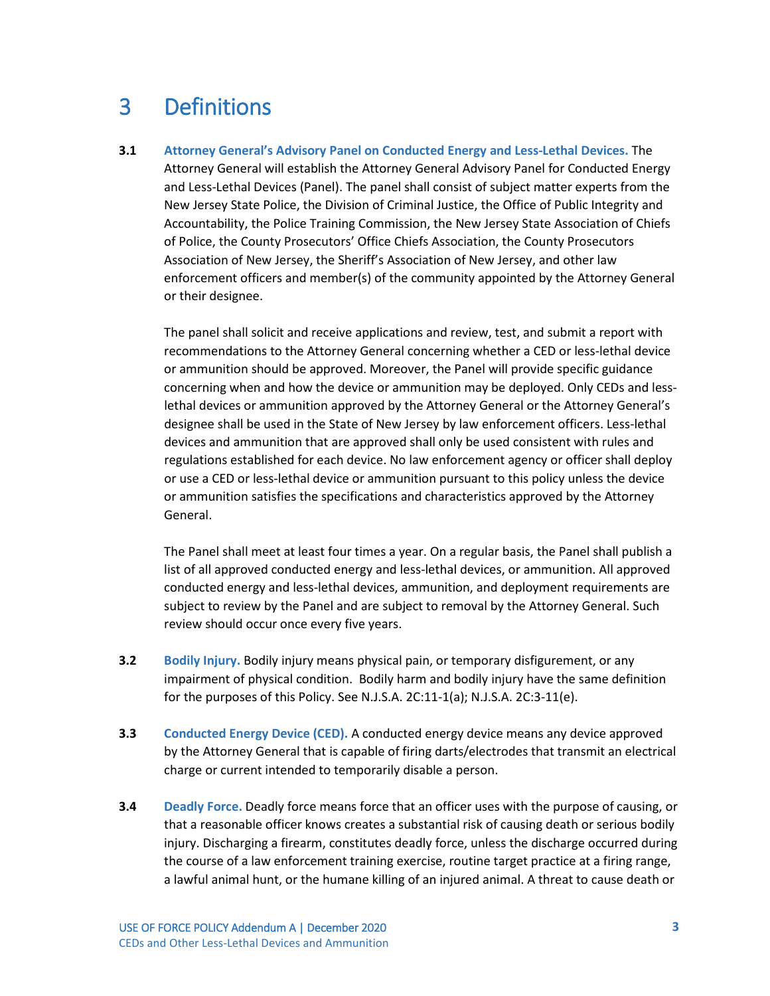#### <span id="page-36-0"></span>3 Definitions

**3.1 Attorney General's Advisory Panel on Conducted Energy and Less-Lethal Devices.** The Attorney General will establish the Attorney General Advisory Panel for Conducted Energy and Less-Lethal Devices (Panel). The panel shall consist of subject matter experts from the New Jersey State Police, the Division of Criminal Justice, the Office of Public Integrity and Accountability, the Police Training Commission, the New Jersey State Association of Chiefs of Police, the County Prosecutors' Office Chiefs Association, the County Prosecutors Association of New Jersey, the Sheriff's Association of New Jersey, and other law enforcement officers and member(s) of the community appointed by the Attorney General or their designee.

The panel shall solicit and receive applications and review, test, and submit a report with recommendations to the Attorney General concerning whether a CED or less-lethal device or ammunition should be approved. Moreover, the Panel will provide specific guidance concerning when and how the device or ammunition may be deployed. Only CEDs and lesslethal devices or ammunition approved by the Attorney General or the Attorney General's designee shall be used in the State of New Jersey by law enforcement officers. Less-lethal devices and ammunition that are approved shall only be used consistent with rules and regulations established for each device. No law enforcement agency or officer shall deploy or use a CED or less-lethal device or ammunition pursuant to this policy unless the device or ammunition satisfies the specifications and characteristics approved by the Attorney General.

The Panel shall meet at least four times a year. On a regular basis, the Panel shall publish a list of all approved conducted energy and less-lethal devices, or ammunition. All approved conducted energy and less-lethal devices, ammunition, and deployment requirements are subject to review by the Panel and are subject to removal by the Attorney General. Such review should occur once every five years.

- **3.2 Bodily Injury.** Bodily injury means physical pain, or temporary disfigurement, or any impairment of physical condition. Bodily harm and bodily injury have the same definition for the purposes of this Policy. See N.J.S.A. 2C:11-1(a); N.J.S.A. 2C:3-11(e).
- **3.3 Conducted Energy Device (CED).** A conducted energy device means any device approved by the Attorney General that is capable of firing darts/electrodes that transmit an electrical charge or current intended to temporarily disable a person.
- **3.4 Deadly Force.** Deadly force means force that an officer uses with the purpose of causing, or that a reasonable officer knows creates a substantial risk of causing death or serious bodily injury. Discharging a firearm, constitutes deadly force, unless the discharge occurred during the course of a law enforcement training exercise, routine target practice at a firing range, a lawful animal hunt, or the humane killing of an injured animal. A threat to cause death or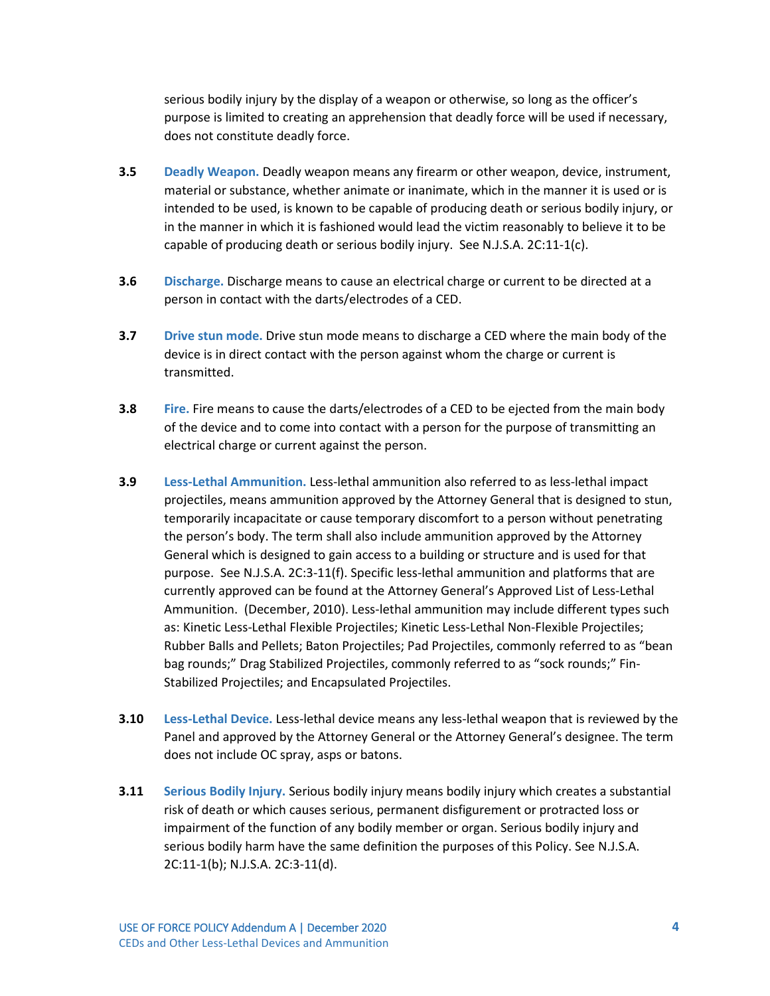serious bodily injury by the display of a weapon or otherwise, so long as the officer's purpose is limited to creating an apprehension that deadly force will be used if necessary, does not constitute deadly force.

- **3.5 Deadly Weapon.** Deadly weapon means any firearm or other weapon, device, instrument, material or substance, whether animate or inanimate, which in the manner it is used or is intended to be used, is known to be capable of producing death or serious bodily injury, or in the manner in which it is fashioned would lead the victim reasonably to believe it to be capable of producing death or serious bodily injury. See N.J.S.A. 2C:11-1(c).
- **3.6 Discharge.** Discharge means to cause an electrical charge or current to be directed at a person in contact with the darts/electrodes of a CED.
- **3.7 Drive stun mode.** Drive stun mode means to discharge a CED where the main body of the device is in direct contact with the person against whom the charge or current is transmitted.
- **3.8 Fire.** Fire means to cause the darts/electrodes of a CED to be ejected from the main body of the device and to come into contact with a person for the purpose of transmitting an electrical charge or current against the person.
- **3.9 Less-Lethal Ammunition.** Less-lethal ammunition also referred to as less-lethal impact projectiles, means ammunition approved by the Attorney General that is designed to stun, temporarily incapacitate or cause temporary discomfort to a person without penetrating the person's body. The term shall also include ammunition approved by the Attorney General which is designed to gain access to a building or structure and is used for that purpose. See N.J.S.A. 2C:3-11(f). Specific less-lethal ammunition and platforms that are currently approved can be found at the Attorney General's Approved List of Less-Lethal Ammunition. (December, 2010). Less-lethal ammunition may include different types such as: Kinetic Less-Lethal Flexible Projectiles; Kinetic Less-Lethal Non-Flexible Projectiles; Rubber Balls and Pellets; Baton Projectiles; Pad Projectiles, commonly referred to as "bean bag rounds;" Drag Stabilized Projectiles, commonly referred to as "sock rounds;" Fin-Stabilized Projectiles; and Encapsulated Projectiles.
- **3.10 Less-Lethal Device.** Less-lethal device means any less-lethal weapon that is reviewed by the Panel and approved by the Attorney General or the Attorney General's designee. The term does not include OC spray, asps or batons.
- **3.11 Serious Bodily Injury.** Serious bodily injury means bodily injury which creates a substantial risk of death or which causes serious, permanent disfigurement or protracted loss or impairment of the function of any bodily member or organ. Serious bodily injury and serious bodily harm have the same definition the purposes of this Policy. See N.J.S.A. 2C:11-1(b); N.J.S.A. 2C:3-11(d).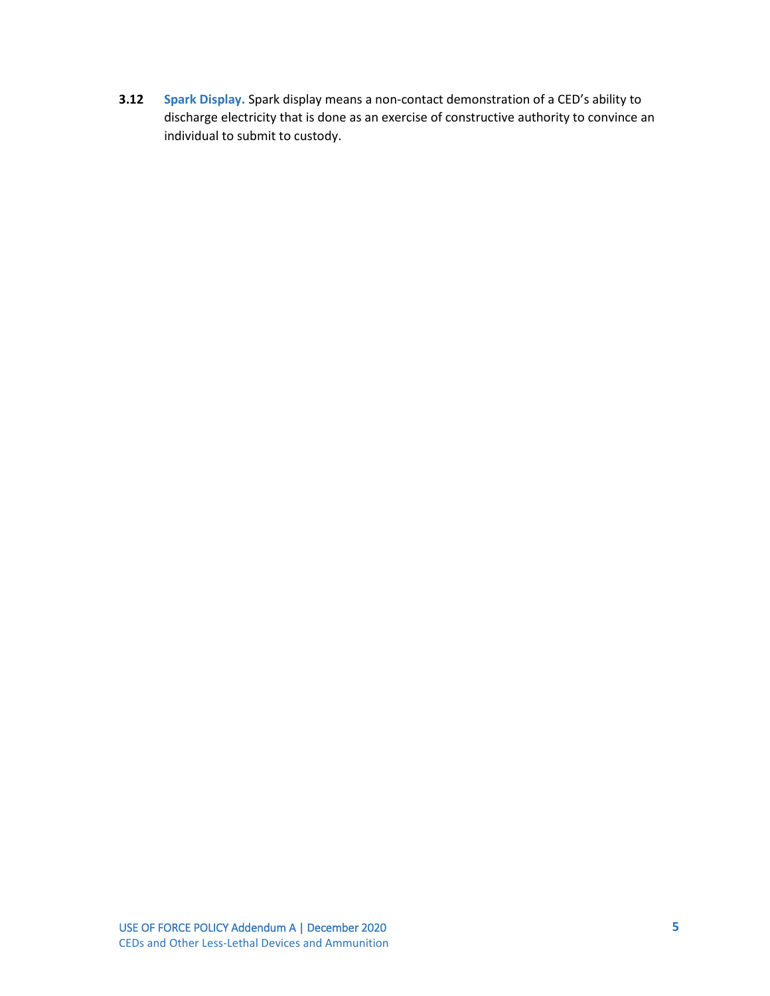**3.12 Spark Display.** Spark display means a non-contact demonstration of a CED's ability to discharge electricity that is done as an exercise of constructive authority to convince an individual to submit to custody.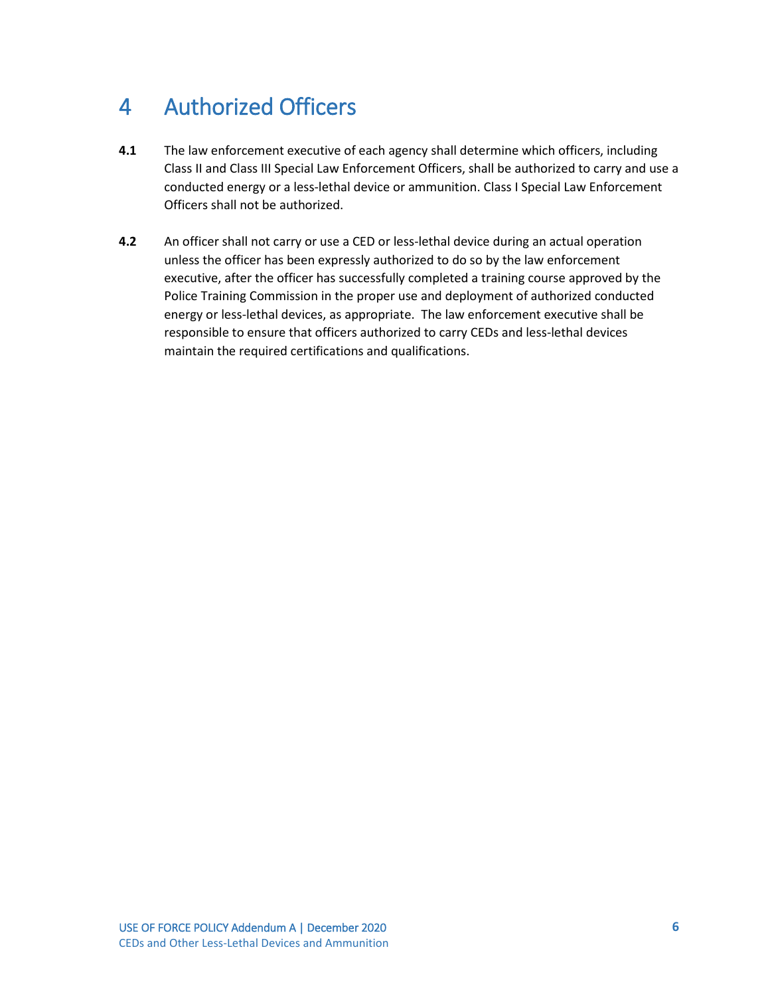### <span id="page-39-0"></span>4 Authorized Officers

- **4.1** The law enforcement executive of each agency shall determine which officers, including Class II and Class III Special Law Enforcement Officers, shall be authorized to carry and use a conducted energy or a less-lethal device or ammunition. Class I Special Law Enforcement Officers shall not be authorized.
- **4.2** An officer shall not carry or use a CED or less-lethal device during an actual operation unless the officer has been expressly authorized to do so by the law enforcement executive, after the officer has successfully completed a training course approved by the Police Training Commission in the proper use and deployment of authorized conducted energy or less-lethal devices, as appropriate. The law enforcement executive shall be responsible to ensure that officers authorized to carry CEDs and less-lethal devices maintain the required certifications and qualifications.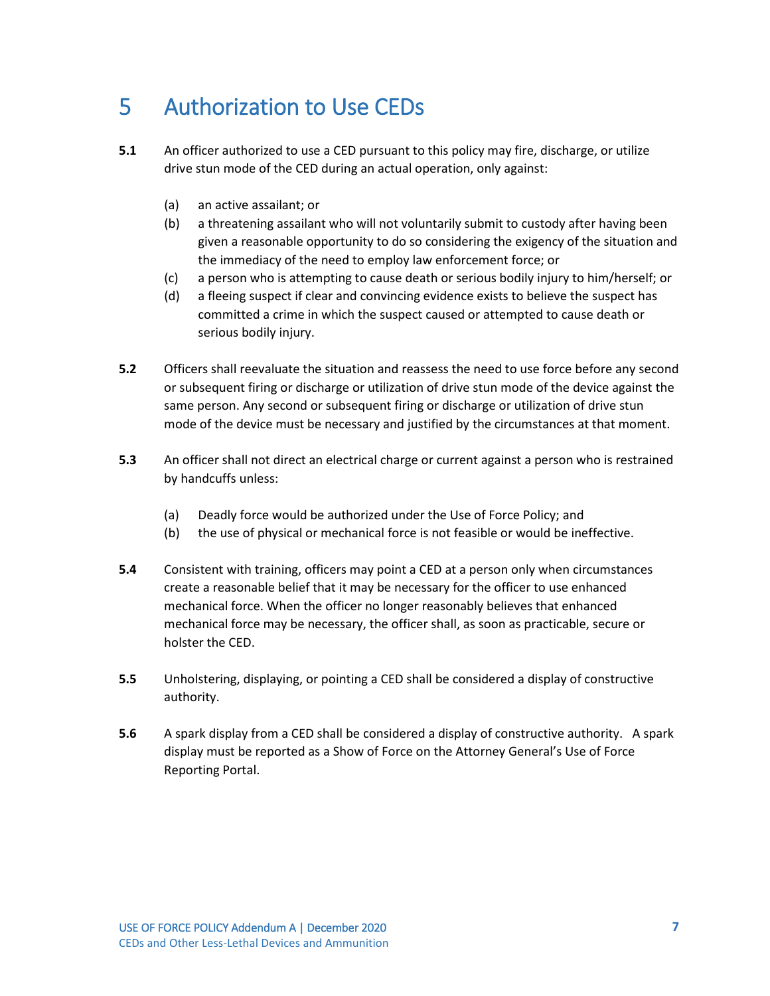#### <span id="page-40-0"></span>5 Authorization to Use CEDs

- **5.1** An officer authorized to use a CED pursuant to this policy may fire, discharge, or utilize drive stun mode of the CED during an actual operation, only against:
	- (a) an active assailant; or
	- (b) a threatening assailant who will not voluntarily submit to custody after having been given a reasonable opportunity to do so considering the exigency of the situation and the immediacy of the need to employ law enforcement force; or
	- (c) a person who is attempting to cause death or serious bodily injury to him/herself; or
	- (d) a fleeing suspect if clear and convincing evidence exists to believe the suspect has committed a crime in which the suspect caused or attempted to cause death or serious bodily injury.
- **5.2** Officers shall reevaluate the situation and reassess the need to use force before any second or subsequent firing or discharge or utilization of drive stun mode of the device against the same person. Any second or subsequent firing or discharge or utilization of drive stun mode of the device must be necessary and justified by the circumstances at that moment.
- **5.3** An officer shall not direct an electrical charge or current against a person who is restrained by handcuffs unless:
	- (a) Deadly force would be authorized under the Use of Force Policy; and
	- (b) the use of physical or mechanical force is not feasible or would be ineffective.
- **5.4** Consistent with training, officers may point a CED at a person only when circumstances create a reasonable belief that it may be necessary for the officer to use enhanced mechanical force. When the officer no longer reasonably believes that enhanced mechanical force may be necessary, the officer shall, as soon as practicable, secure or holster the CED.
- **5.5** Unholstering, displaying, or pointing a CED shall be considered a display of constructive authority.
- **5.6** A spark display from a CED shall be considered a display of constructive authority. A spark display must be reported as a Show of Force on the Attorney General's Use of Force Reporting Portal.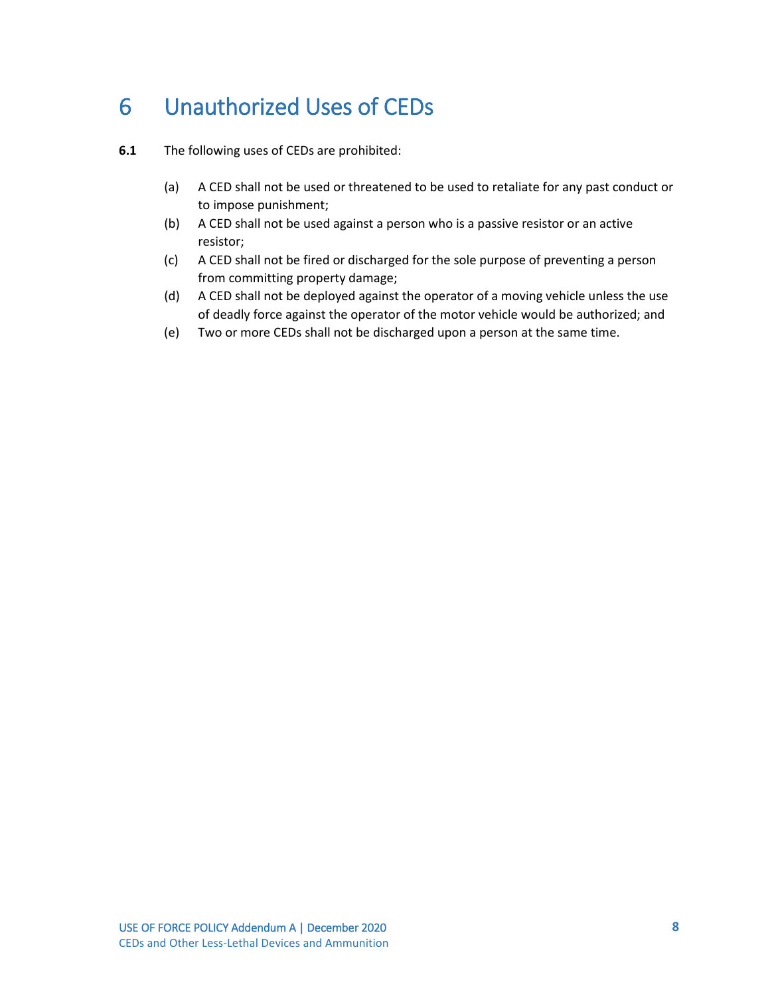### <span id="page-41-0"></span>6 Unauthorized Uses of CEDs

- **6.1** The following uses of CEDs are prohibited:
	- (a) A CED shall not be used or threatened to be used to retaliate for any past conduct or to impose punishment;
	- (b) A CED shall not be used against a person who is a passive resistor or an active resistor;
	- (c) A CED shall not be fired or discharged for the sole purpose of preventing a person from committing property damage;
	- (d) A CED shall not be deployed against the operator of a moving vehicle unless the use of deadly force against the operator of the motor vehicle would be authorized; and
	- (e) Two or more CEDs shall not be discharged upon a person at the same time.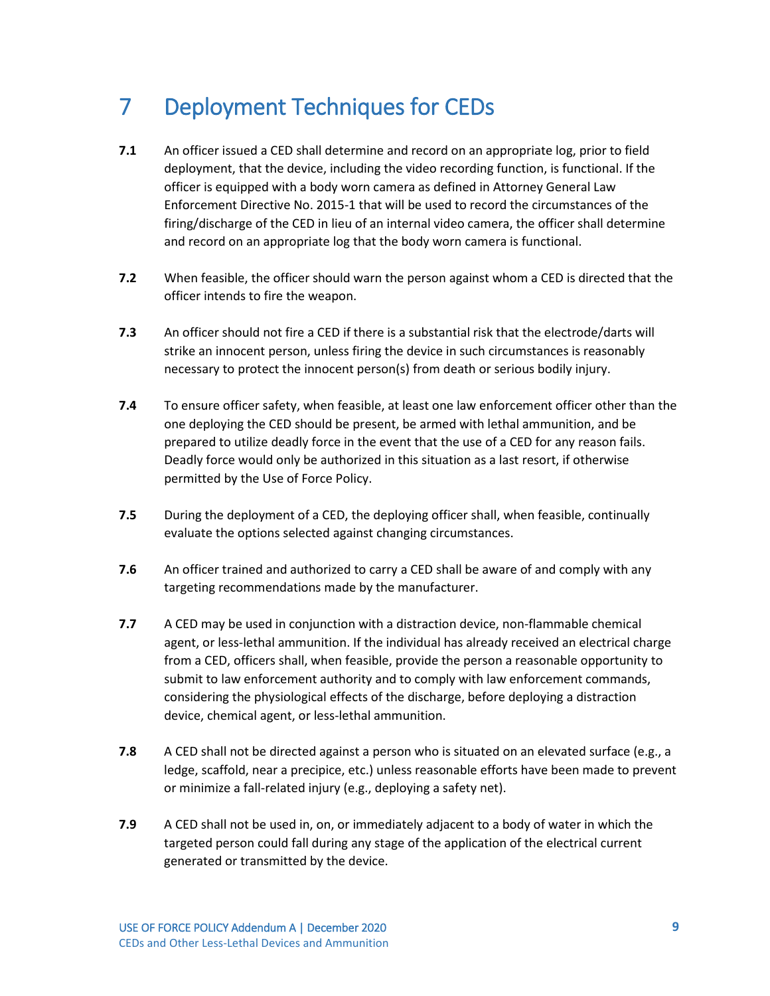#### <span id="page-42-0"></span>7 Deployment Techniques for CEDs

- **7.1** An officer issued a CED shall determine and record on an appropriate log, prior to field deployment, that the device, including the video recording function, is functional. If the officer is equipped with a body worn camera as defined in Attorney General Law Enforcement Directive No. 2015-1 that will be used to record the circumstances of the firing/discharge of the CED in lieu of an internal video camera, the officer shall determine and record on an appropriate log that the body worn camera is functional.
- **7.2** When feasible, the officer should warn the person against whom a CED is directed that the officer intends to fire the weapon.
- **7.3** An officer should not fire a CED if there is a substantial risk that the electrode/darts will strike an innocent person, unless firing the device in such circumstances is reasonably necessary to protect the innocent person(s) from death or serious bodily injury.
- **7.4** To ensure officer safety, when feasible, at least one law enforcement officer other than the one deploying the CED should be present, be armed with lethal ammunition, and be prepared to utilize deadly force in the event that the use of a CED for any reason fails. Deadly force would only be authorized in this situation as a last resort, if otherwise permitted by the Use of Force Policy.
- **7.5** During the deployment of a CED, the deploying officer shall, when feasible, continually evaluate the options selected against changing circumstances.
- **7.6** An officer trained and authorized to carry a CED shall be aware of and comply with any targeting recommendations made by the manufacturer.
- **7.7** A CED may be used in conjunction with a distraction device, non-flammable chemical agent, or less-lethal ammunition. If the individual has already received an electrical charge from a CED, officers shall, when feasible, provide the person a reasonable opportunity to submit to law enforcement authority and to comply with law enforcement commands, considering the physiological effects of the discharge, before deploying a distraction device, chemical agent, or less-lethal ammunition.
- **7.8** A CED shall not be directed against a person who is situated on an elevated surface (e.g., a ledge, scaffold, near a precipice, etc.) unless reasonable efforts have been made to prevent or minimize a fall-related injury (e.g., deploying a safety net).
- **7.9** A CED shall not be used in, on, or immediately adjacent to a body of water in which the targeted person could fall during any stage of the application of the electrical current generated or transmitted by the device.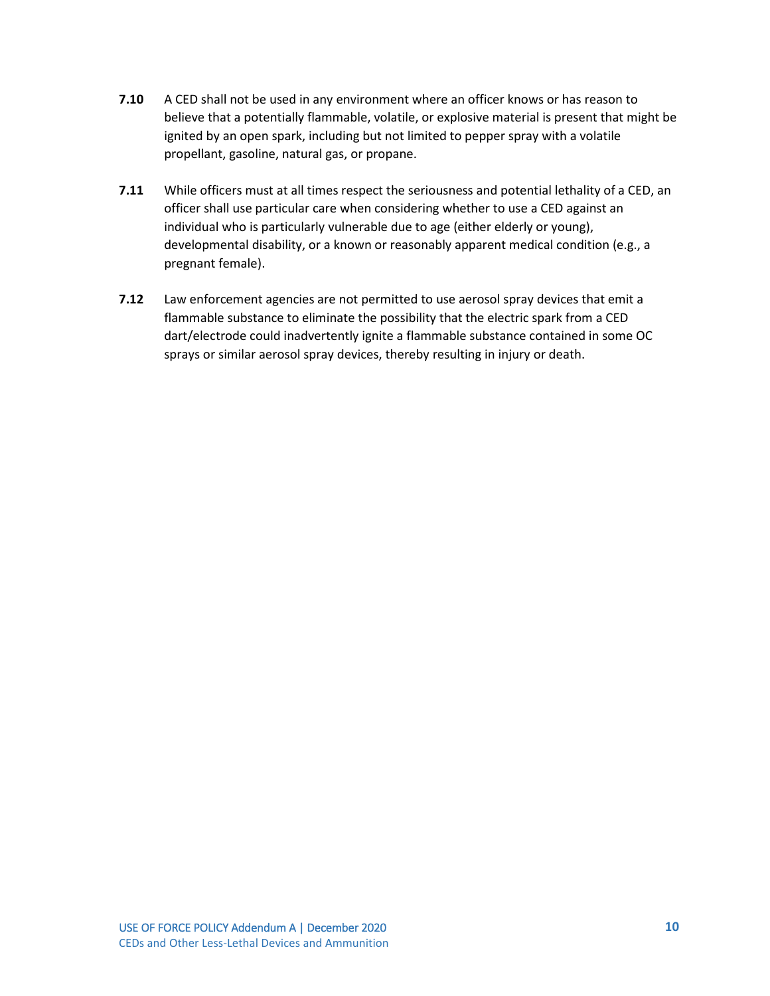- **7.10** A CED shall not be used in any environment where an officer knows or has reason to believe that a potentially flammable, volatile, or explosive material is present that might be ignited by an open spark, including but not limited to pepper spray with a volatile propellant, gasoline, natural gas, or propane.
- **7.11** While officers must at all times respect the seriousness and potential lethality of a CED, an officer shall use particular care when considering whether to use a CED against an individual who is particularly vulnerable due to age (either elderly or young), developmental disability, or a known or reasonably apparent medical condition (e.g., a pregnant female).
- **7.12** Law enforcement agencies are not permitted to use aerosol spray devices that emit a flammable substance to eliminate the possibility that the electric spark from a CED dart/electrode could inadvertently ignite a flammable substance contained in some OC sprays or similar aerosol spray devices, thereby resulting in injury or death.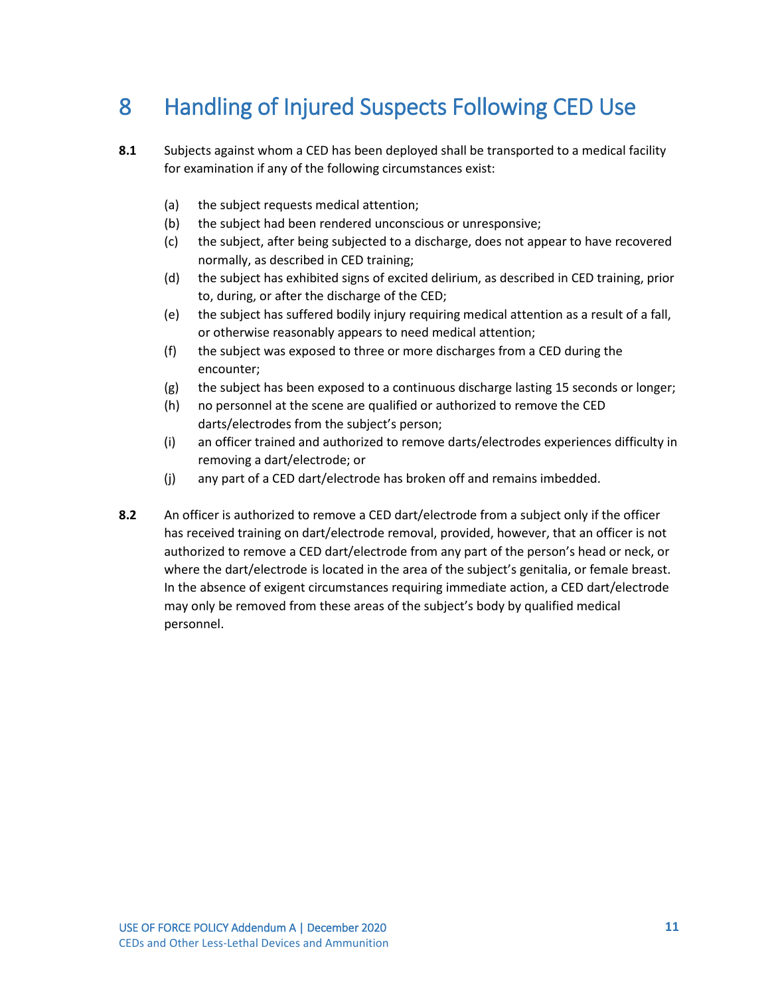### <span id="page-44-0"></span>8 Handling of Injured Suspects Following CED Use

- **8.1** Subjects against whom a CED has been deployed shall be transported to a medical facility for examination if any of the following circumstances exist:
	- (a) the subject requests medical attention;
	- (b) the subject had been rendered unconscious or unresponsive;
	- (c) the subject, after being subjected to a discharge, does not appear to have recovered normally, as described in CED training;
	- (d) the subject has exhibited signs of excited delirium, as described in CED training, prior to, during, or after the discharge of the CED;
	- (e) the subject has suffered bodily injury requiring medical attention as a result of a fall, or otherwise reasonably appears to need medical attention;
	- (f) the subject was exposed to three or more discharges from a CED during the encounter;
	- (g) the subject has been exposed to a continuous discharge lasting 15 seconds or longer;
	- (h) no personnel at the scene are qualified or authorized to remove the CED darts/electrodes from the subject's person;
	- (i) an officer trained and authorized to remove darts/electrodes experiences difficulty in removing a dart/electrode; or
	- (j) any part of a CED dart/electrode has broken off and remains imbedded.
- **8.2** An officer is authorized to remove a CED dart/electrode from a subject only if the officer has received training on dart/electrode removal, provided, however, that an officer is not authorized to remove a CED dart/electrode from any part of the person's head or neck, or where the dart/electrode is located in the area of the subject's genitalia, or female breast. In the absence of exigent circumstances requiring immediate action, a CED dart/electrode may only be removed from these areas of the subject's body by qualified medical personnel.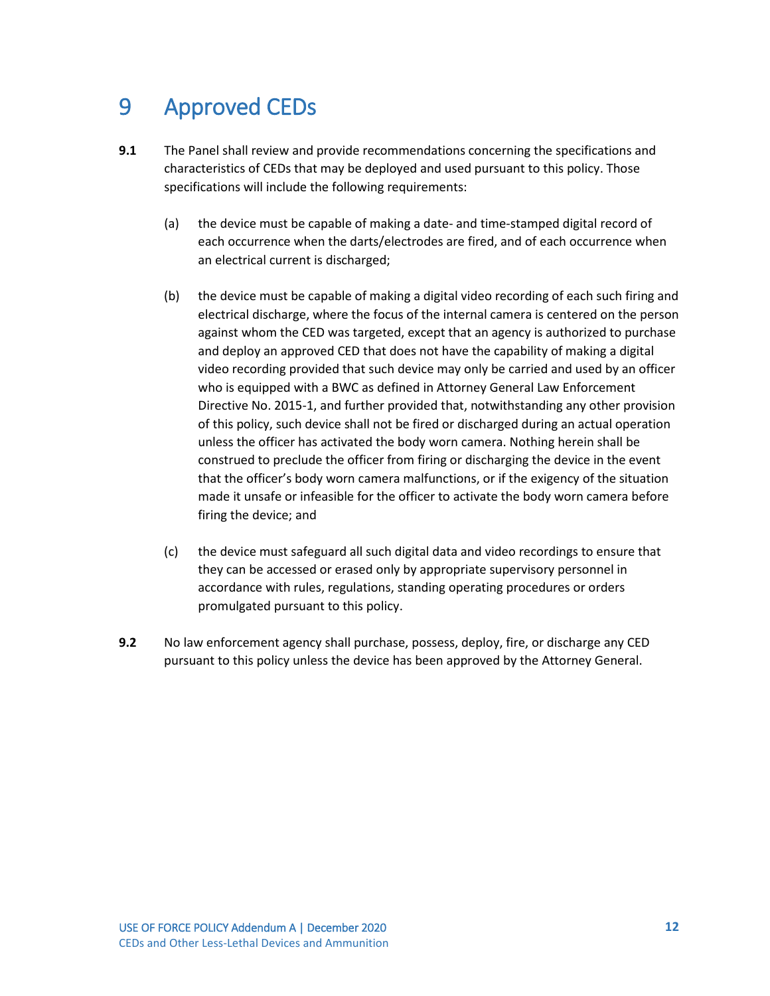#### <span id="page-45-0"></span>9 Approved CEDs

- **9.1** The Panel shall review and provide recommendations concerning the specifications and characteristics of CEDs that may be deployed and used pursuant to this policy. Those specifications will include the following requirements:
	- (a) the device must be capable of making a date- and time-stamped digital record of each occurrence when the darts/electrodes are fired, and of each occurrence when an electrical current is discharged;
	- (b) the device must be capable of making a digital video recording of each such firing and electrical discharge, where the focus of the internal camera is centered on the person against whom the CED was targeted, except that an agency is authorized to purchase and deploy an approved CED that does not have the capability of making a digital video recording provided that such device may only be carried and used by an officer who is equipped with a BWC as defined in Attorney General Law Enforcement Directive No. 2015-1, and further provided that, notwithstanding any other provision of this policy, such device shall not be fired or discharged during an actual operation unless the officer has activated the body worn camera. Nothing herein shall be construed to preclude the officer from firing or discharging the device in the event that the officer's body worn camera malfunctions, or if the exigency of the situation made it unsafe or infeasible for the officer to activate the body worn camera before firing the device; and
	- (c) the device must safeguard all such digital data and video recordings to ensure that they can be accessed or erased only by appropriate supervisory personnel in accordance with rules, regulations, standing operating procedures or orders promulgated pursuant to this policy.
- **9.2** No law enforcement agency shall purchase, possess, deploy, fire, or discharge any CED pursuant to this policy unless the device has been approved by the Attorney General.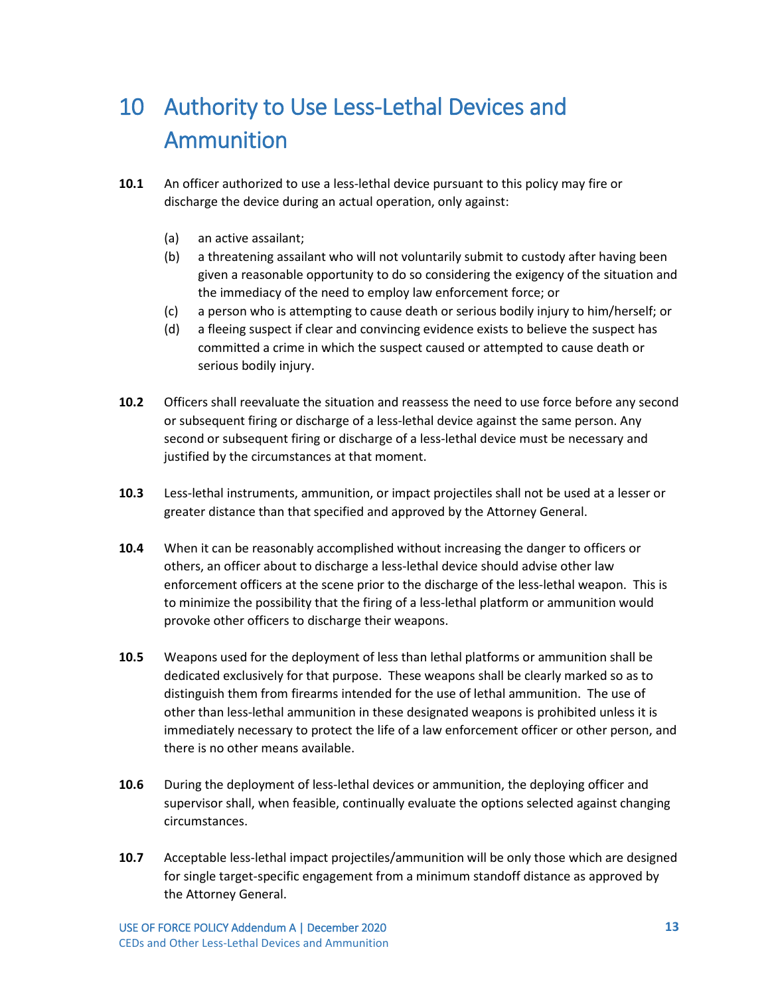# <span id="page-46-0"></span>10 Authority to Use Less-Lethal Devices and Ammunition

- **10.1** An officer authorized to use a less-lethal device pursuant to this policy may fire or discharge the device during an actual operation, only against:
	- (a) an active assailant;
	- (b) a threatening assailant who will not voluntarily submit to custody after having been given a reasonable opportunity to do so considering the exigency of the situation and the immediacy of the need to employ law enforcement force; or
	- (c) a person who is attempting to cause death or serious bodily injury to him/herself; or
	- (d) a fleeing suspect if clear and convincing evidence exists to believe the suspect has committed a crime in which the suspect caused or attempted to cause death or serious bodily injury.
- **10.2** Officers shall reevaluate the situation and reassess the need to use force before any second or subsequent firing or discharge of a less-lethal device against the same person. Any second or subsequent firing or discharge of a less-lethal device must be necessary and justified by the circumstances at that moment.
- **10.3** Less-lethal instruments, ammunition, or impact projectiles shall not be used at a lesser or greater distance than that specified and approved by the Attorney General.
- **10.4** When it can be reasonably accomplished without increasing the danger to officers or others, an officer about to discharge a less-lethal device should advise other law enforcement officers at the scene prior to the discharge of the less-lethal weapon. This is to minimize the possibility that the firing of a less-lethal platform or ammunition would provoke other officers to discharge their weapons.
- **10.5** Weapons used for the deployment of less than lethal platforms or ammunition shall be dedicated exclusively for that purpose. These weapons shall be clearly marked so as to distinguish them from firearms intended for the use of lethal ammunition. The use of other than less-lethal ammunition in these designated weapons is prohibited unless it is immediately necessary to protect the life of a law enforcement officer or other person, and there is no other means available.
- **10.6** During the deployment of less-lethal devices or ammunition, the deploying officer and supervisor shall, when feasible, continually evaluate the options selected against changing circumstances.
- **10.7** Acceptable less-lethal impact projectiles/ammunition will be only those which are designed for single target-specific engagement from a minimum standoff distance as approved by the Attorney General.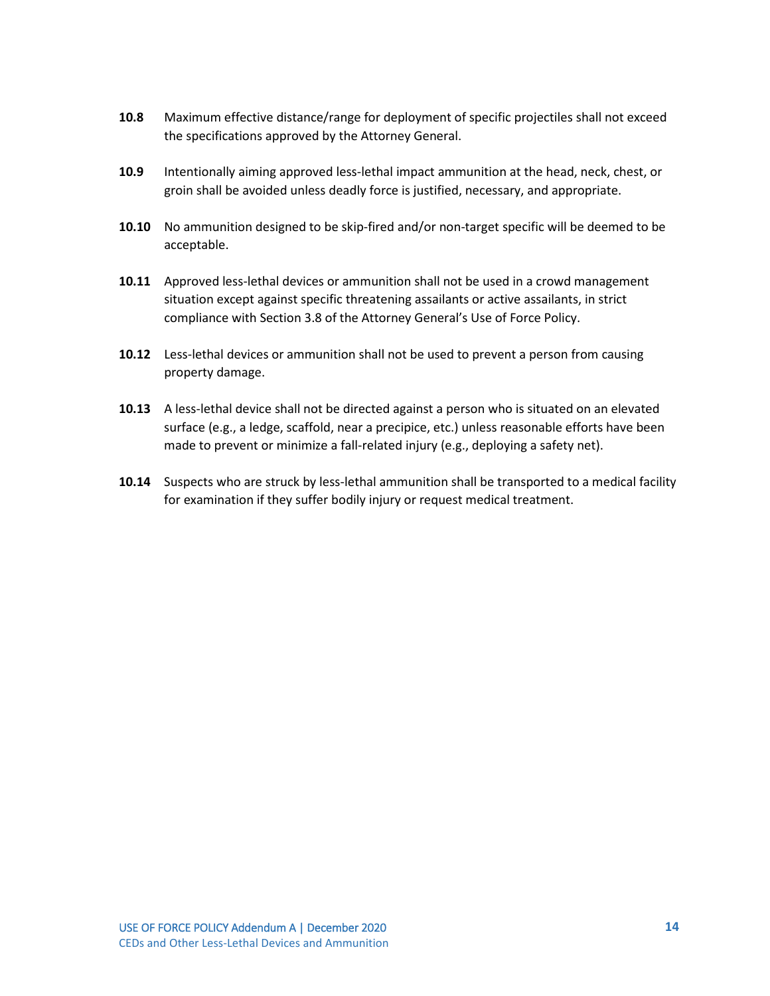- **10.8** Maximum effective distance/range for deployment of specific projectiles shall not exceed the specifications approved by the Attorney General.
- **10.9** Intentionally aiming approved less-lethal impact ammunition at the head, neck, chest, or groin shall be avoided unless deadly force is justified, necessary, and appropriate.
- **10.10** No ammunition designed to be skip-fired and/or non-target specific will be deemed to be acceptable.
- **10.11** Approved less-lethal devices or ammunition shall not be used in a crowd management situation except against specific threatening assailants or active assailants, in strict compliance with Section 3.8 of the Attorney General's Use of Force Policy.
- **10.12** Less-lethal devices or ammunition shall not be used to prevent a person from causing property damage.
- **10.13** A less-lethal device shall not be directed against a person who is situated on an elevated surface (e.g., a ledge, scaffold, near a precipice, etc.) unless reasonable efforts have been made to prevent or minimize a fall-related injury (e.g., deploying a safety net).
- **10.14** Suspects who are struck by less-lethal ammunition shall be transported to a medical facility for examination if they suffer bodily injury or request medical treatment.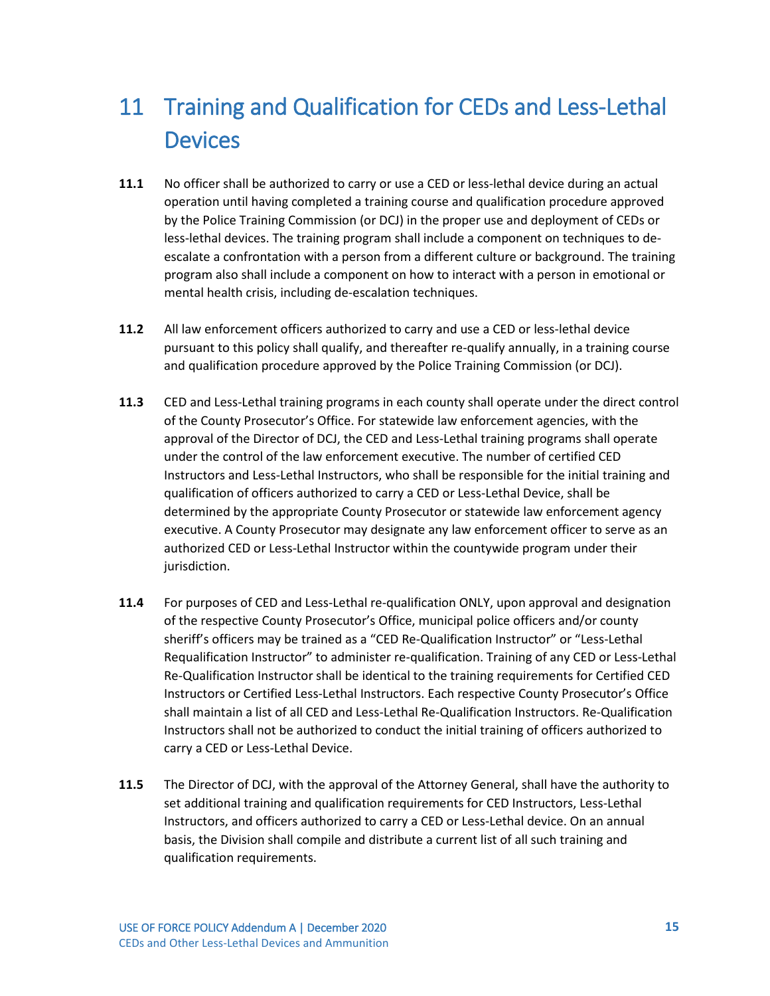# <span id="page-48-0"></span>11 Training and Qualification for CEDs and Less-Lethal **Devices**

- **11.1** No officer shall be authorized to carry or use a CED or less-lethal device during an actual operation until having completed a training course and qualification procedure approved by the Police Training Commission (or DCJ) in the proper use and deployment of CEDs or less-lethal devices. The training program shall include a component on techniques to deescalate a confrontation with a person from a different culture or background. The training program also shall include a component on how to interact with a person in emotional or mental health crisis, including de-escalation techniques.
- **11.2** All law enforcement officers authorized to carry and use a CED or less-lethal device pursuant to this policy shall qualify, and thereafter re-qualify annually, in a training course and qualification procedure approved by the Police Training Commission (or DCJ).
- **11.3** CED and Less-Lethal training programs in each county shall operate under the direct control of the County Prosecutor's Office. For statewide law enforcement agencies, with the approval of the Director of DCJ, the CED and Less-Lethal training programs shall operate under the control of the law enforcement executive. The number of certified CED Instructors and Less-Lethal Instructors, who shall be responsible for the initial training and qualification of officers authorized to carry a CED or Less-Lethal Device, shall be determined by the appropriate County Prosecutor or statewide law enforcement agency executive. A County Prosecutor may designate any law enforcement officer to serve as an authorized CED or Less-Lethal Instructor within the countywide program under their jurisdiction.
- **11.4** For purposes of CED and Less-Lethal re-qualification ONLY, upon approval and designation of the respective County Prosecutor's Office, municipal police officers and/or county sheriff's officers may be trained as a "CED Re-Qualification Instructor" or "Less-Lethal Requalification Instructor" to administer re-qualification. Training of any CED or Less-Lethal Re-Qualification Instructor shall be identical to the training requirements for Certified CED Instructors or Certified Less-Lethal Instructors. Each respective County Prosecutor's Office shall maintain a list of all CED and Less-Lethal Re-Qualification Instructors. Re-Qualification Instructors shall not be authorized to conduct the initial training of officers authorized to carry a CED or Less-Lethal Device.
- **11.5** The Director of DCJ, with the approval of the Attorney General, shall have the authority to set additional training and qualification requirements for CED Instructors, Less-Lethal Instructors, and officers authorized to carry a CED or Less-Lethal device. On an annual basis, the Division shall compile and distribute a current list of all such training and qualification requirements.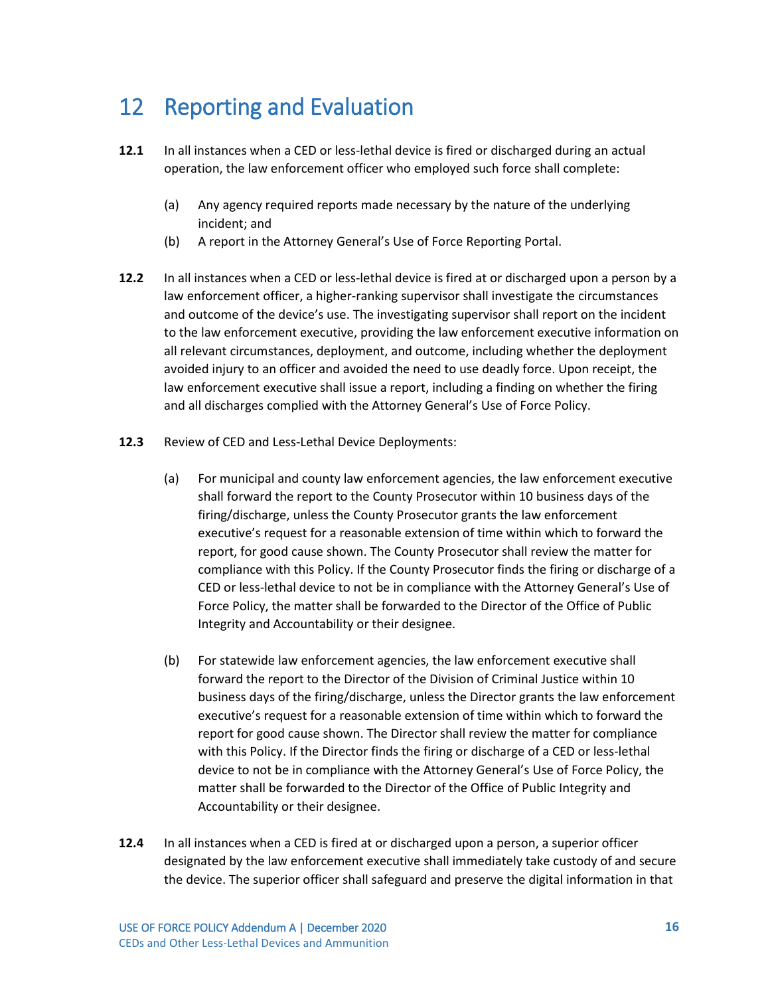#### <span id="page-49-0"></span>12 Reporting and Evaluation

- **12.1** In all instances when a CED or less-lethal device is fired or discharged during an actual operation, the law enforcement officer who employed such force shall complete:
	- (a) Any agency required reports made necessary by the nature of the underlying incident; and
	- (b) A report in the Attorney General's Use of Force Reporting Portal.
- **12.2** In all instances when a CED or less-lethal device is fired at or discharged upon a person by a law enforcement officer, a higher-ranking supervisor shall investigate the circumstances and outcome of the device's use. The investigating supervisor shall report on the incident to the law enforcement executive, providing the law enforcement executive information on all relevant circumstances, deployment, and outcome, including whether the deployment avoided injury to an officer and avoided the need to use deadly force. Upon receipt, the law enforcement executive shall issue a report, including a finding on whether the firing and all discharges complied with the Attorney General's Use of Force Policy.
- **12.3** Review of CED and Less-Lethal Device Deployments:
	- (a) For municipal and county law enforcement agencies, the law enforcement executive shall forward the report to the County Prosecutor within 10 business days of the firing/discharge, unless the County Prosecutor grants the law enforcement executive's request for a reasonable extension of time within which to forward the report, for good cause shown. The County Prosecutor shall review the matter for compliance with this Policy. If the County Prosecutor finds the firing or discharge of a CED or less-lethal device to not be in compliance with the Attorney General's Use of Force Policy, the matter shall be forwarded to the Director of the Office of Public Integrity and Accountability or their designee.
	- (b) For statewide law enforcement agencies, the law enforcement executive shall forward the report to the Director of the Division of Criminal Justice within 10 business days of the firing/discharge, unless the Director grants the law enforcement executive's request for a reasonable extension of time within which to forward the report for good cause shown. The Director shall review the matter for compliance with this Policy. If the Director finds the firing or discharge of a CED or less-lethal device to not be in compliance with the Attorney General's Use of Force Policy, the matter shall be forwarded to the Director of the Office of Public Integrity and Accountability or their designee.
- **12.4** In all instances when a CED is fired at or discharged upon a person, a superior officer designated by the law enforcement executive shall immediately take custody of and secure the device. The superior officer shall safeguard and preserve the digital information in that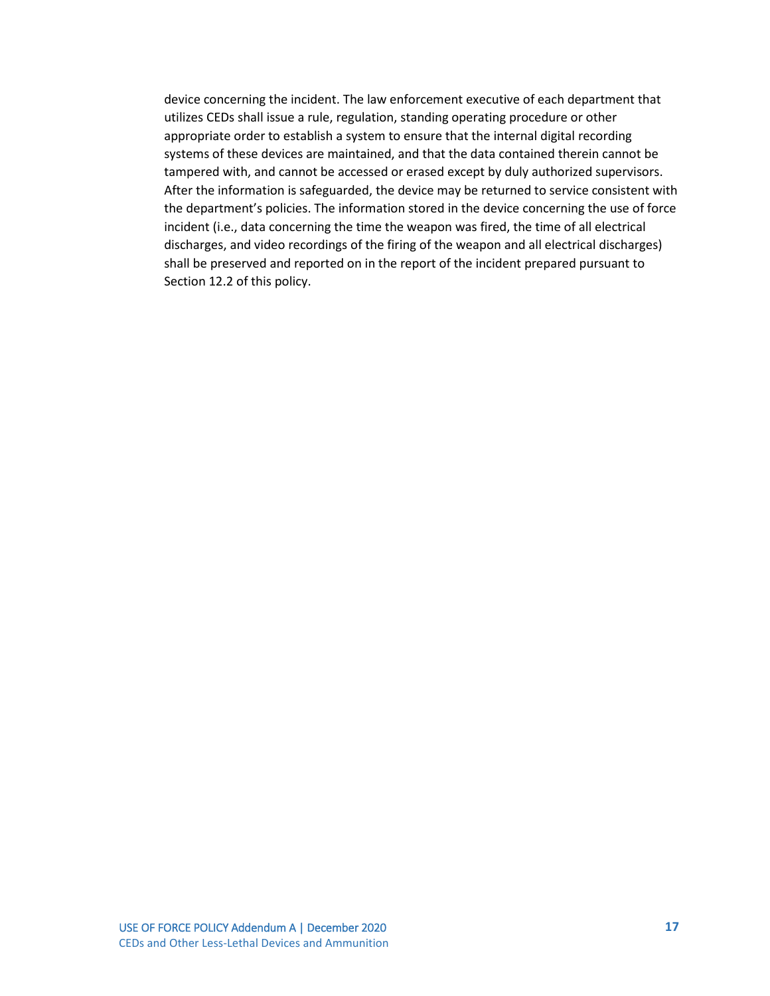device concerning the incident. The law enforcement executive of each department that utilizes CEDs shall issue a rule, regulation, standing operating procedure or other appropriate order to establish a system to ensure that the internal digital recording systems of these devices are maintained, and that the data contained therein cannot be tampered with, and cannot be accessed or erased except by duly authorized supervisors. After the information is safeguarded, the device may be returned to service consistent with the department's policies. The information stored in the device concerning the use of force incident (i.e., data concerning the time the weapon was fired, the time of all electrical discharges, and video recordings of the firing of the weapon and all electrical discharges) shall be preserved and reported on in the report of the incident prepared pursuant to Section 12.2 of this policy.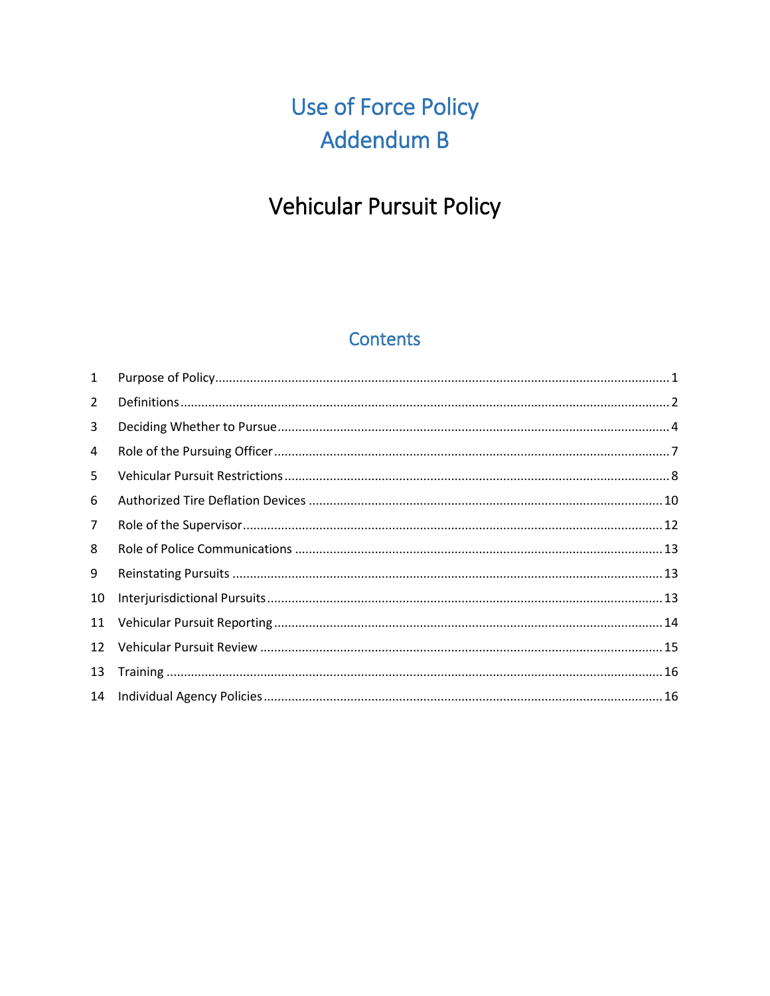# Use of Force Policy Addendum B

### Vehicular Pursuit Policy

#### **Contents**

| $\mathbf{1}$   |  |
|----------------|--|
| 2              |  |
| 3              |  |
| 4              |  |
| 5              |  |
| 6              |  |
| $\overline{7}$ |  |
| 8              |  |
| 9              |  |
| 10             |  |
| 11             |  |
| 12             |  |
| 13             |  |
| 14             |  |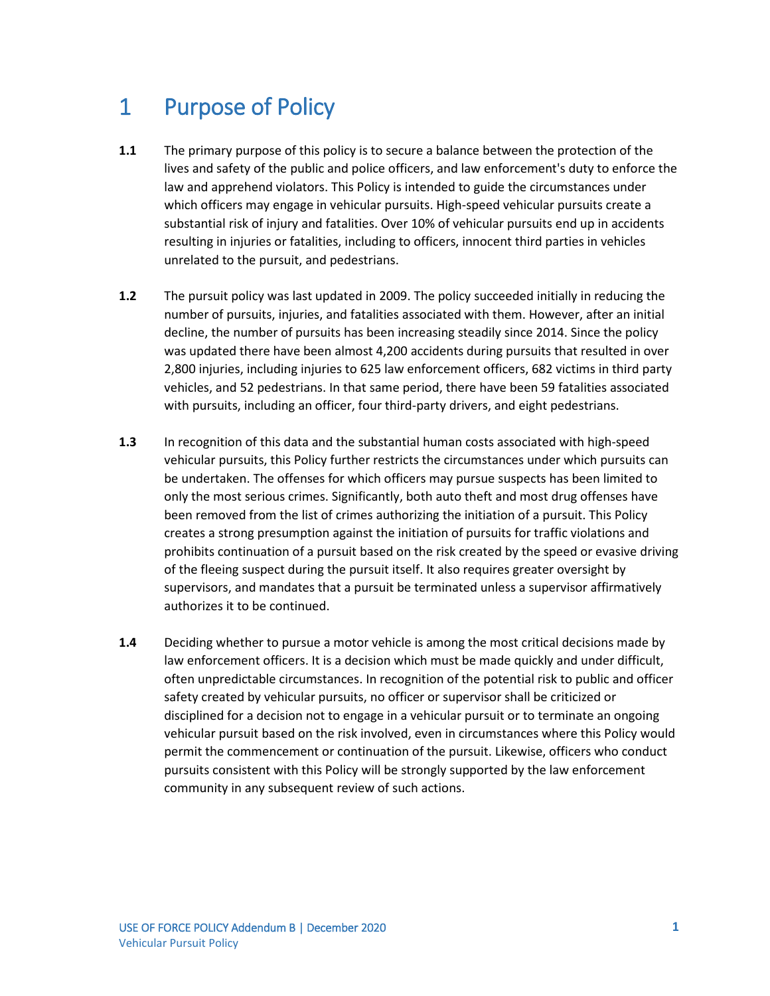#### <span id="page-52-0"></span>1 Purpose of Policy

- **1.1** The primary purpose of this policy is to secure a balance between the protection of the lives and safety of the public and police officers, and law enforcement's duty to enforce the law and apprehend violators. This Policy is intended to guide the circumstances under which officers may engage in vehicular pursuits. High-speed vehicular pursuits create a substantial risk of injury and fatalities. Over 10% of vehicular pursuits end up in accidents resulting in injuries or fatalities, including to officers, innocent third parties in vehicles unrelated to the pursuit, and pedestrians.
- **1.2** The pursuit policy was last updated in 2009. The policy succeeded initially in reducing the number of pursuits, injuries, and fatalities associated with them. However, after an initial decline, the number of pursuits has been increasing steadily since 2014. Since the policy was updated there have been almost 4,200 accidents during pursuits that resulted in over 2,800 injuries, including injuries to 625 law enforcement officers, 682 victims in third party vehicles, and 52 pedestrians. In that same period, there have been 59 fatalities associated with pursuits, including an officer, four third-party drivers, and eight pedestrians.
- **1.3** In recognition of this data and the substantial human costs associated with high-speed vehicular pursuits, this Policy further restricts the circumstances under which pursuits can be undertaken. The offenses for which officers may pursue suspects has been limited to only the most serious crimes. Significantly, both auto theft and most drug offenses have been removed from the list of crimes authorizing the initiation of a pursuit. This Policy creates a strong presumption against the initiation of pursuits for traffic violations and prohibits continuation of a pursuit based on the risk created by the speed or evasive driving of the fleeing suspect during the pursuit itself. It also requires greater oversight by supervisors, and mandates that a pursuit be terminated unless a supervisor affirmatively authorizes it to be continued.
- **1.4** Deciding whether to pursue a motor vehicle is among the most critical decisions made by law enforcement officers. It is a decision which must be made quickly and under difficult, often unpredictable circumstances. In recognition of the potential risk to public and officer safety created by vehicular pursuits, no officer or supervisor shall be criticized or disciplined for a decision not to engage in a vehicular pursuit or to terminate an ongoing vehicular pursuit based on the risk involved, even in circumstances where this Policy would permit the commencement or continuation of the pursuit. Likewise, officers who conduct pursuits consistent with this Policy will be strongly supported by the law enforcement community in any subsequent review of such actions.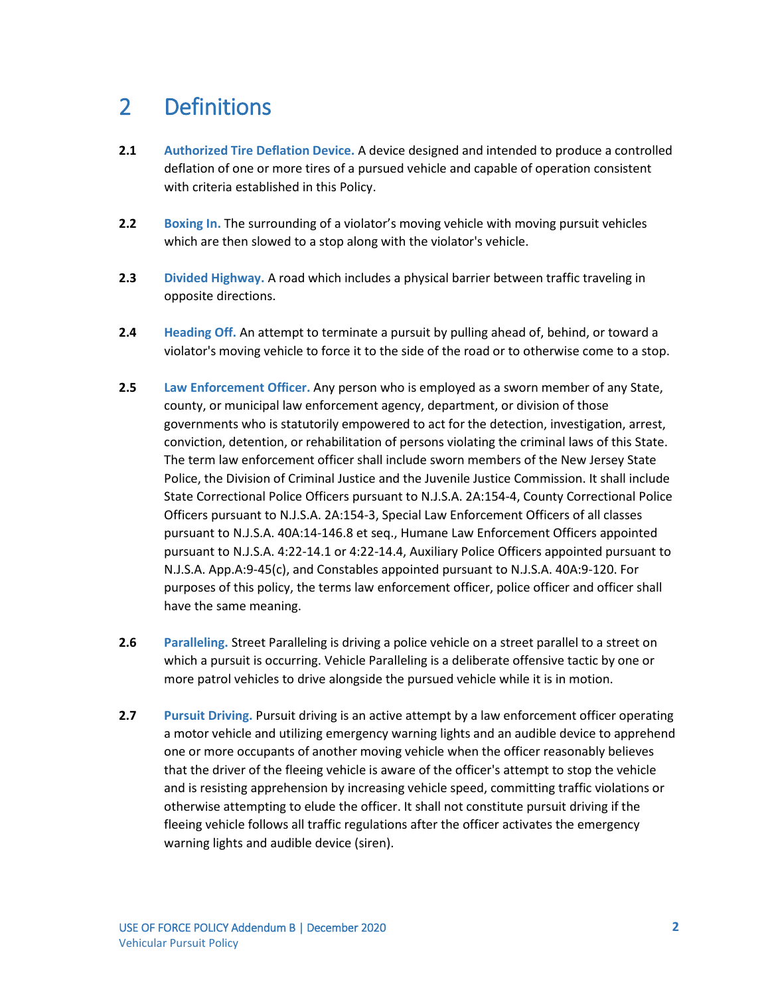#### <span id="page-53-0"></span>2 Definitions

- **2.1 Authorized Tire Deflation Device.** A device designed and intended to produce a controlled deflation of one or more tires of a pursued vehicle and capable of operation consistent with criteria established in this Policy.
- **2.2 Boxing In.** The surrounding of a violator's moving vehicle with moving pursuit vehicles which are then slowed to a stop along with the violator's vehicle.
- **2.3 Divided Highway.** A road which includes a physical barrier between traffic traveling in opposite directions.
- **2.4 Heading Off.** An attempt to terminate a pursuit by pulling ahead of, behind, or toward a violator's moving vehicle to force it to the side of the road or to otherwise come to a stop.
- **2.5 Law Enforcement Officer.** Any person who is employed as a sworn member of any State, county, or municipal law enforcement agency, department, or division of those governments who is statutorily empowered to act for the detection, investigation, arrest, conviction, detention, or rehabilitation of persons violating the criminal laws of this State. The term law enforcement officer shall include sworn members of the New Jersey State Police, the Division of Criminal Justice and the Juvenile Justice Commission. It shall include State Correctional Police Officers pursuant to N.J.S.A. 2A:154-4, County Correctional Police Officers pursuant to N.J.S.A. 2A:154-3, Special Law Enforcement Officers of all classes pursuant to N.J.S.A. 40A:14-146.8 et seq., Humane Law Enforcement Officers appointed pursuant to N.J.S.A. 4:22-14.1 or 4:22-14.4, Auxiliary Police Officers appointed pursuant to N.J.S.A. App.A:9-45(c), and Constables appointed pursuant to N.J.S.A. 40A:9-120. For purposes of this policy, the terms law enforcement officer, police officer and officer shall have the same meaning.
- **2.6 Paralleling.** Street Paralleling is driving a police vehicle on a street parallel to a street on which a pursuit is occurring. Vehicle Paralleling is a deliberate offensive tactic by one or more patrol vehicles to drive alongside the pursued vehicle while it is in motion.
- **2.7 Pursuit Driving.** Pursuit driving is an active attempt by a law enforcement officer operating a motor vehicle and utilizing emergency warning lights and an audible device to apprehend one or more occupants of another moving vehicle when the officer reasonably believes that the driver of the fleeing vehicle is aware of the officer's attempt to stop the vehicle and is resisting apprehension by increasing vehicle speed, committing traffic violations or otherwise attempting to elude the officer. It shall not constitute pursuit driving if the fleeing vehicle follows all traffic regulations after the officer activates the emergency warning lights and audible device (siren).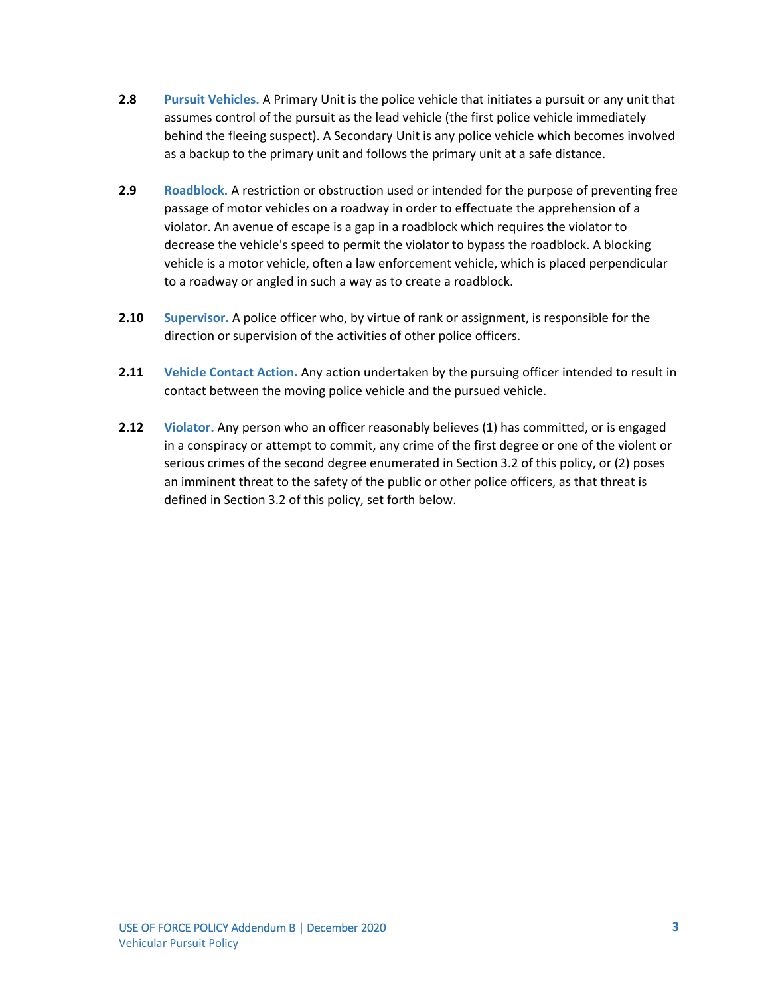- **2.8 Pursuit Vehicles.** A Primary Unit is the police vehicle that initiates a pursuit or any unit that assumes control of the pursuit as the lead vehicle (the first police vehicle immediately behind the fleeing suspect). A Secondary Unit is any police vehicle which becomes involved as a backup to the primary unit and follows the primary unit at a safe distance.
- **2.9 Roadblock.** A restriction or obstruction used or intended for the purpose of preventing free passage of motor vehicles on a roadway in order to effectuate the apprehension of a violator. An avenue of escape is a gap in a roadblock which requires the violator to decrease the vehicle's speed to permit the violator to bypass the roadblock. A blocking vehicle is a motor vehicle, often a law enforcement vehicle, which is placed perpendicular to a roadway or angled in such a way as to create a roadblock.
- **2.10 Supervisor.** A police officer who, by virtue of rank or assignment, is responsible for the direction or supervision of the activities of other police officers.
- **2.11 Vehicle Contact Action.** Any action undertaken by the pursuing officer intended to result in contact between the moving police vehicle and the pursued vehicle.
- **2.12 Violator.** Any person who an officer reasonably believes (1) has committed, or is engaged in a conspiracy or attempt to commit, any crime of the first degree or one of the violent or serious crimes of the second degree enumerated in Section 3.2 of this policy, or (2) poses an imminent threat to the safety of the public or other police officers, as that threat is defined in Section 3.2 of this policy, set forth below.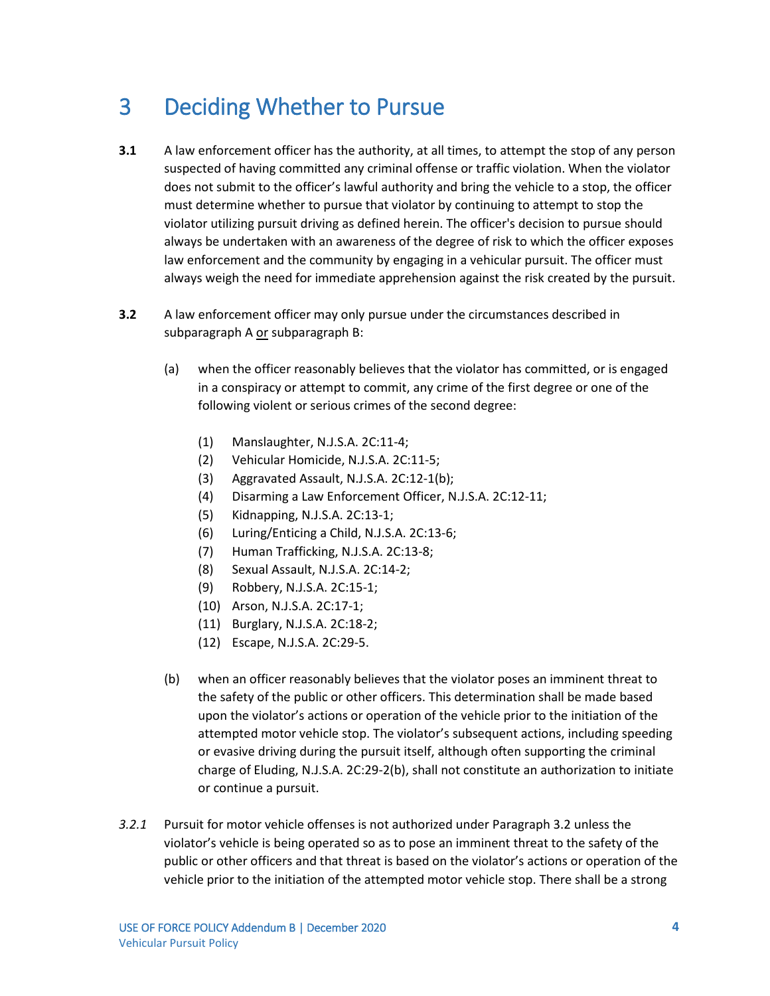#### <span id="page-55-0"></span>3 Deciding Whether to Pursue

- **3.1** A law enforcement officer has the authority, at all times, to attempt the stop of any person suspected of having committed any criminal offense or traffic violation. When the violator does not submit to the officer's lawful authority and bring the vehicle to a stop, the officer must determine whether to pursue that violator by continuing to attempt to stop the violator utilizing pursuit driving as defined herein. The officer's decision to pursue should always be undertaken with an awareness of the degree of risk to which the officer exposes law enforcement and the community by engaging in a vehicular pursuit. The officer must always weigh the need for immediate apprehension against the risk created by the pursuit.
- **3.2** A law enforcement officer may only pursue under the circumstances described in subparagraph A or subparagraph B:
	- (a) when the officer reasonably believes that the violator has committed, or is engaged in a conspiracy or attempt to commit, any crime of the first degree or one of the following violent or serious crimes of the second degree:
		- (1) Manslaughter, N.J.S.A. 2C:11-4;
		- (2) Vehicular Homicide, N.J.S.A. 2C:11-5;
		- (3) Aggravated Assault, N.J.S.A. 2C:12-1(b);
		- (4) Disarming a Law Enforcement Officer, N.J.S.A. 2C:12-11;
		- (5) Kidnapping, N.J.S.A. 2C:13-1;
		- (6) Luring/Enticing a Child, N.J.S.A. 2C:13-6;
		- (7) Human Trafficking, N.J.S.A. 2C:13-8;
		- (8) Sexual Assault, N.J.S.A. 2C:14-2;
		- (9) Robbery, N.J.S.A. 2C:15-1;
		- (10) Arson, N.J.S.A. 2C:17-1;
		- (11) Burglary, N.J.S.A. 2C:18-2;
		- (12) Escape, N.J.S.A. 2C:29-5.
	- (b) when an officer reasonably believes that the violator poses an imminent threat to the safety of the public or other officers. This determination shall be made based upon the violator's actions or operation of the vehicle prior to the initiation of the attempted motor vehicle stop. The violator's subsequent actions, including speeding or evasive driving during the pursuit itself, although often supporting the criminal charge of Eluding, N.J.S.A. 2C:29-2(b), shall not constitute an authorization to initiate or continue a pursuit.
- *3.2.1* Pursuit for motor vehicle offenses is not authorized under Paragraph 3.2 unless the violator's vehicle is being operated so as to pose an imminent threat to the safety of the public or other officers and that threat is based on the violator's actions or operation of the vehicle prior to the initiation of the attempted motor vehicle stop. There shall be a strong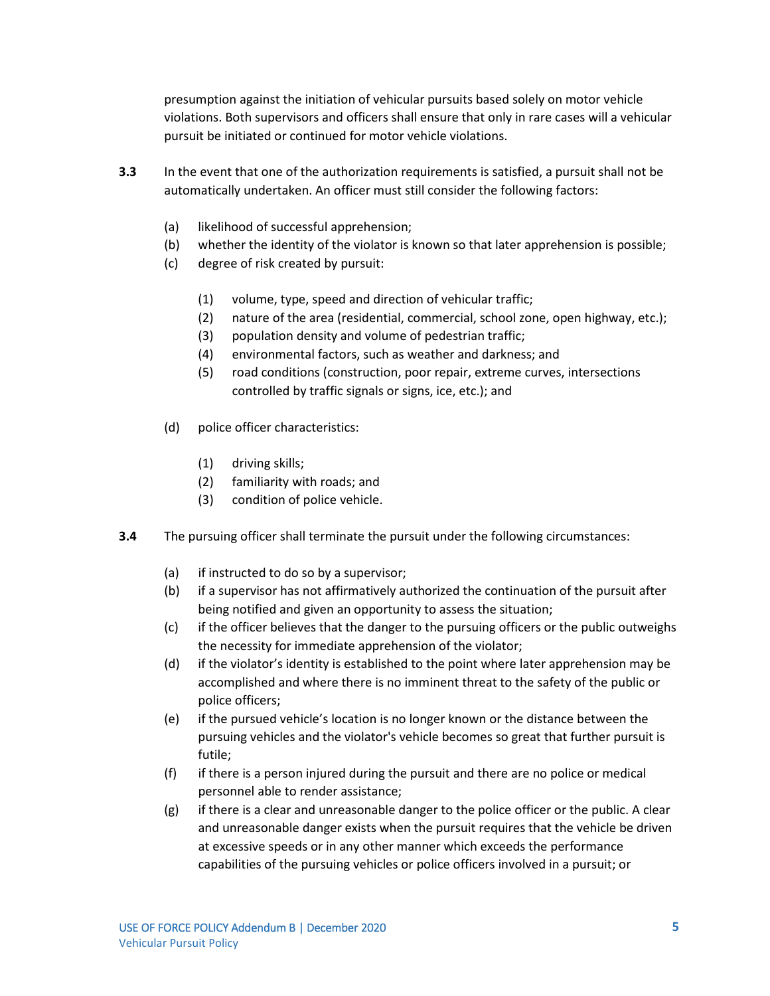presumption against the initiation of vehicular pursuits based solely on motor vehicle violations. Both supervisors and officers shall ensure that only in rare cases will a vehicular pursuit be initiated or continued for motor vehicle violations.

- **3.3** In the event that one of the authorization requirements is satisfied, a pursuit shall not be automatically undertaken. An officer must still consider the following factors:
	- (a) likelihood of successful apprehension;
	- (b) whether the identity of the violator is known so that later apprehension is possible;
	- (c) degree of risk created by pursuit:
		- (1) volume, type, speed and direction of vehicular traffic;
		- (2) nature of the area (residential, commercial, school zone, open highway, etc.);
		- (3) population density and volume of pedestrian traffic;
		- (4) environmental factors, such as weather and darkness; and
		- (5) road conditions (construction, poor repair, extreme curves, intersections controlled by traffic signals or signs, ice, etc.); and
	- (d) police officer characteristics:
		- (1) driving skills;
		- (2) familiarity with roads; and
		- (3) condition of police vehicle.
- **3.4** The pursuing officer shall terminate the pursuit under the following circumstances:
	- (a) if instructed to do so by a supervisor;
	- (b) if a supervisor has not affirmatively authorized the continuation of the pursuit after being notified and given an opportunity to assess the situation;
	- (c) if the officer believes that the danger to the pursuing officers or the public outweighs the necessity for immediate apprehension of the violator;
	- (d) if the violator's identity is established to the point where later apprehension may be accomplished and where there is no imminent threat to the safety of the public or police officers;
	- (e) if the pursued vehicle's location is no longer known or the distance between the pursuing vehicles and the violator's vehicle becomes so great that further pursuit is futile;
	- (f) if there is a person injured during the pursuit and there are no police or medical personnel able to render assistance;
	- (g) if there is a clear and unreasonable danger to the police officer or the public. A clear and unreasonable danger exists when the pursuit requires that the vehicle be driven at excessive speeds or in any other manner which exceeds the performance capabilities of the pursuing vehicles or police officers involved in a pursuit; or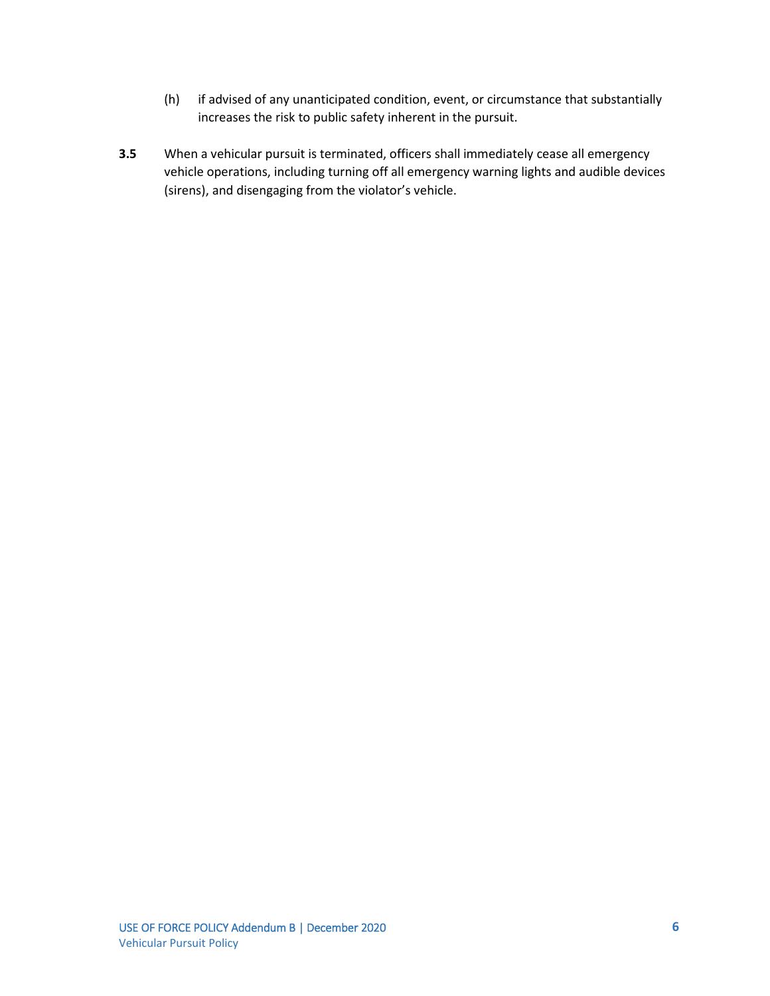- (h) if advised of any unanticipated condition, event, or circumstance that substantially increases the risk to public safety inherent in the pursuit.
- **3.5** When a vehicular pursuit is terminated, officers shall immediately cease all emergency vehicle operations, including turning off all emergency warning lights and audible devices (sirens), and disengaging from the violator's vehicle.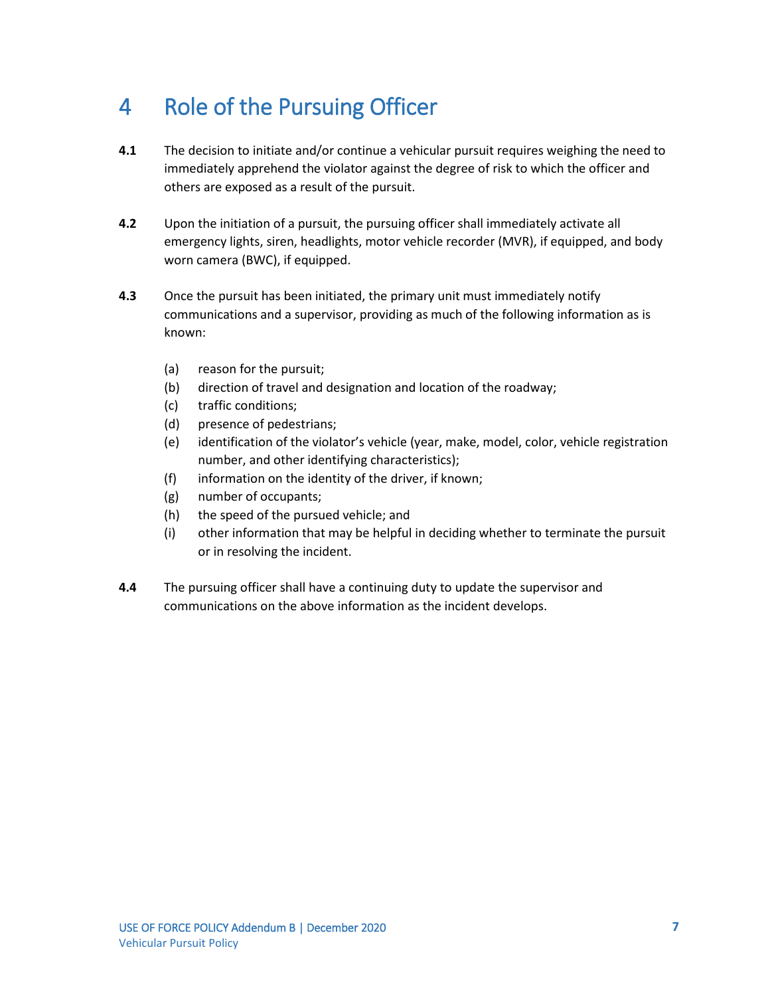### <span id="page-58-0"></span>4 Role of the Pursuing Officer

- **4.1** The decision to initiate and/or continue a vehicular pursuit requires weighing the need to immediately apprehend the violator against the degree of risk to which the officer and others are exposed as a result of the pursuit.
- **4.2** Upon the initiation of a pursuit, the pursuing officer shall immediately activate all emergency lights, siren, headlights, motor vehicle recorder (MVR), if equipped, and body worn camera (BWC), if equipped.
- **4.3** Once the pursuit has been initiated, the primary unit must immediately notify communications and a supervisor, providing as much of the following information as is known:
	- (a) reason for the pursuit;
	- (b) direction of travel and designation and location of the roadway;
	- (c) traffic conditions;
	- (d) presence of pedestrians;
	- (e) identification of the violator's vehicle (year, make, model, color, vehicle registration number, and other identifying characteristics);
	- (f) information on the identity of the driver, if known;
	- (g) number of occupants;
	- (h) the speed of the pursued vehicle; and
	- (i) other information that may be helpful in deciding whether to terminate the pursuit or in resolving the incident.
- **4.4** The pursuing officer shall have a continuing duty to update the supervisor and communications on the above information as the incident develops.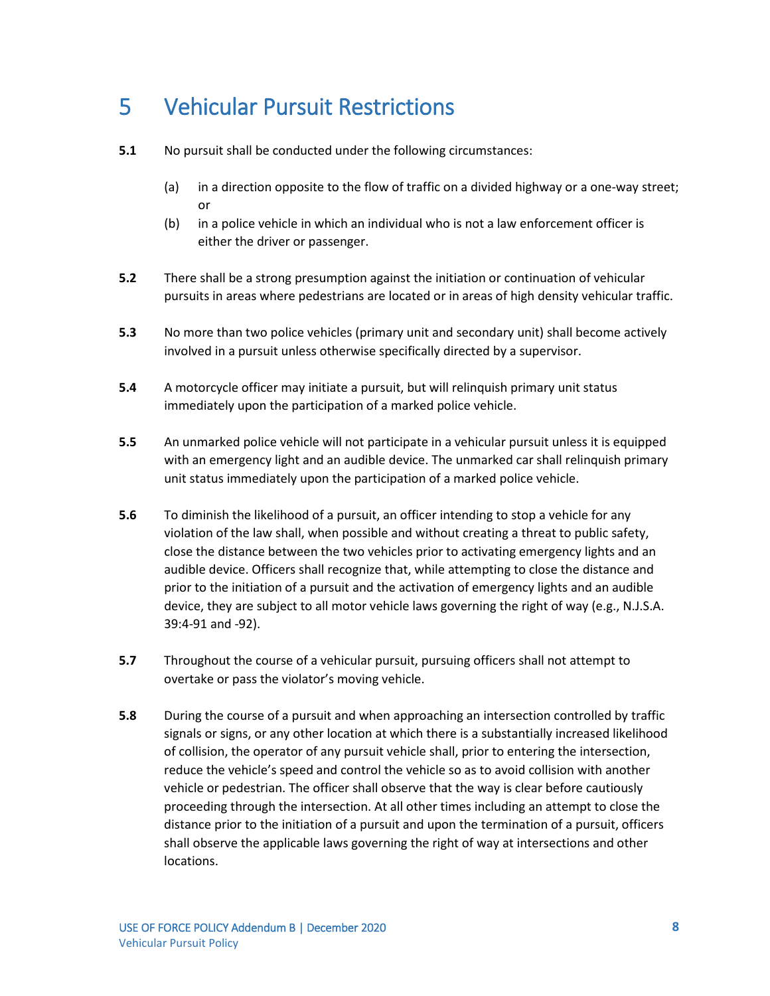#### <span id="page-59-0"></span>5 Vehicular Pursuit Restrictions

- **5.1** No pursuit shall be conducted under the following circumstances:
	- (a) in a direction opposite to the flow of traffic on a divided highway or a one-way street; or
	- (b) in a police vehicle in which an individual who is not a law enforcement officer is either the driver or passenger.
- **5.2** There shall be a strong presumption against the initiation or continuation of vehicular pursuits in areas where pedestrians are located or in areas of high density vehicular traffic.
- **5.3** No more than two police vehicles (primary unit and secondary unit) shall become actively involved in a pursuit unless otherwise specifically directed by a supervisor.
- **5.4** A motorcycle officer may initiate a pursuit, but will relinquish primary unit status immediately upon the participation of a marked police vehicle.
- **5.5** An unmarked police vehicle will not participate in a vehicular pursuit unless it is equipped with an emergency light and an audible device. The unmarked car shall relinquish primary unit status immediately upon the participation of a marked police vehicle.
- **5.6** To diminish the likelihood of a pursuit, an officer intending to stop a vehicle for any violation of the law shall, when possible and without creating a threat to public safety, close the distance between the two vehicles prior to activating emergency lights and an audible device. Officers shall recognize that, while attempting to close the distance and prior to the initiation of a pursuit and the activation of emergency lights and an audible device, they are subject to all motor vehicle laws governing the right of way (e.g., N.J.S.A. 39:4-91 and -92).
- **5.7** Throughout the course of a vehicular pursuit, pursuing officers shall not attempt to overtake or pass the violator's moving vehicle.
- **5.8** During the course of a pursuit and when approaching an intersection controlled by traffic signals or signs, or any other location at which there is a substantially increased likelihood of collision, the operator of any pursuit vehicle shall, prior to entering the intersection, reduce the vehicle's speed and control the vehicle so as to avoid collision with another vehicle or pedestrian. The officer shall observe that the way is clear before cautiously proceeding through the intersection. At all other times including an attempt to close the distance prior to the initiation of a pursuit and upon the termination of a pursuit, officers shall observe the applicable laws governing the right of way at intersections and other locations.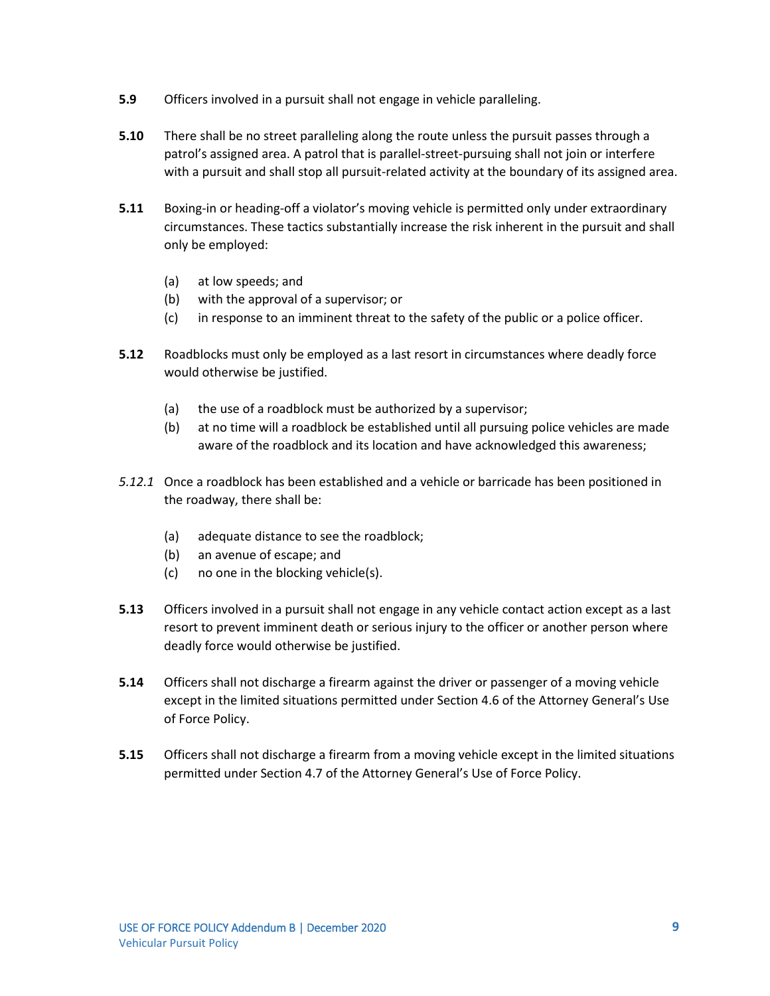- **5.9** Officers involved in a pursuit shall not engage in vehicle paralleling.
- **5.10** There shall be no street paralleling along the route unless the pursuit passes through a patrol's assigned area. A patrol that is parallel-street-pursuing shall not join or interfere with a pursuit and shall stop all pursuit-related activity at the boundary of its assigned area.
- **5.11** Boxing-in or heading-off a violator's moving vehicle is permitted only under extraordinary circumstances. These tactics substantially increase the risk inherent in the pursuit and shall only be employed:
	- (a) at low speeds; and
	- (b) with the approval of a supervisor; or
	- (c) in response to an imminent threat to the safety of the public or a police officer.
- **5.12** Roadblocks must only be employed as a last resort in circumstances where deadly force would otherwise be justified.
	- (a) the use of a roadblock must be authorized by a supervisor;
	- (b) at no time will a roadblock be established until all pursuing police vehicles are made aware of the roadblock and its location and have acknowledged this awareness;
- *5.12.1* Once a roadblock has been established and a vehicle or barricade has been positioned in the roadway, there shall be:
	- (a) adequate distance to see the roadblock;
	- (b) an avenue of escape; and
	- (c) no one in the blocking vehicle(s).
- **5.13** Officers involved in a pursuit shall not engage in any vehicle contact action except as a last resort to prevent imminent death or serious injury to the officer or another person where deadly force would otherwise be justified.
- **5.14** Officers shall not discharge a firearm against the driver or passenger of a moving vehicle except in the limited situations permitted under Section 4.6 of the Attorney General's Use of Force Policy.
- **5.15** Officers shall not discharge a firearm from a moving vehicle except in the limited situations permitted under Section 4.7 of the Attorney General's Use of Force Policy.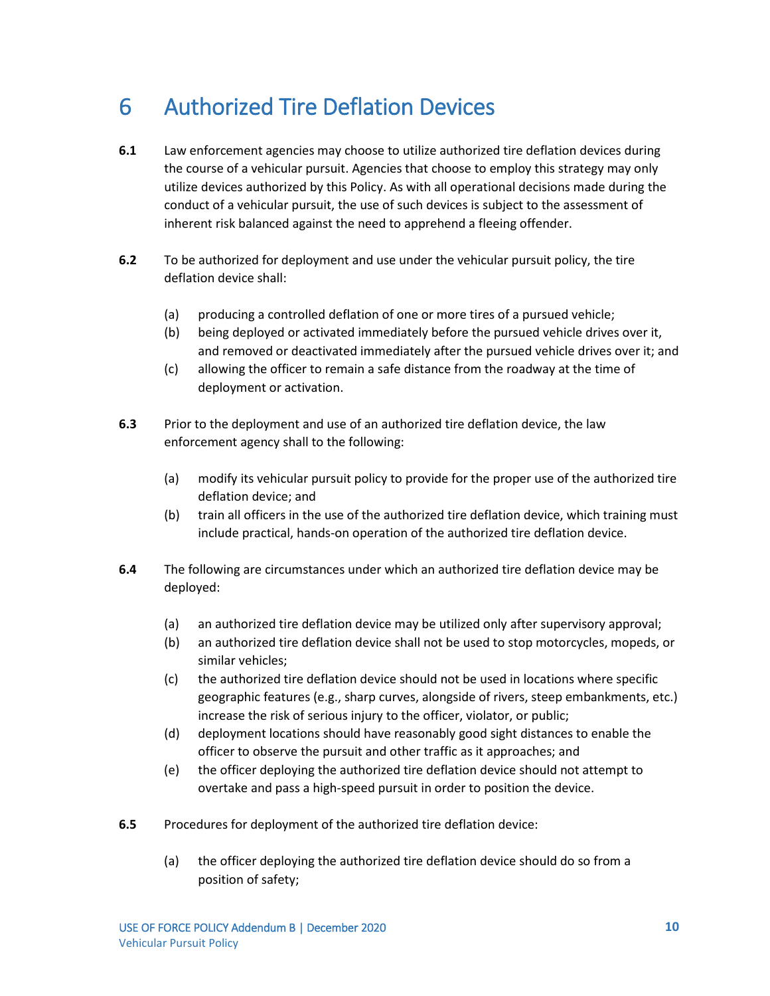#### <span id="page-61-0"></span>6 Authorized Tire Deflation Devices

- **6.1** Law enforcement agencies may choose to utilize authorized tire deflation devices during the course of a vehicular pursuit. Agencies that choose to employ this strategy may only utilize devices authorized by this Policy. As with all operational decisions made during the conduct of a vehicular pursuit, the use of such devices is subject to the assessment of inherent risk balanced against the need to apprehend a fleeing offender.
- **6.2** To be authorized for deployment and use under the vehicular pursuit policy, the tire deflation device shall:
	- (a) producing a controlled deflation of one or more tires of a pursued vehicle;
	- (b) being deployed or activated immediately before the pursued vehicle drives over it, and removed or deactivated immediately after the pursued vehicle drives over it; and
	- (c) allowing the officer to remain a safe distance from the roadway at the time of deployment or activation.
- **6.3** Prior to the deployment and use of an authorized tire deflation device, the law enforcement agency shall to the following:
	- (a) modify its vehicular pursuit policy to provide for the proper use of the authorized tire deflation device; and
	- (b) train all officers in the use of the authorized tire deflation device, which training must include practical, hands-on operation of the authorized tire deflation device.
- **6.4** The following are circumstances under which an authorized tire deflation device may be deployed:
	- (a) an authorized tire deflation device may be utilized only after supervisory approval;
	- (b) an authorized tire deflation device shall not be used to stop motorcycles, mopeds, or similar vehicles;
	- (c) the authorized tire deflation device should not be used in locations where specific geographic features (e.g., sharp curves, alongside of rivers, steep embankments, etc.) increase the risk of serious injury to the officer, violator, or public;
	- (d) deployment locations should have reasonably good sight distances to enable the officer to observe the pursuit and other traffic as it approaches; and
	- (e) the officer deploying the authorized tire deflation device should not attempt to overtake and pass a high-speed pursuit in order to position the device.
- **6.5** Procedures for deployment of the authorized tire deflation device:
	- (a) the officer deploying the authorized tire deflation device should do so from a position of safety;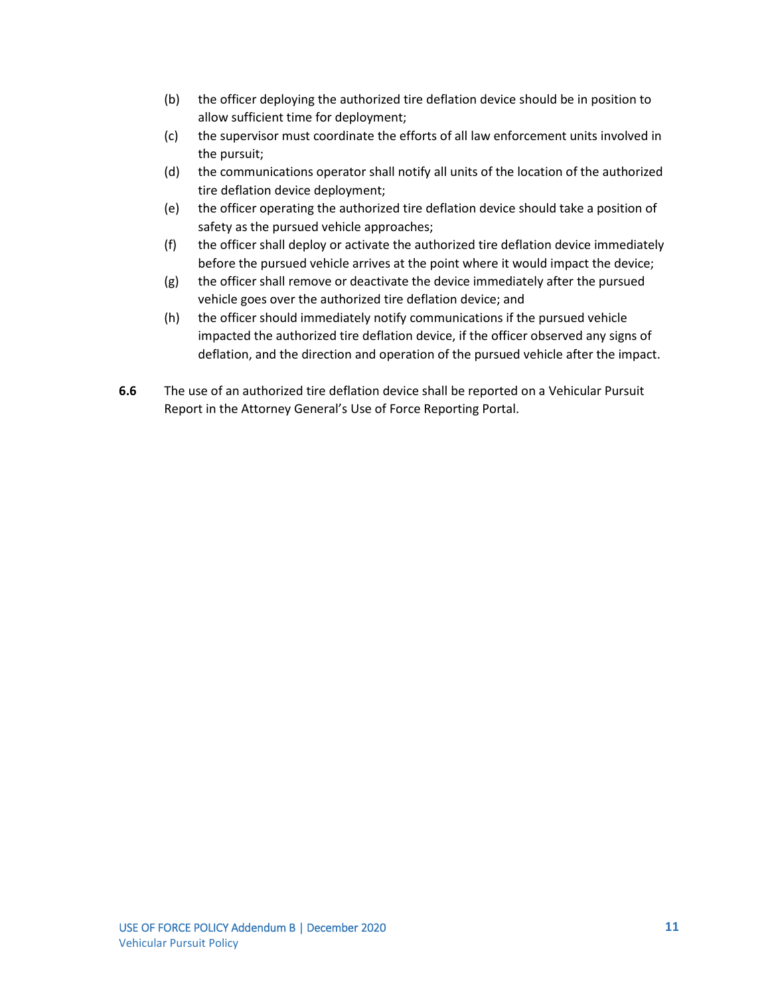- (b) the officer deploying the authorized tire deflation device should be in position to allow sufficient time for deployment;
- (c) the supervisor must coordinate the efforts of all law enforcement units involved in the pursuit;
- (d) the communications operator shall notify all units of the location of the authorized tire deflation device deployment;
- (e) the officer operating the authorized tire deflation device should take a position of safety as the pursued vehicle approaches;
- (f) the officer shall deploy or activate the authorized tire deflation device immediately before the pursued vehicle arrives at the point where it would impact the device;
- (g) the officer shall remove or deactivate the device immediately after the pursued vehicle goes over the authorized tire deflation device; and
- (h) the officer should immediately notify communications if the pursued vehicle impacted the authorized tire deflation device, if the officer observed any signs of deflation, and the direction and operation of the pursued vehicle after the impact.
- **6.6** The use of an authorized tire deflation device shall be reported on a Vehicular Pursuit Report in the Attorney General's Use of Force Reporting Portal.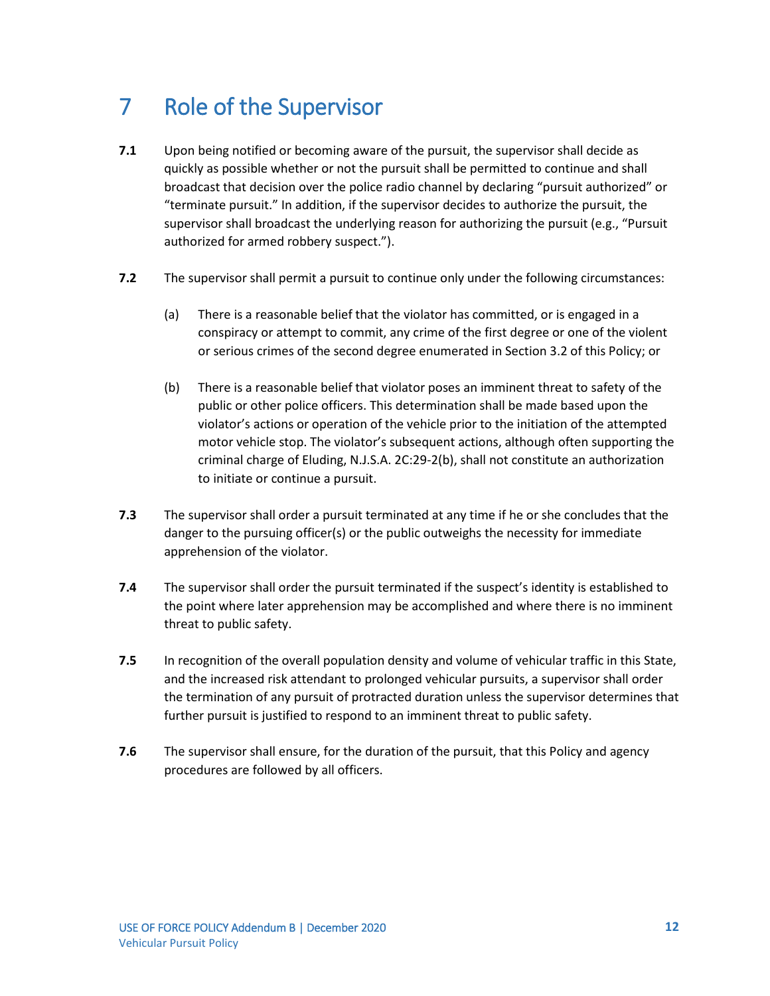### <span id="page-63-0"></span>7 Role of the Supervisor

- **7.1** Upon being notified or becoming aware of the pursuit, the supervisor shall decide as quickly as possible whether or not the pursuit shall be permitted to continue and shall broadcast that decision over the police radio channel by declaring "pursuit authorized" or "terminate pursuit." In addition, if the supervisor decides to authorize the pursuit, the supervisor shall broadcast the underlying reason for authorizing the pursuit (e.g., "Pursuit authorized for armed robbery suspect.").
- **7.2** The supervisor shall permit a pursuit to continue only under the following circumstances:
	- (a) There is a reasonable belief that the violator has committed, or is engaged in a conspiracy or attempt to commit, any crime of the first degree or one of the violent or serious crimes of the second degree enumerated in Section 3.2 of this Policy; or
	- (b) There is a reasonable belief that violator poses an imminent threat to safety of the public or other police officers. This determination shall be made based upon the violator's actions or operation of the vehicle prior to the initiation of the attempted motor vehicle stop. The violator's subsequent actions, although often supporting the criminal charge of Eluding, N.J.S.A. 2C:29-2(b), shall not constitute an authorization to initiate or continue a pursuit.
- **7.3** The supervisor shall order a pursuit terminated at any time if he or she concludes that the danger to the pursuing officer(s) or the public outweighs the necessity for immediate apprehension of the violator.
- **7.4** The supervisor shall order the pursuit terminated if the suspect's identity is established to the point where later apprehension may be accomplished and where there is no imminent threat to public safety.
- **7.5** In recognition of the overall population density and volume of vehicular traffic in this State, and the increased risk attendant to prolonged vehicular pursuits, a supervisor shall order the termination of any pursuit of protracted duration unless the supervisor determines that further pursuit is justified to respond to an imminent threat to public safety.
- **7.6** The supervisor shall ensure, for the duration of the pursuit, that this Policy and agency procedures are followed by all officers.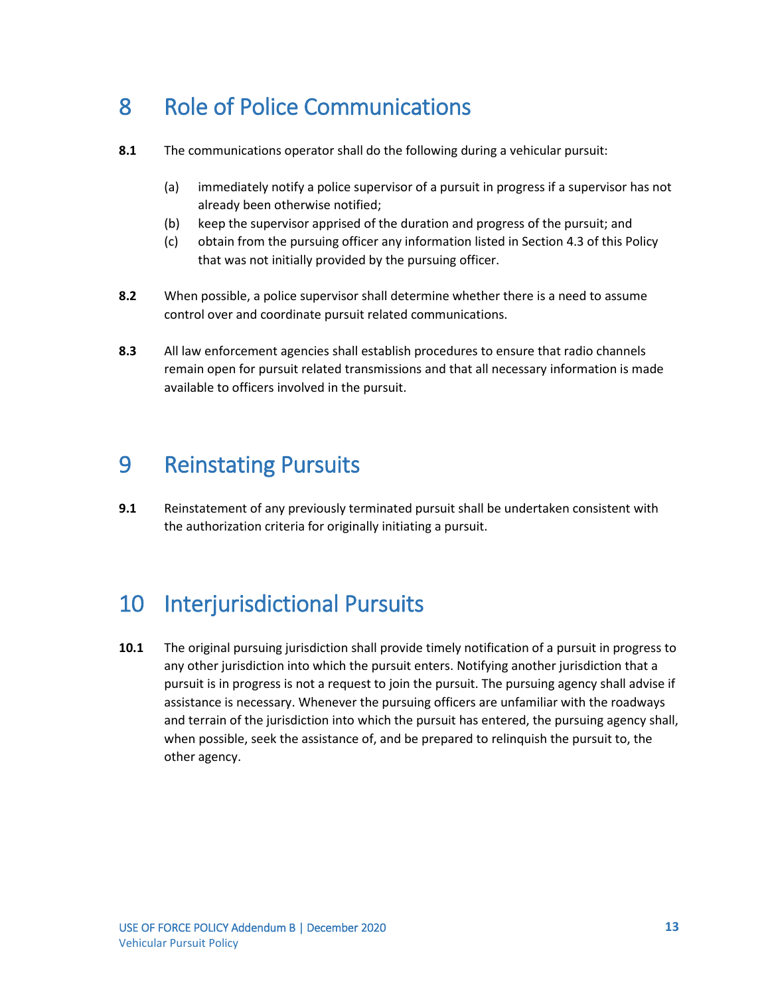#### <span id="page-64-0"></span>8 Role of Police Communications

- **8.1** The communications operator shall do the following during a vehicular pursuit:
	- (a) immediately notify a police supervisor of a pursuit in progress if a supervisor has not already been otherwise notified;
	- (b) keep the supervisor apprised of the duration and progress of the pursuit; and
	- (c) obtain from the pursuing officer any information listed in Section 4.3 of this Policy that was not initially provided by the pursuing officer.
- **8.2** When possible, a police supervisor shall determine whether there is a need to assume control over and coordinate pursuit related communications.
- **8.3** All law enforcement agencies shall establish procedures to ensure that radio channels remain open for pursuit related transmissions and that all necessary information is made available to officers involved in the pursuit.

#### <span id="page-64-1"></span>9 Reinstating Pursuits

**9.1** Reinstatement of any previously terminated pursuit shall be undertaken consistent with the authorization criteria for originally initiating a pursuit.

#### <span id="page-64-2"></span>10 Interjurisdictional Pursuits

**10.1** The original pursuing jurisdiction shall provide timely notification of a pursuit in progress to any other jurisdiction into which the pursuit enters. Notifying another jurisdiction that a pursuit is in progress is not a request to join the pursuit. The pursuing agency shall advise if assistance is necessary. Whenever the pursuing officers are unfamiliar with the roadways and terrain of the jurisdiction into which the pursuit has entered, the pursuing agency shall, when possible, seek the assistance of, and be prepared to relinquish the pursuit to, the other agency.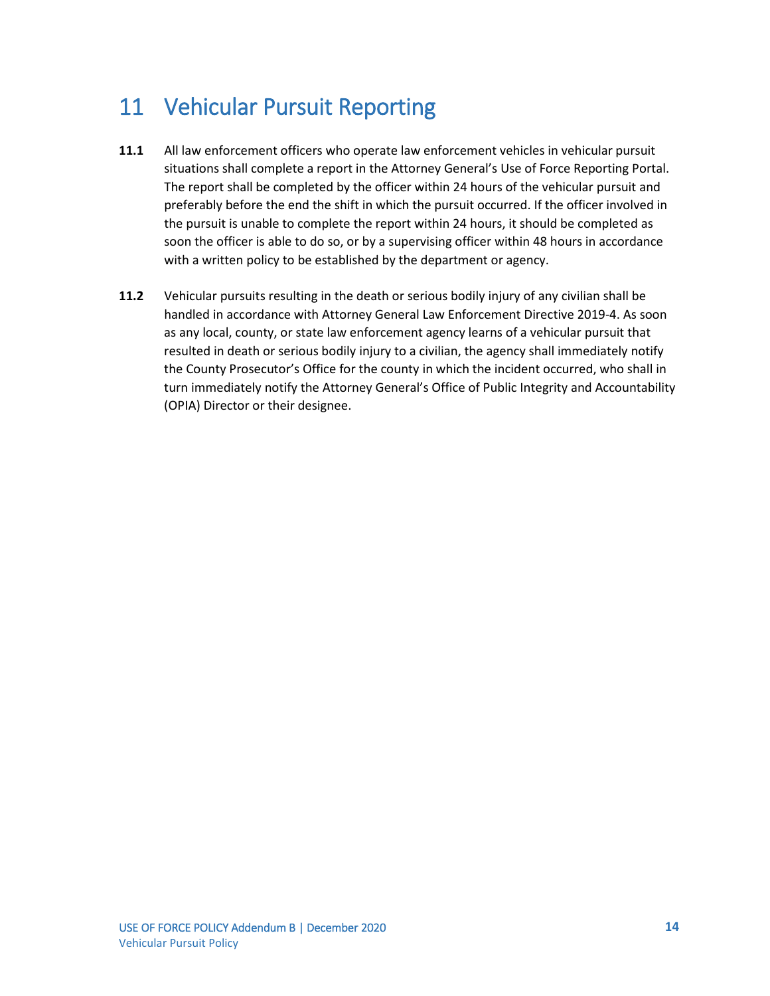#### <span id="page-65-0"></span>11 Vehicular Pursuit Reporting

- **11.1** All law enforcement officers who operate law enforcement vehicles in vehicular pursuit situations shall complete a report in the Attorney General's Use of Force Reporting Portal. The report shall be completed by the officer within 24 hours of the vehicular pursuit and preferably before the end the shift in which the pursuit occurred. If the officer involved in the pursuit is unable to complete the report within 24 hours, it should be completed as soon the officer is able to do so, or by a supervising officer within 48 hours in accordance with a written policy to be established by the department or agency.
- **11.2** Vehicular pursuits resulting in the death or serious bodily injury of any civilian shall be handled in accordance with Attorney General Law Enforcement Directive 2019-4. As soon as any local, county, or state law enforcement agency learns of a vehicular pursuit that resulted in death or serious bodily injury to a civilian, the agency shall immediately notify the County Prosecutor's Office for the county in which the incident occurred, who shall in turn immediately notify the Attorney General's Office of Public Integrity and Accountability (OPIA) Director or their designee.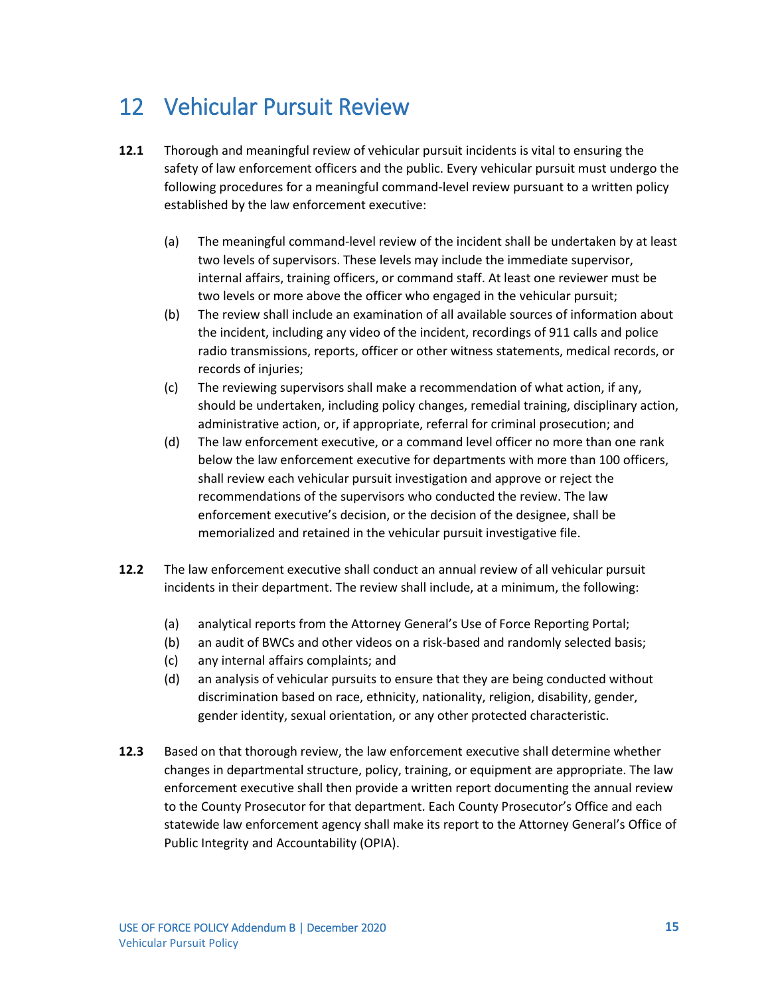#### <span id="page-66-0"></span>12 Vehicular Pursuit Review

- **12.1** Thorough and meaningful review of vehicular pursuit incidents is vital to ensuring the safety of law enforcement officers and the public. Every vehicular pursuit must undergo the following procedures for a meaningful command-level review pursuant to a written policy established by the law enforcement executive:
	- (a) The meaningful command-level review of the incident shall be undertaken by at least two levels of supervisors. These levels may include the immediate supervisor, internal affairs, training officers, or command staff. At least one reviewer must be two levels or more above the officer who engaged in the vehicular pursuit;
	- (b) The review shall include an examination of all available sources of information about the incident, including any video of the incident, recordings of 911 calls and police radio transmissions, reports, officer or other witness statements, medical records, or records of injuries;
	- (c) The reviewing supervisors shall make a recommendation of what action, if any, should be undertaken, including policy changes, remedial training, disciplinary action, administrative action, or, if appropriate, referral for criminal prosecution; and
	- (d) The law enforcement executive, or a command level officer no more than one rank below the law enforcement executive for departments with more than 100 officers, shall review each vehicular pursuit investigation and approve or reject the recommendations of the supervisors who conducted the review. The law enforcement executive's decision, or the decision of the designee, shall be memorialized and retained in the vehicular pursuit investigative file.
- **12.2** The law enforcement executive shall conduct an annual review of all vehicular pursuit incidents in their department. The review shall include, at a minimum, the following:
	- (a) analytical reports from the Attorney General's Use of Force Reporting Portal;
	- (b) an audit of BWCs and other videos on a risk-based and randomly selected basis;
	- (c) any internal affairs complaints; and
	- (d) an analysis of vehicular pursuits to ensure that they are being conducted without discrimination based on race, ethnicity, nationality, religion, disability, gender, gender identity, sexual orientation, or any other protected characteristic.
- **12.3** Based on that thorough review, the law enforcement executive shall determine whether changes in departmental structure, policy, training, or equipment are appropriate. The law enforcement executive shall then provide a written report documenting the annual review to the County Prosecutor for that department. Each County Prosecutor's Office and each statewide law enforcement agency shall make its report to the Attorney General's Office of Public Integrity and Accountability (OPIA).